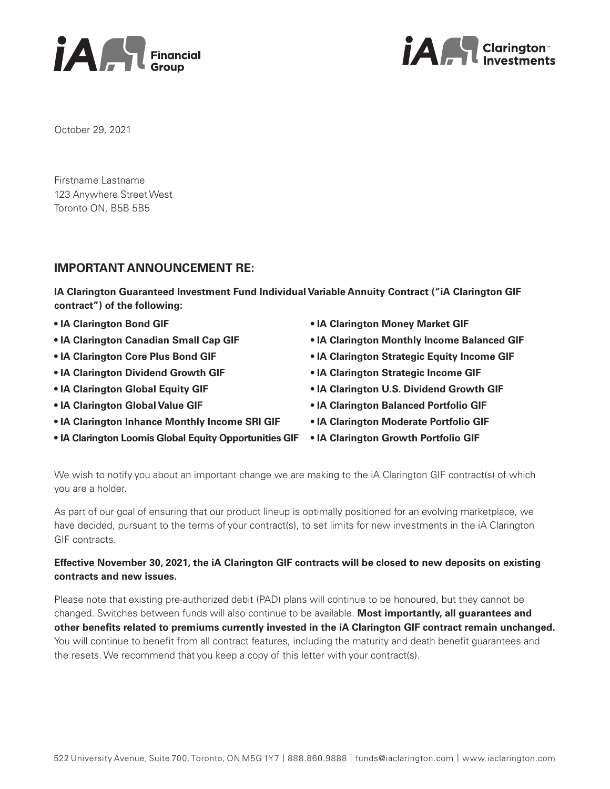



October 29, 2021

Firstname Lastname 123 Anywhere Street West Toronto ON, B5B 5B5

# **IMPORTANT ANNOUNCEMENT RE:**

**IA Clarington Guaranteed Investment Fund Individual Variable Annuity Contract ("iA Clarington GIF contract") of the following:** 

- **IA Clarington Bond GIF**
- **IA Clarington Canadian Small Cap GIF**
- **IA Clarington Core Plus Bond GIF**
- **IA Clarington Dividend Growth GIF**
- **IA Clarington Global Equity GIF**
- **IA Clarington Global Value GIF**
- **IA Clarington Inhance Monthly Income SRI GIF**
- **IA Clarington Loomis Global Equity Opportunities GIF**
- **IA Clarington Money Market GIF**
- **IA Clarington Monthly Income Balanced GIF**
- **IA Clarington Strategic Equity Income GIF**
- **IA Clarington Strategic Income GIF**
- **IA Clarington U.S. Dividend Growth GIF**
- **IA Clarington Balanced Portfolio GIF**
- **IA Clarington Moderate Portfolio GIF**
- **IA Clarington Growth Portfolio GIF**

We wish to notify you about an important change we are making to the iA Clarington GIF contract(s) of which you are a holder.

As part of our goal of ensuring that our product lineup is optimally positioned for an evolving marketplace, we have decided, pursuant to the terms of your contract(s), to set limits for new investments in the iA Clarington GIF contracts.

# **Effective November 30, 2021, the iA Clarington GIF contracts will be closed to new deposits on existing contracts and new issues.**

Please note that existing pre-authorized debit (PAD) plans will continue to be honoured, but they cannot be changed. Switches between funds will also continue to be available. **Most importantly, all guarantees and other benefits related to premiums currently invested in the iA Clarington GIF contract remain unchanged.** You will continue to benefit from all contract features, including the maturity and death benefit guarantees and the resets. We recommend that you keep a copy of this letter with your contract(s).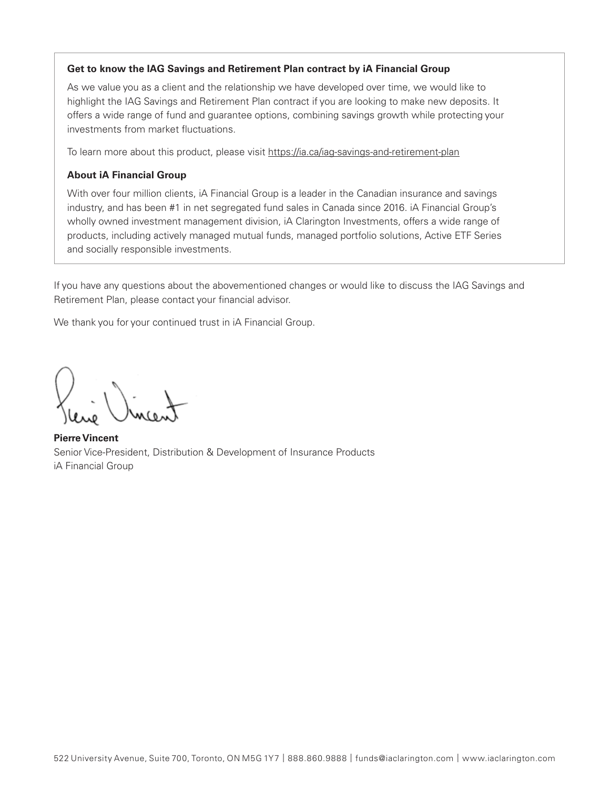# **Get to know the IAG Savings and Retirement Plan contract by iA Financial Group**

As we value you as a client and the relationship we have developed over time, we would like to highlight the IAG Savings and Retirement Plan contract if you are looking to make new deposits. It offers a wide range of fund and guarantee options, combining savings growth while protecting your investments from market fluctuations.

To learn more about this product, please visit https://ia.ca/iag-savings-and-retirement-plan

#### **About iA Financial Group**

With over four million clients, iA Financial Group is a leader in the Canadian insurance and savings industry, and has been #1 in net segregated fund sales in Canada since 2016. iA Financial Group's wholly owned investment management division, iA Clarington Investments, offers a wide range of products, including actively managed mutual funds, managed portfolio solutions, Active ETF Series and socially responsible investments.

If you have any questions about the abovementioned changes or would like to discuss the IAG Savings and Retirement Plan, please contact your financial advisor.

We thank you for your continued trust in iA Financial Group.

**Pierre Vincent** Senior Vice-President, Distribution & Development of Insurance Products iA Financial Group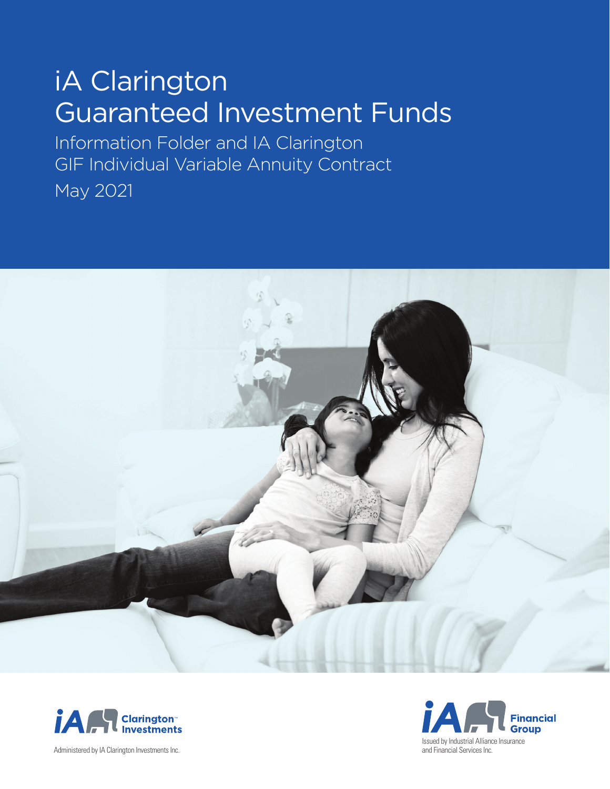# iA Clarington Guaranteed Investment Funds

Information Folder and IA Clarington GIF Individual Variable Annuity Contract May 2021





Administered by IA Clarington Investments Inc.

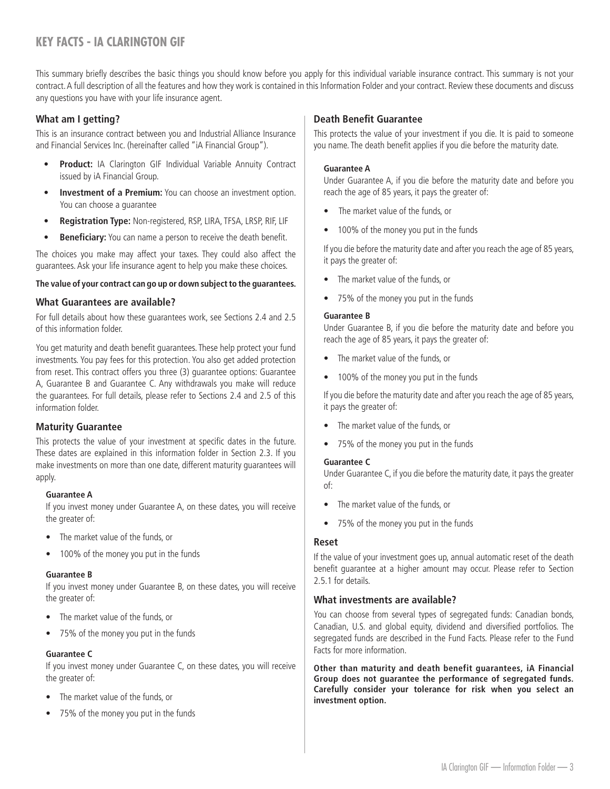# <span id="page-3-0"></span>**KEY FACTS - IA CLARINGTON GIF**

This summary briefly describes the basic things you should know before you apply for this individual variable insurance contract. This summary is not your contract. A full description of all the features and how they work is contained in this Information Folder and your contract. Review these documents and discuss any questions you have with your life insurance agent.

# **What am I getting?**

This is an insurance contract between you and Industrial Alliance Insurance and Financial Services Inc. (hereinafter called "iA Financial Group").

- **Product:** IA Clarington GIF Individual Variable Annuity Contract issued by iA Financial Group.
- **Investment of a Premium:** You can choose an investment option. You can choose a guarantee
- **Registration Type:** Non-registered, RSP, LIRA, TFSA, LRSP, RIF, LIF
- **Beneficiary:** You can name a person to receive the death benefit.

The choices you make may affect your taxes. They could also affect the guarantees. Ask your life insurance agent to help you make these choices.

#### **The value of your contract can go up or down subject to the guarantees.**

#### **What Guarantees are available?**

For full details about how these guarantees work, see Sections 2.4 and 2.5 of this information folder.

You get maturity and death benefit guarantees. These help protect your fund investments. You pay fees for this protection. You also get added protection from reset. This contract offers you three (3) guarantee options: Guarantee A, Guarantee B and Guarantee C. Any withdrawals you make will reduce the guarantees. For full details, please refer to Sections 2.4 and 2.5 of this information folder.

#### **Maturity Guarantee**

This protects the value of your investment at specific dates in the future. These dates are explained in this information folder in Section 2.3. If you make investments on more than one date, different maturity guarantees will apply.

#### **Guarantee A**

If you invest money under Guarantee A, on these dates, you will receive the greater of:

- The market value of the funds, or
- 100% of the money you put in the funds

#### **Guarantee B**

If you invest money under Guarantee B, on these dates, you will receive the greater of:

- The market value of the funds, or
- 75% of the money you put in the funds

#### **Guarantee C**

If you invest money under Guarantee C, on these dates, you will receive the greater of:

- The market value of the funds, or
- 75% of the money you put in the funds

## **Death Benefit Guarantee**

This protects the value of your investment if you die. It is paid to someone you name. The death benefit applies if you die before the maturity date.

#### **Guarantee A**

Under Guarantee A, if you die before the maturity date and before you reach the age of 85 years, it pays the greater of:

- The market value of the funds, or
- 100% of the money you put in the funds

If you die before the maturity date and after you reach the age of 85 years, it pays the greater of:

- The market value of the funds, or
- 75% of the money you put in the funds

#### **Guarantee B**

Under Guarantee B, if you die before the maturity date and before you reach the age of 85 years, it pays the greater of:

- The market value of the funds, or
- 100% of the money you put in the funds

If you die before the maturity date and after you reach the age of 85 years, it pays the greater of:

- The market value of the funds, or
- 75% of the money you put in the funds

#### **Guarantee C**

Under Guarantee C, if you die before the maturity date, it pays the greater of:

- The market value of the funds, or
- 75% of the money you put in the funds

#### **Reset**

If the value of your investment goes up, annual automatic reset of the death benefit guarantee at a higher amount may occur. Please refer to Section 2.5.1 for details.

#### **What investments are available?**

You can choose from several types of segregated funds: Canadian bonds, Canadian, U.S. and global equity, dividend and diversified portfolios. The segregated funds are described in the Fund Facts. Please refer to the Fund Facts for more information.

**Other than maturity and death benefit guarantees, iA Financial Group does not guarantee the performance of segregated funds. Carefully consider your tolerance for risk when you select an investment option.**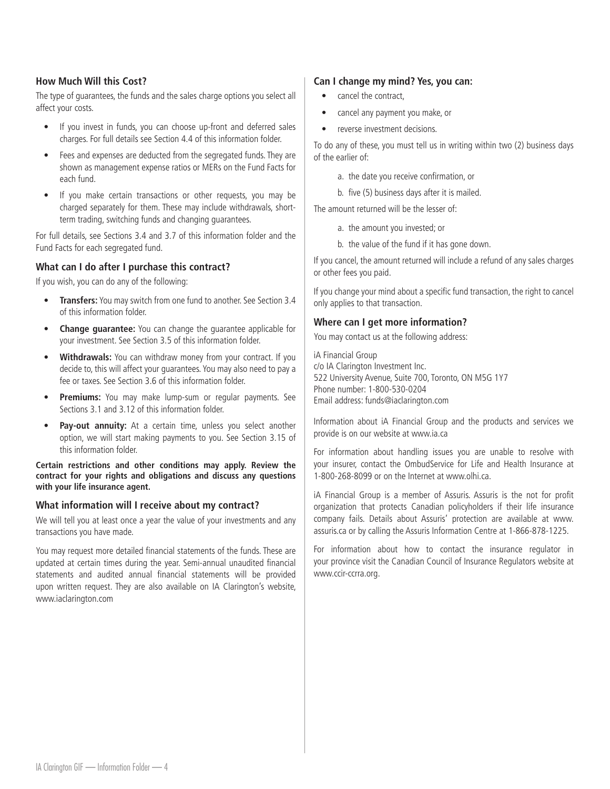# **How Much Will this Cost?**

The type of guarantees, the funds and the sales charge options you select all affect your costs.

- If you invest in funds, you can choose up-front and deferred sales charges. For full details see Section 4.4 of this information folder.
- Fees and expenses are deducted from the segregated funds. They are shown as management expense ratios or MERs on the Fund Facts for each fund.
- If you make certain transactions or other requests, you may be charged separately for them. These may include withdrawals, shortterm trading, switching funds and changing guarantees.

For full details, see Sections 3.4 and 3.7 of this information folder and the Fund Facts for each segregated fund.

# **What can I do after I purchase this contract?**

If you wish, you can do any of the following:

- **Transfers:** You may switch from one fund to another. See Section 3.4 of this information folder.
- **Change guarantee:** You can change the guarantee applicable for your investment. See Section 3.5 of this information folder.
- **Withdrawals:** You can withdraw money from your contract. If you decide to, this will affect your guarantees. You may also need to pay a fee or taxes. See Section 3.6 of this information folder.
- **Premiums:** You may make lump-sum or regular payments. See Sections 3.1 and 3.12 of this information folder.
- **Pay-out annuity:** At a certain time, unless you select another option, we will start making payments to you. See Section 3.15 of this information folder.

**Certain restrictions and other conditions may apply. Review the contract for your rights and obligations and discuss any questions with your life insurance agent.**

#### **What information will I receive about my contract?**

We will tell you at least once a year the value of your investments and any transactions you have made.

You may request more detailed financial statements of the funds. These are updated at certain times during the year. Semi-annual unaudited financial statements and audited annual financial statements will be provided upon written request. They are also available on IA Clarington's website, www.iaclarington.com

#### **Can I change my mind? Yes, you can:**

- cancel the contract,
- cancel any payment you make, or
- reverse investment decisions.

To do any of these, you must tell us in writing within two (2) business days of the earlier of:

- a. the date you receive confirmation, or
- b. five (5) business days after it is mailed.

The amount returned will be the lesser of:

- a. the amount you invested; or
- b. the value of the fund if it has gone down.

If you cancel, the amount returned will include a refund of any sales charges or other fees you paid.

If you change your mind about a specific fund transaction, the right to cancel only applies to that transaction.

#### **Where can I get more information?**

You may contact us at the following address:

iA Financial Group c/o IA Clarington Investment Inc. 522 University Avenue, Suite 700, Toronto, ON M5G 1Y7 Phone number: 1-800-530-0204 Email address: funds@iaclarington.com

Information about iA Financial Group and the products and services we provide is on our website at www.ia.ca

For information about handling issues you are unable to resolve with your insurer, contact the OmbudService for Life and Health Insurance at 1-800-268-8099 or on the Internet at www.olhi.ca.

iA Financial Group is a member of Assuris. Assuris is the not for profit organization that protects Canadian policyholders if their life insurance company fails. Details about Assuris' protection are available at www. assuris.ca or by calling the Assuris Information Centre at 1-866-878-1225.

For information about how to contact the insurance regulator in your province visit the Canadian Council of Insurance Regulators website at www.ccir-ccrra.org.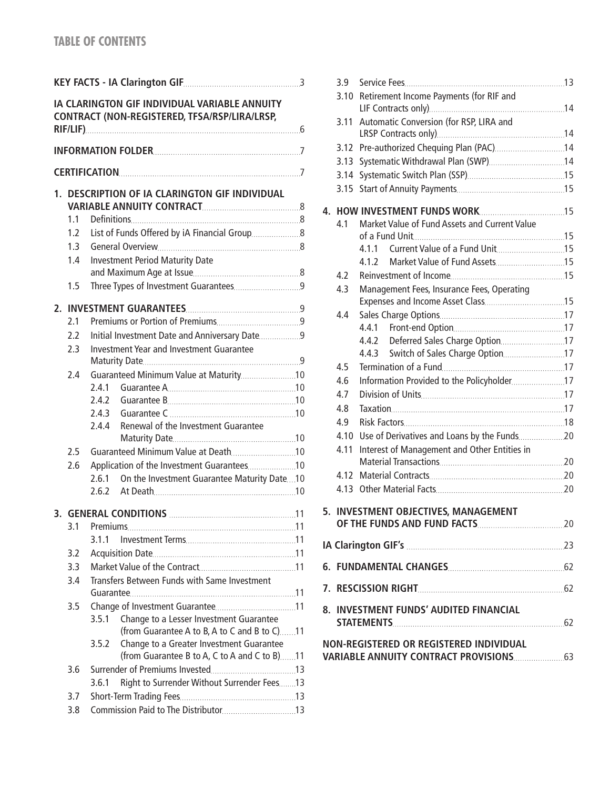|    |                                                |                                              | IA CLARINGTON GIF INDIVIDUAL VARIABLE ANNUITY<br>CONTRACT (NON-REGISTERED, TFSA/RSP/LIRA/LRSP, |  |  |  |
|----|------------------------------------------------|----------------------------------------------|------------------------------------------------------------------------------------------------|--|--|--|
|    |                                                |                                              |                                                                                                |  |  |  |
|    |                                                |                                              |                                                                                                |  |  |  |
|    | 1. DESCRIPTION OF IA CLARINGTON GIF INDIVIDUAL |                                              |                                                                                                |  |  |  |
|    | 1.1                                            |                                              |                                                                                                |  |  |  |
|    | 1.2 <sup>1</sup>                               |                                              |                                                                                                |  |  |  |
|    | 1.3                                            |                                              |                                                                                                |  |  |  |
|    | 1.4                                            |                                              | <b>Investment Period Maturity Date</b>                                                         |  |  |  |
|    |                                                |                                              |                                                                                                |  |  |  |
|    | 1.5                                            |                                              |                                                                                                |  |  |  |
| 2. |                                                |                                              |                                                                                                |  |  |  |
|    | 2.1                                            |                                              |                                                                                                |  |  |  |
|    | 2.2                                            |                                              | Initial Investment Date and Anniversary Date 9                                                 |  |  |  |
|    | 2.3                                            |                                              | Investment Year and Investment Guarantee                                                       |  |  |  |
|    | 2.4                                            |                                              |                                                                                                |  |  |  |
|    |                                                | 2.4.1                                        |                                                                                                |  |  |  |
|    |                                                | 2.4.2                                        |                                                                                                |  |  |  |
|    |                                                | 2.4.3                                        |                                                                                                |  |  |  |
|    |                                                | 2.4.4                                        | Renewal of the Investment Guarantee                                                            |  |  |  |
|    |                                                |                                              |                                                                                                |  |  |  |
|    | 2.5                                            |                                              |                                                                                                |  |  |  |
|    | 2.6                                            |                                              | Application of the Investment Guarantees10                                                     |  |  |  |
|    |                                                | 261                                          | On the Investment Guarantee Maturity Date10                                                    |  |  |  |
|    |                                                |                                              |                                                                                                |  |  |  |
|    |                                                |                                              |                                                                                                |  |  |  |
|    | 3.1                                            |                                              |                                                                                                |  |  |  |
|    |                                                | 311                                          |                                                                                                |  |  |  |
|    | 3.2                                            |                                              |                                                                                                |  |  |  |
|    | 3.3                                            |                                              |                                                                                                |  |  |  |
|    | 3.4                                            | Transfers Between Funds with Same Investment |                                                                                                |  |  |  |
|    |                                                |                                              |                                                                                                |  |  |  |
|    | 3.5                                            |                                              |                                                                                                |  |  |  |
|    |                                                | 3.5.1                                        | Change to a Lesser Investment Guarantee                                                        |  |  |  |
|    |                                                |                                              | (from Guarantee A to B, A to C and B to C)11                                                   |  |  |  |
|    |                                                | 3.5.2                                        | Change to a Greater Investment Guarantee<br>(from Guarantee B to A, C to A and C to B)11       |  |  |  |
|    | 3.6                                            |                                              |                                                                                                |  |  |  |
|    |                                                | 3.6.1                                        | Right to Surrender Without Surrender Fees13                                                    |  |  |  |
|    | 3.7                                            |                                              |                                                                                                |  |  |  |
|    | 3.8                                            |                                              |                                                                                                |  |  |  |
|    |                                                |                                              |                                                                                                |  |  |  |

|    | 3.9        |                                               |  |  |  |  |
|----|------------|-----------------------------------------------|--|--|--|--|
|    | 3.10       | Retirement Income Payments (for RIF and       |  |  |  |  |
|    | 3.11       | Automatic Conversion (for RSP, LIRA and       |  |  |  |  |
|    |            |                                               |  |  |  |  |
|    | 3.12       | Pre-authorized Chequing Plan (PAC)14          |  |  |  |  |
|    | 3.13       |                                               |  |  |  |  |
|    | 3.14       |                                               |  |  |  |  |
|    | 3.15       |                                               |  |  |  |  |
| 4. |            |                                               |  |  |  |  |
|    | 41         | Market Value of Fund Assets and Current Value |  |  |  |  |
|    |            |                                               |  |  |  |  |
|    |            | 4.1.1                                         |  |  |  |  |
|    |            |                                               |  |  |  |  |
|    | 4.2        |                                               |  |  |  |  |
|    | 4.3        | Management Fees, Insurance Fees, Operating    |  |  |  |  |
|    |            |                                               |  |  |  |  |
|    | 4.4        |                                               |  |  |  |  |
|    |            |                                               |  |  |  |  |
|    |            | 4.4.2<br>Deferred Sales Charge Option17       |  |  |  |  |
|    |            | 4.4.3                                         |  |  |  |  |
|    | 4.5        |                                               |  |  |  |  |
|    | 4.6<br>4.7 |                                               |  |  |  |  |
|    | 4.8        |                                               |  |  |  |  |
|    | 4.9        |                                               |  |  |  |  |
|    | 4.10       |                                               |  |  |  |  |
|    | 4.11       | Interest of Management and Other Entities in  |  |  |  |  |
|    |            |                                               |  |  |  |  |
|    | 4.12       |                                               |  |  |  |  |
|    |            |                                               |  |  |  |  |
|    |            |                                               |  |  |  |  |
|    |            | 5. INVESTMENT OBJECTIVES, MANAGEMENT          |  |  |  |  |
|    |            |                                               |  |  |  |  |
|    |            |                                               |  |  |  |  |
|    |            |                                               |  |  |  |  |
|    |            | 8. INVESTMENT FUNDS' AUDITED FINANCIAL        |  |  |  |  |
|    |            |                                               |  |  |  |  |
|    |            | NON-REGISTERED OR REGISTERED INDIVIDUAL       |  |  |  |  |
|    |            |                                               |  |  |  |  |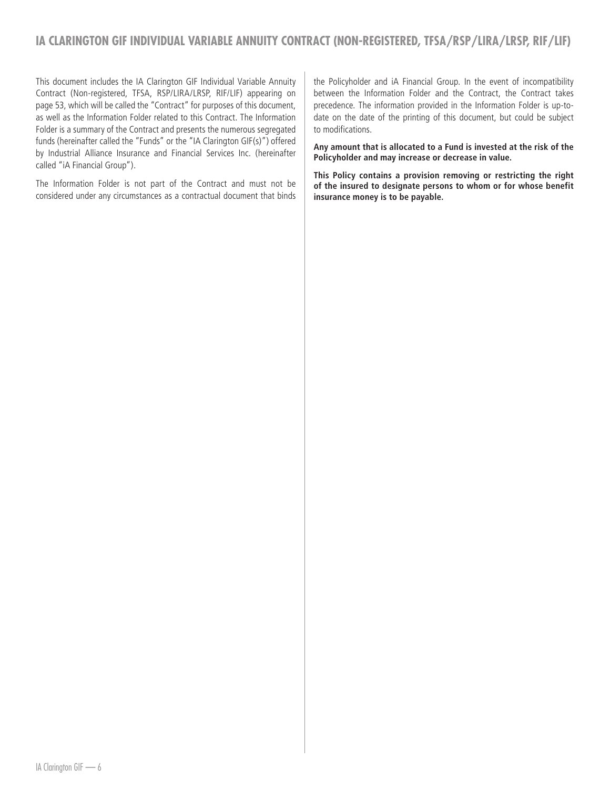<span id="page-6-0"></span>This document includes the IA Clarington GIF Individual Variable Annuity Contract (Non-registered, TFSA, RSP/LIRA/LRSP, RIF/LIF) appearing on page 53, which will be called the "Contract" for purposes of this document, as well as the Information Folder related to this Contract. The Information Folder is a summary of the Contract and presents the numerous segregated funds (hereinafter called the "Funds" or the "IA Clarington GIF(s)") offered by Industrial Alliance Insurance and Financial Services Inc. (hereinafter called "iA Financial Group").

The Information Folder is not part of the Contract and must not be considered under any circumstances as a contractual document that binds the Policyholder and iA Financial Group. In the event of incompatibility between the Information Folder and the Contract, the Contract takes precedence. The information provided in the Information Folder is up-todate on the date of the printing of this document, but could be subject to modifications.

**Any amount that is allocated to a Fund is invested at the risk of the Policyholder and may increase or decrease in value.**

**This Policy contains a provision removing or restricting the right of the insured to designate persons to whom or for whose benefit insurance money is to be payable.**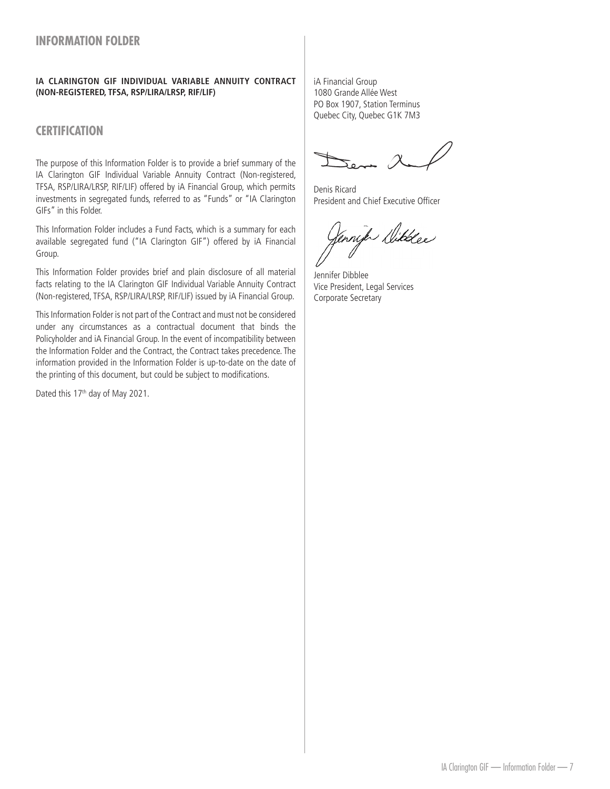# <span id="page-7-0"></span>**IA CLARINGTON GIF INDIVIDUAL VARIABLE ANNUITY CONTRACT (NON-REGISTERED, TFSA, RSP/LIRA/LRSP, RIF/LIF)**

# **CERTIFICATION**

The purpose of this Information Folder is to provide a brief summary of the IA Clarington GIF Individual Variable Annuity Contract (Non-registered, TFSA, RSP/LIRA/LRSP, RIF/LIF) offered by iA Financial Group, which permits investments in segregated funds, referred to as "Funds" or "IA Clarington GIFs" in this Folder.

This Information Folder includes a Fund Facts, which is a summary for each available segregated fund ("IA Clarington GIF") offered by iA Financial Group.

This Information Folder provides brief and plain disclosure of all material facts relating to the IA Clarington GIF Individual Variable Annuity Contract (Non-registered, TFSA, RSP/LIRA/LRSP, RIF/LIF) issued by iA Financial Group.

This Information Folder is not part of the Contract and must not be considered under any circumstances as a contractual document that binds the Policyholder and iA Financial Group. In the event of incompatibility between the Information Folder and the Contract, the Contract takes precedence. The information provided in the Information Folder is up-to-date on the date of the printing of this document, but could be subject to modifications.

Dated this 17<sup>th</sup> day of May 2021.

iA Financial Group 1080 Grande Allée West PO Box 1907, Station Terminus Quebec City, Quebec G1K 7M3

Denis Ricard President and Chief Executive Officer

nik Dikkee

Jennifer Dibblee Vice President, Legal Services Corporate Secretary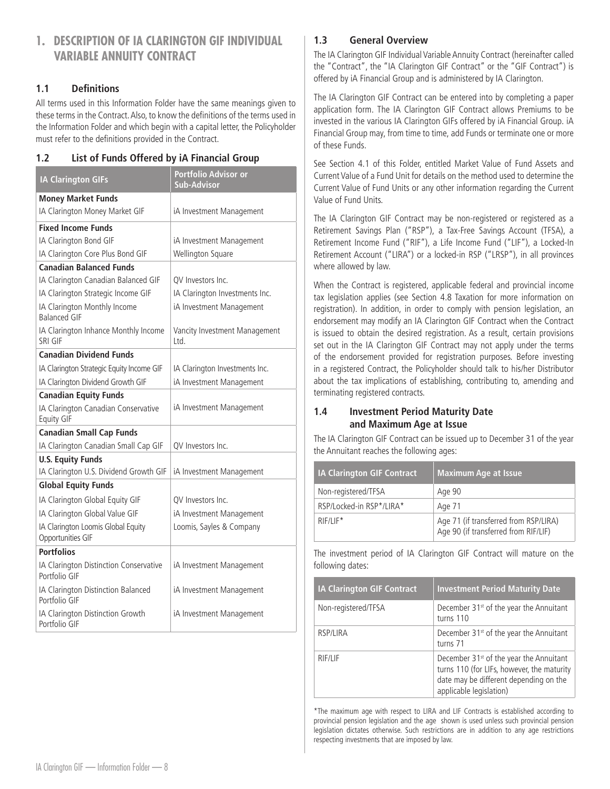# <span id="page-8-0"></span>**1. DESCRIPTION OF IA CLARINGTON GIF INDIVIDUAL VARIABLE ANNUITY CONTRACT**

# **1.1 Definitions**

All terms used in this Information Folder have the same meanings given to these terms in the Contract. Also, to know the definitions of the terms used in the Information Folder and which begin with a capital letter, the Policyholder must refer to the definitions provided in the Contract.

# **1.2 List of Funds Offered by iA Financial Group**

| <b>IA Clarington GIFs</b>                                | Portfolio Advisor or<br><b>Sub-Advisor</b> |
|----------------------------------------------------------|--------------------------------------------|
| <b>Money Market Funds</b>                                |                                            |
| IA Clarington Money Market GIF                           | iA Investment Management                   |
| <b>Fixed Income Funds</b>                                |                                            |
| IA Clarington Bond GIF                                   | iA Investment Management                   |
| IA Clarington Core Plus Bond GIF                         | Wellington Square                          |
| <b>Canadian Balanced Funds</b>                           |                                            |
| IA Clarington Canadian Balanced GIF                      | QV Investors Inc.                          |
| IA Clarington Strategic Income GIF                       | IA Clarington Investments Inc.             |
| IA Clarington Monthly Income<br><b>Balanced GIF</b>      | iA Investment Management                   |
| IA Clarington Inhance Monthly Income<br>SRI GIF          | Vancity Investment Management<br>Ltd.      |
| <b>Canadian Dividend Funds</b>                           |                                            |
| IA Clarington Strategic Equity Income GIF                | IA Clarington Investments Inc.             |
| IA Clarington Dividend Growth GIF                        | iA Investment Management                   |
| <b>Canadian Equity Funds</b>                             |                                            |
| IA Clarington Canadian Conservative<br><b>Equity GIF</b> | iA Investment Management                   |
| <b>Canadian Small Cap Funds</b>                          |                                            |
| IA Clarington Canadian Small Cap GIF                     | QV Investors Inc.                          |
| <b>U.S. Equity Funds</b>                                 |                                            |
| IA Clarington U.S. Dividend Growth GIF                   | iA Investment Management                   |
| <b>Global Equity Funds</b>                               |                                            |
| IA Clarington Global Equity GIF                          | QV Investors Inc.                          |
| IA Clarington Global Value GIF                           | iA Investment Management                   |
| IA Clarington Loomis Global Equity<br>Opportunities GIF  | Loomis, Sayles & Company                   |
| <b>Portfolios</b>                                        |                                            |
| IA Clarington Distinction Conservative<br>Portfolio GIF  | iA Investment Management                   |
| IA Clarington Distinction Balanced<br>Portfolio GIF      | iA Investment Management                   |
| IA Clarington Distinction Growth<br>Portfolio GIF        | iA Investment Management                   |

# **1.3 General Overview**

The IA Clarington GIF Individual Variable Annuity Contract (hereinafter called the "Contract", the "IA Clarington GIF Contract" or the "GIF Contract") is offered by iA Financial Group and is administered by IA Clarington.

The IA Clarington GIF Contract can be entered into by completing a paper application form. The IA Clarington GIF Contract allows Premiums to be invested in the various IA Clarington GIFs offered by iA Financial Group. iA Financial Group may, from time to time, add Funds or terminate one or more of these Funds.

See Section 4.1 of this Folder, entitled Market Value of Fund Assets and Current Value of a Fund Unit for details on the method used to determine the Current Value of Fund Units or any other information regarding the Current Value of Fund Units.

The IA Clarington GIF Contract may be non-registered or registered as a Retirement Savings Plan ("RSP"), a Tax-Free Savings Account (TFSA), a Retirement Income Fund ("RIF"), a Life Income Fund ("LIF"), a Locked-In Retirement Account ("LIRA") or a locked-in RSP ("LRSP"), in all provinces where allowed by law.

When the Contract is registered, applicable federal and provincial income tax legislation applies (see Section 4.8 Taxation for more information on registration). In addition, in order to comply with pension legislation, an endorsement may modify an IA Clarington GIF Contract when the Contract is issued to obtain the desired registration. As a result, certain provisions set out in the IA Clarington GIF Contract may not apply under the terms of the endorsement provided for registration purposes. Before investing in a registered Contract, the Policyholder should talk to his/her Distributor about the tax implications of establishing, contributing to, amending and terminating registered contracts.

# **1.4 Investment Period Maturity Date and Maximum Age at Issue**

The IA Clarington GIF Contract can be issued up to December 31 of the year the Annuitant reaches the following ages:

| <b>IA Clarington GIF Contract</b> | <b>Maximum Age at Issue</b>                                                   |  |
|-----------------------------------|-------------------------------------------------------------------------------|--|
| Non-registered/TFSA               | Age 90                                                                        |  |
| RSP/Locked-in RSP*/LIRA*          | Age 71                                                                        |  |
| $R$ $F$ / $F^*$                   | Age 71 (if transferred from RSP/LIRA)<br>Age 90 (if transferred from RIF/LIF) |  |

The investment period of IA Clarington GIF Contract will mature on the following dates:

| <b>IA Clarington GIF Contract</b> | <b>Investment Period Maturity Date</b>                                                                                                                                 |
|-----------------------------------|------------------------------------------------------------------------------------------------------------------------------------------------------------------------|
| Non-registered/TFSA               | December 31 <sup>st</sup> of the year the Annuitant<br>turns 110                                                                                                       |
| RSP/LIRA                          | December 31 <sup>st</sup> of the year the Annuitant<br>turns 71                                                                                                        |
| RIF/LIF                           | December 31 <sup>st</sup> of the year the Annuitant<br>turns 110 (for LIFs, however, the maturity<br>date may be different depending on the<br>applicable legislation) |

\*The maximum age with respect to LIRA and LIF Contracts is established according to provincial pension legislation and the age shown is used unless such provincial pension legislation dictates otherwise. Such restrictions are in addition to any age restrictions respecting investments that are imposed by law.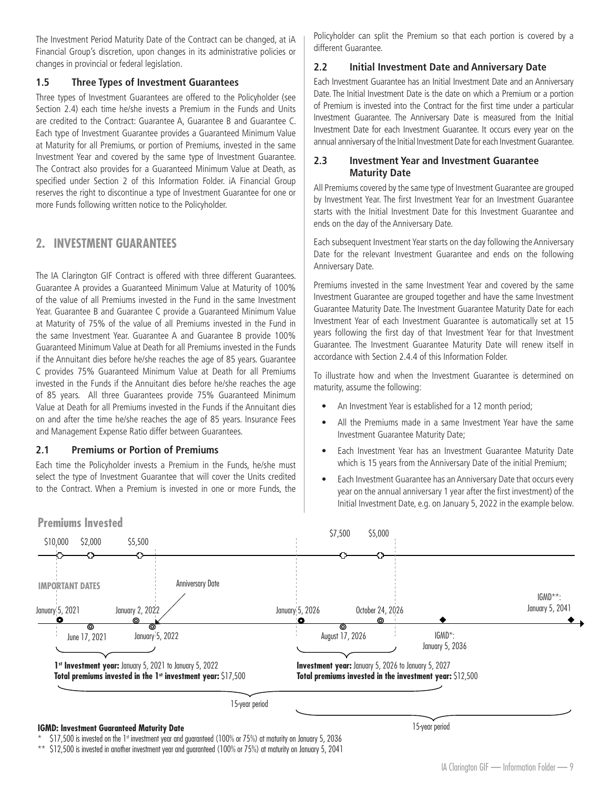<span id="page-9-0"></span>The Investment Period Maturity Date of the Contract can be changed, at iA Financial Group's discretion, upon changes in its administrative policies or changes in provincial or federal legislation.

# **1.5 Three Types of Investment Guarantees**

Three types of Investment Guarantees are offered to the Policyholder (see Section 2.4) each time he/she invests a Premium in the Funds and Units are credited to the Contract: Guarantee A, Guarantee B and Guarantee C. Each type of Investment Guarantee provides a Guaranteed Minimum Value at Maturity for all Premiums, or portion of Premiums, invested in the same Investment Year and covered by the same type of Investment Guarantee. The Contract also provides for a Guaranteed Minimum Value at Death, as specified under Section 2 of this Information Folder. iA Financial Group reserves the right to discontinue a type of Investment Guarantee for one or more Funds following written notice to the Policyholder.

# **2. INVESTMENT GUARANTEES**

The IA Clarington GIF Contract is offered with three different Guarantees. Guarantee A provides a Guaranteed Minimum Value at Maturity of 100% of the value of all Premiums invested in the Fund in the same Investment Year. Guarantee B and Guarantee C provide a Guaranteed Minimum Value at Maturity of 75% of the value of all Premiums invested in the Fund in the same Investment Year. Guarantee A and Guarantee B provide 100% Guaranteed Minimum Value at Death for all Premiums invested in the Funds if the Annuitant dies before he/she reaches the age of 85 years. Guarantee C provides 75% Guaranteed Minimum Value at Death for all Premiums invested in the Funds if the Annuitant dies before he/she reaches the age of 85 years. All three Guarantees provide 75% Guaranteed Minimum Value at Death for all Premiums invested in the Funds if the Annuitant dies on and after the time he/she reaches the age of 85 years. Insurance Fees and Management Expense Ratio differ between Guarantees.

## **2.1 Premiums or Portion of Premiums**

Each time the Policyholder invests a Premium in the Funds, he/she must select the type of Investment Guarantee that will cover the Units credited to the Contract. When a Premium is invested in one or more Funds, the

Policyholder can split the Premium so that each portion is covered by a different Guarantee.

#### **2.2 Initial Investment Date and Anniversary Date**

Each Investment Guarantee has an Initial Investment Date and an Anniversary Date. The Initial Investment Date is the date on which a Premium or a portion of Premium is invested into the Contract for the first time under a particular Investment Guarantee. The Anniversary Date is measured from the Initial Investment Date for each Investment Guarantee. It occurs every year on the annual anniversary of the Initial Investment Date for each Investment Guarantee.

## **2.3 Investment Year and Investment Guarantee Maturity Date**

All Premiums covered by the same type of Investment Guarantee are grouped by Investment Year. The first Investment Year for an Investment Guarantee starts with the Initial Investment Date for this Investment Guarantee and ends on the day of the Anniversary Date.

Each subsequent Investment Year starts on the day following the Anniversary Date for the relevant Investment Guarantee and ends on the following Anniversary Date.

Premiums invested in the same Investment Year and covered by the same Investment Guarantee are grouped together and have the same Investment Guarantee Maturity Date. The Investment Guarantee Maturity Date for each Investment Year of each Investment Guarantee is automatically set at 15 years following the first day of that Investment Year for that Investment Guarantee. The Investment Guarantee Maturity Date will renew itself in accordance with Section 2.4.4 of this Information Folder.

To illustrate how and when the Investment Guarantee is determined on maturity, assume the following:

- An Investment Year is established for a 12 month period;
- All the Premiums made in a same Investment Year have the same Investment Guarantee Maturity Date;
- Each Investment Year has an Investment Guarantee Maturity Date which is 15 years from the Anniversary Date of the initial Premium;
- Each Investment Guarantee has an Anniversary Date that occurs every year on the annual anniversary 1 year after the first investment) of the Initial Investment Date, e.g. on January 5, 2022 in the example below.



 $$17,500$  is invested on the 1st investment year and guaranteed (100% or 75%) at maturity on January 5, 2036

\*\* \$12,500 is invested in another investment year and guaranteed (100% or 75%) at maturity on January 5, 2041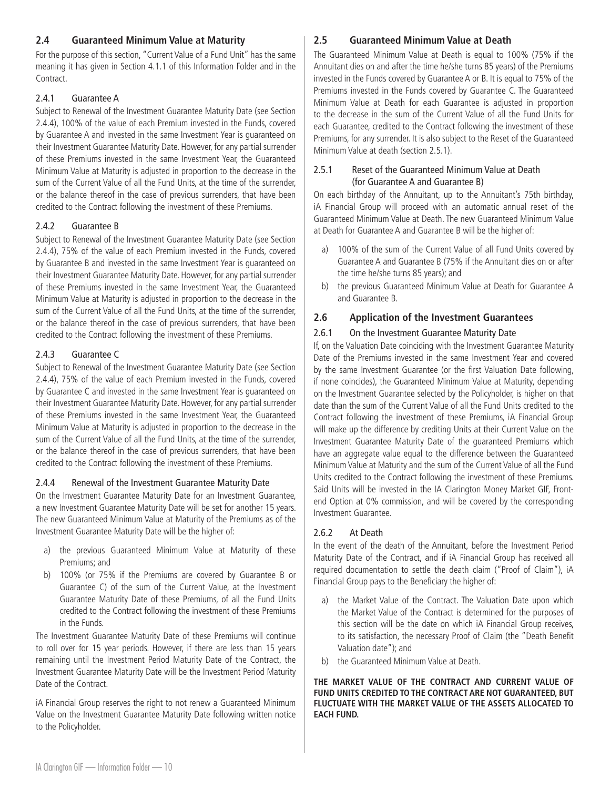# <span id="page-10-0"></span>**2.4 Guaranteed Minimum Value at Maturity**

For the purpose of this section, "Current Value of a Fund Unit" has the same meaning it has given in Section 4.1.1 of this Information Folder and in the Contract.

#### 2.4.1 Guarantee A

Subject to Renewal of the Investment Guarantee Maturity Date (see Section 2.4.4), 100% of the value of each Premium invested in the Funds, covered by Guarantee A and invested in the same Investment Year is guaranteed on their Investment Guarantee Maturity Date. However, for any partial surrender of these Premiums invested in the same Investment Year, the Guaranteed Minimum Value at Maturity is adjusted in proportion to the decrease in the sum of the Current Value of all the Fund Units, at the time of the surrender, or the balance thereof in the case of previous surrenders, that have been credited to the Contract following the investment of these Premiums.

## 2.4.2 Guarantee B

Subject to Renewal of the Investment Guarantee Maturity Date (see Section 2.4.4), 75% of the value of each Premium invested in the Funds, covered by Guarantee B and invested in the same Investment Year is guaranteed on their Investment Guarantee Maturity Date. However, for any partial surrender of these Premiums invested in the same Investment Year, the Guaranteed Minimum Value at Maturity is adjusted in proportion to the decrease in the sum of the Current Value of all the Fund Units, at the time of the surrender, or the balance thereof in the case of previous surrenders, that have been credited to the Contract following the investment of these Premiums.

## 2.4.3 Guarantee C

Subject to Renewal of the Investment Guarantee Maturity Date (see Section 2.4.4), 75% of the value of each Premium invested in the Funds, covered by Guarantee C and invested in the same Investment Year is guaranteed on their Investment Guarantee Maturity Date. However, for any partial surrender of these Premiums invested in the same Investment Year, the Guaranteed Minimum Value at Maturity is adjusted in proportion to the decrease in the sum of the Current Value of all the Fund Units, at the time of the surrender, or the balance thereof in the case of previous surrenders, that have been credited to the Contract following the investment of these Premiums.

# 2.4.4 Renewal of the Investment Guarantee Maturity Date

On the Investment Guarantee Maturity Date for an Investment Guarantee, a new Investment Guarantee Maturity Date will be set for another 15 years. The new Guaranteed Minimum Value at Maturity of the Premiums as of the Investment Guarantee Maturity Date will be the higher of:

- a) the previous Guaranteed Minimum Value at Maturity of these Premiums; and
- b) 100% (or 75% if the Premiums are covered by Guarantee B or Guarantee C) of the sum of the Current Value, at the Investment Guarantee Maturity Date of these Premiums, of all the Fund Units credited to the Contract following the investment of these Premiums in the Funds.

The Investment Guarantee Maturity Date of these Premiums will continue to roll over for 15 year periods. However, if there are less than 15 years remaining until the Investment Period Maturity Date of the Contract, the Investment Guarantee Maturity Date will be the Investment Period Maturity Date of the Contract.

iA Financial Group reserves the right to not renew a Guaranteed Minimum Value on the Investment Guarantee Maturity Date following written notice to the Policyholder.

# **2.5 Guaranteed Minimum Value at Death**

The Guaranteed Minimum Value at Death is equal to 100% (75% if the Annuitant dies on and after the time he/she turns 85 years) of the Premiums invested in the Funds covered by Guarantee A or B. It is equal to 75% of the Premiums invested in the Funds covered by Guarantee C. The Guaranteed Minimum Value at Death for each Guarantee is adjusted in proportion to the decrease in the sum of the Current Value of all the Fund Units for each Guarantee, credited to the Contract following the investment of these Premiums, for any surrender. It is also subject to the Reset of the Guaranteed Minimum Value at death (section 2.5.1).

## 2.5.1 Reset of the Guaranteed Minimum Value at Death (for Guarantee A and Guarantee B)

On each birthday of the Annuitant, up to the Annuitant's 75th birthday, iA Financial Group will proceed with an automatic annual reset of the Guaranteed Minimum Value at Death. The new Guaranteed Minimum Value at Death for Guarantee A and Guarantee B will be the higher of:

- a) 100% of the sum of the Current Value of all Fund Units covered by Guarantee A and Guarantee B (75% if the Annuitant dies on or after the time he/she turns 85 years); and
- b) the previous Guaranteed Minimum Value at Death for Guarantee A and Guarantee B.

# **2.6 Application of the Investment Guarantees**

## 2.6.1 On the Investment Guarantee Maturity Date

If, on the Valuation Date coinciding with the Investment Guarantee Maturity Date of the Premiums invested in the same Investment Year and covered by the same Investment Guarantee (or the first Valuation Date following, if none coincides), the Guaranteed Minimum Value at Maturity, depending on the Investment Guarantee selected by the Policyholder, is higher on that date than the sum of the Current Value of all the Fund Units credited to the Contract following the investment of these Premiums, iA Financial Group will make up the difference by crediting Units at their Current Value on the Investment Guarantee Maturity Date of the guaranteed Premiums which have an aggregate value equal to the difference between the Guaranteed Minimum Value at Maturity and the sum of the Current Value of all the Fund Units credited to the Contract following the investment of these Premiums. Said Units will be invested in the IA Clarington Money Market GIF, Frontend Option at 0% commission, and will be covered by the corresponding Investment Guarantee.

# 2.6.2 At Death

In the event of the death of the Annuitant, before the Investment Period Maturity Date of the Contract, and if iA Financial Group has received all required documentation to settle the death claim ("Proof of Claim"), iA Financial Group pays to the Beneficiary the higher of:

- a) the Market Value of the Contract. The Valuation Date upon which the Market Value of the Contract is determined for the purposes of this section will be the date on which iA Financial Group receives, to its satisfaction, the necessary Proof of Claim (the "Death Benefit Valuation date"); and
- b) the Guaranteed Minimum Value at Death.

**THE MARKET VALUE OF THE CONTRACT AND CURRENT VALUE OF FUND UNITS CREDITED TO THE CONTRACT ARE NOT GUARANTEED, BUT FLUCTUATE WITH THE MARKET VALUE OF THE ASSETS ALLOCATED TO EACH FUND.**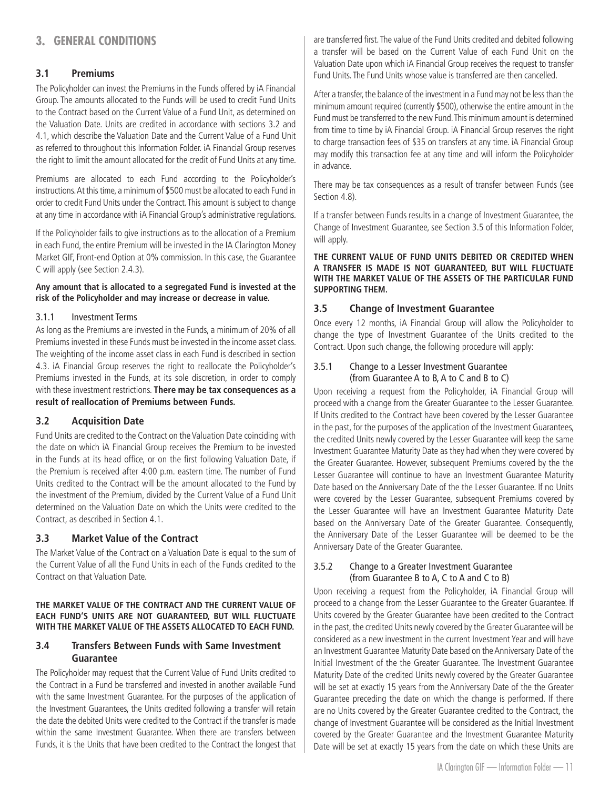# <span id="page-11-0"></span>**3. GENERAL CONDITIONS**

# **3.1 Premiums**

The Policyholder can invest the Premiums in the Funds offered by iA Financial Group. The amounts allocated to the Funds will be used to credit Fund Units to the Contract based on the Current Value of a Fund Unit, as determined on the Valuation Date. Units are credited in accordance with sections 3.2 and 4.1, which describe the Valuation Date and the Current Value of a Fund Unit as referred to throughout this Information Folder. iA Financial Group reserves the right to limit the amount allocated for the credit of Fund Units at any time.

Premiums are allocated to each Fund according to the Policyholder's instructions. At this time, a minimum of \$500 must be allocated to each Fund in order to credit Fund Units under the Contract. This amount is subject to change at any time in accordance with iA Financial Group's administrative regulations.

If the Policyholder fails to give instructions as to the allocation of a Premium in each Fund, the entire Premium will be invested in the IA Clarington Money Market GIF, Front-end Option at 0% commission. In this case, the Guarantee C will apply (see Section 2.4.3).

#### **Any amount that is allocated to a segregated Fund is invested at the risk of the Policyholder and may increase or decrease in value.**

#### 3.1.1 Investment Terms

As long as the Premiums are invested in the Funds, a minimum of 20% of all Premiums invested in these Funds must be invested in the income asset class. The weighting of the income asset class in each Fund is described in section 4.3. iA Financial Group reserves the right to reallocate the Policyholder's Premiums invested in the Funds, at its sole discretion, in order to comply with these investment restrictions. **There may be tax consequences as a result of reallocation of Premiums between Funds.**

#### **3.2 Acquisition Date**

Fund Units are credited to the Contract on the Valuation Date coinciding with the date on which iA Financial Group receives the Premium to be invested in the Funds at its head office, or on the first following Valuation Date, if the Premium is received after 4:00 p.m. eastern time. The number of Fund Units credited to the Contract will be the amount allocated to the Fund by the investment of the Premium, divided by the Current Value of a Fund Unit determined on the Valuation Date on which the Units were credited to the Contract, as described in Section 4.1.

## **3.3 Market Value of the Contract**

The Market Value of the Contract on a Valuation Date is equal to the sum of the Current Value of all the Fund Units in each of the Funds credited to the Contract on that Valuation Date.

#### **THE MARKET VALUE OF THE CONTRACT AND THE CURRENT VALUE OF EACH FUND'S UNITS ARE NOT GUARANTEED, BUT WILL FLUCTUATE WITH THE MARKET VALUE OF THE ASSETS ALLOCATED TO EACH FUND.**

# **3.4 Transfers Between Funds with Same Investment Guarantee**

The Policyholder may request that the Current Value of Fund Units credited to the Contract in a Fund be transferred and invested in another available Fund with the same Investment Guarantee. For the purposes of the application of the Investment Guarantees, the Units credited following a transfer will retain the date the debited Units were credited to the Contract if the transfer is made within the same Investment Guarantee. When there are transfers between Funds, it is the Units that have been credited to the Contract the longest that

are transferred first. The value of the Fund Units credited and debited following a transfer will be based on the Current Value of each Fund Unit on the Valuation Date upon which iA Financial Group receives the request to transfer Fund Units. The Fund Units whose value is transferred are then cancelled.

After a transfer, the balance of the investment in a Fund may not be less than the minimum amount required (currently \$500), otherwise the entire amount in the Fund must be transferred to the new Fund. This minimum amount is determined from time to time by iA Financial Group. iA Financial Group reserves the right to charge transaction fees of \$35 on transfers at any time. iA Financial Group may modify this transaction fee at any time and will inform the Policyholder in advance.

There may be tax consequences as a result of transfer between Funds (see Section 4.8).

If a transfer between Funds results in a change of Investment Guarantee, the Change of Investment Guarantee, see Section 3.5 of this Information Folder, will apply.

#### **THE CURRENT VALUE OF FUND UNITS DEBITED OR CREDITED WHEN A TRANSFER IS MADE IS NOT GUARANTEED, BUT WILL FLUCTUATE WITH THE MARKET VALUE OF THE ASSETS OF THE PARTICULAR FUND SUPPORTING THEM.**

# **3.5 Change of Investment Guarantee**

Once every 12 months, iA Financial Group will allow the Policyholder to change the type of Investment Guarantee of the Units credited to the Contract. Upon such change, the following procedure will apply:

# 3.5.1 Change to a Lesser Investment Guarantee (from Guarantee A to B, A to C and B to C)

Upon receiving a request from the Policyholder, iA Financial Group will proceed with a change from the Greater Guarantee to the Lesser Guarantee. If Units credited to the Contract have been covered by the Lesser Guarantee in the past, for the purposes of the application of the Investment Guarantees, the credited Units newly covered by the Lesser Guarantee will keep the same Investment Guarantee Maturity Date as they had when they were covered by the Greater Guarantee. However, subsequent Premiums covered by the the Lesser Guarantee will continue to have an Investment Guarantee Maturity Date based on the Anniversary Date of the the Lesser Guarantee. If no Units were covered by the Lesser Guarantee, subsequent Premiums covered by the Lesser Guarantee will have an Investment Guarantee Maturity Date based on the Anniversary Date of the Greater Guarantee. Consequently, the Anniversary Date of the Lesser Guarantee will be deemed to be the Anniversary Date of the Greater Guarantee.

#### 3.5.2 Change to a Greater Investment Guarantee (from Guarantee B to A, C to A and C to B)

Upon receiving a request from the Policyholder, iA Financial Group will proceed to a change from the Lesser Guarantee to the Greater Guarantee. If Units covered by the Greater Guarantee have been credited to the Contract in the past, the credited Units newly covered by the Greater Guarantee will be considered as a new investment in the current Investment Year and will have an Investment Guarantee Maturity Date based on the Anniversary Date of the Initial Investment of the the Greater Guarantee. The Investment Guarantee Maturity Date of the credited Units newly covered by the Greater Guarantee will be set at exactly 15 years from the Anniversary Date of the the Greater Guarantee preceding the date on which the change is performed. If there are no Units covered by the Greater Guarantee credited to the Contract, the change of Investment Guarantee will be considered as the Initial Investment covered by the Greater Guarantee and the Investment Guarantee Maturity Date will be set at exactly 15 years from the date on which these Units are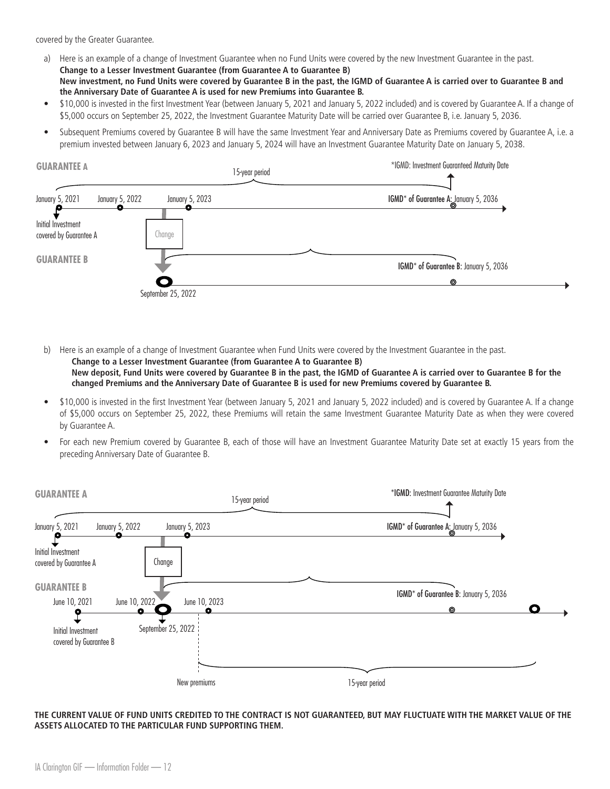covered by the Greater Guarantee.

- a) Here is an example of a change of Investment Guarantee when no Fund Units were covered by the new Investment Guarantee in the past. **Change to a Lesser Investment Guarantee (from Guarantee A to Guarantee B) New investment, no Fund Units were covered by Guarantee B in the past, the IGMD of Guarantee A is carried over to Guarantee B and the Anniversary Date of Guarantee A is used for new Premiums into Guarantee B.**
- \$10,000 is invested in the first Investment Year (between January 5, 2021 and January 5, 2022 included) and is covered by Guarantee A. If a change of \$5,000 occurs on September 25, 2022, the Investment Guarantee Maturity Date will be carried over Guarantee B, i.e. January 5, 2036.
- Subsequent Premiums covered by Guarantee B will have the same Investment Year and Anniversary Date as Premiums covered by Guarantee A, i.e. a premium invested between January 6, 2023 and January 5, 2024 will have an Investment Guarantee Maturity Date on January 5, 2038.

| <b>GUARANTEE A</b>                           |                    | 15-year period | *IGMD: Investment Guaranteed Maturity Date |
|----------------------------------------------|--------------------|----------------|--------------------------------------------|
| January 5, 2021<br>January 5, 2022           | January 5, 2023    |                | IGMD* of Guarantee A: January 5, 2036      |
| Initial Investment<br>covered by Guarantee A | Change             |                |                                            |
| <b>GUARANTEE B</b>                           |                    |                | IGMD* of Guarantee B: January 5, 2036      |
|                                              | $\bullet$          |                | ⊚                                          |
|                                              | September 25, 2022 |                |                                            |

b) Here is an example of a change of Investment Guarantee when Fund Units were covered by the Investment Guarantee in the past. **Change to a Lesser Investment Guarantee (from Guarantee A to Guarantee B)** 

**New deposit, Fund Units were covered by Guarantee B in the past, the IGMD of Guarantee A is carried over to Guarantee B for the changed Premiums and the Anniversary Date of Guarantee B is used for new Premiums covered by Guarantee B.**

- \$10,000 is invested in the first Investment Year (between January 5, 2021 and January 5, 2022 included) and is covered by Guarantee A. If a change of \$5,000 occurs on September 25, 2022, these Premiums will retain the same Investment Guarantee Maturity Date as when they were covered by Guarantee A.
- For each new Premium covered by Guarantee B, each of those will have an Investment Guarantee Maturity Date set at exactly 15 years from the preceding Anniversary Date of Guarantee B.

| <b>GUARANTEE A</b>                           | 15-year period                     | *IGMD: Investment Guarantee Maturity Date |
|----------------------------------------------|------------------------------------|-------------------------------------------|
| January 5, 2021                              | January 5, 2022<br>January 5, 2023 | IGMD* of Guarantee A: January 5, 2036     |
| Initial Investment<br>covered by Guarantee A | Change                             |                                           |
| <b>GUARANTEE B</b>                           |                                    | IGMD* of Guarantee B: January 5, 2036     |
| June 10, 2021                                | June 10, 2022<br>June 10, 2023     | О<br>⊚                                    |
| Initial Investment<br>covered by Guarantee B | September 25, 2022                 |                                           |
|                                              | New premiums                       | 15-year period                            |

**THE CURRENT VALUE OF FUND UNITS CREDITED TO THE CONTRACT IS NOT GUARANTEED, BUT MAY FLUCTUATE WITH THE MARKET VALUE OF THE ASSETS ALLOCATED TO THE PARTICULAR FUND SUPPORTING THEM.**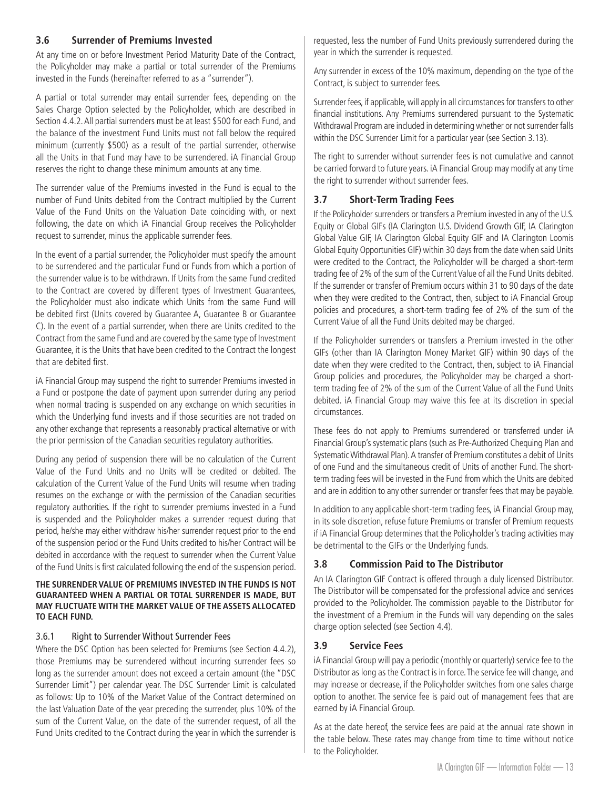# <span id="page-13-0"></span>**3.6 Surrender of Premiums Invested**

At any time on or before Investment Period Maturity Date of the Contract, the Policyholder may make a partial or total surrender of the Premiums invested in the Funds (hereinafter referred to as a "surrender").

A partial or total surrender may entail surrender fees, depending on the Sales Charge Option selected by the Policyholder, which are described in Section 4.4.2. All partial surrenders must be at least \$500 for each Fund, and the balance of the investment Fund Units must not fall below the required minimum (currently \$500) as a result of the partial surrender, otherwise all the Units in that Fund may have to be surrendered. iA Financial Group reserves the right to change these minimum amounts at any time.

The surrender value of the Premiums invested in the Fund is equal to the number of Fund Units debited from the Contract multiplied by the Current Value of the Fund Units on the Valuation Date coinciding with, or next following, the date on which iA Financial Group receives the Policyholder request to surrender, minus the applicable surrender fees.

In the event of a partial surrender, the Policyholder must specify the amount to be surrendered and the particular Fund or Funds from which a portion of the surrender value is to be withdrawn. If Units from the same Fund credited to the Contract are covered by different types of Investment Guarantees, the Policyholder must also indicate which Units from the same Fund will be debited first (Units covered by Guarantee A, Guarantee B or Guarantee C). In the event of a partial surrender, when there are Units credited to the Contract from the same Fund and are covered by the same type of Investment Guarantee, it is the Units that have been credited to the Contract the longest that are debited first.

iA Financial Group may suspend the right to surrender Premiums invested in a Fund or postpone the date of payment upon surrender during any period when normal trading is suspended on any exchange on which securities in which the Underlying fund invests and if those securities are not traded on any other exchange that represents a reasonably practical alternative or with the prior permission of the Canadian securities regulatory authorities.

During any period of suspension there will be no calculation of the Current Value of the Fund Units and no Units will be credited or debited. The calculation of the Current Value of the Fund Units will resume when trading resumes on the exchange or with the permission of the Canadian securities regulatory authorities. If the right to surrender premiums invested in a Fund is suspended and the Policyholder makes a surrender request during that period, he/she may either withdraw his/her surrender request prior to the end of the suspension period or the Fund Units credited to his/her Contract will be debited in accordance with the request to surrender when the Current Value of the Fund Units is first calculated following the end of the suspension period.

#### **THE SURRENDER VALUE OF PREMIUMS INVESTED IN THE FUNDS IS NOT GUARANTEED WHEN A PARTIAL OR TOTAL SURRENDER IS MADE, BUT MAY FLUCTUATE WITH THE MARKET VALUE OF THE ASSETS ALLOCATED TO EACH FUND.**

#### 3.6.1 Right to Surrender Without Surrender Fees

Where the DSC Option has been selected for Premiums (see Section 4.4.2), those Premiums may be surrendered without incurring surrender fees so long as the surrender amount does not exceed a certain amount (the "DSC Surrender Limit") per calendar year. The DSC Surrender Limit is calculated as follows: Up to 10% of the Market Value of the Contract determined on the last Valuation Date of the year preceding the surrender, plus 10% of the sum of the Current Value, on the date of the surrender request, of all the Fund Units credited to the Contract during the year in which the surrender is

requested, less the number of Fund Units previously surrendered during the year in which the surrender is requested.

Any surrender in excess of the 10% maximum, depending on the type of the Contract, is subject to surrender fees.

Surrender fees, if applicable, will apply in all circumstances for transfers to other financial institutions. Any Premiums surrendered pursuant to the Systematic Withdrawal Program are included in determining whether or not surrender falls within the DSC Surrender Limit for a particular year (see Section 3.13).

The right to surrender without surrender fees is not cumulative and cannot be carried forward to future years. iA Financial Group may modify at any time the right to surrender without surrender fees.

# **3.7 Short-Term Trading Fees**

If the Policyholder surrenders or transfers a Premium invested in any of the U.S. Equity or Global GIFs (IA Clarington U.S. Dividend Growth GIF, IA Clarington Global Value GIF, IA Clarington Global Equity GIF and IA Clarington Loomis Global Equity Opportunities GIF) within 30 days from the date when said Units were credited to the Contract, the Policyholder will be charged a short-term trading fee of 2% of the sum of the Current Value of all the Fund Units debited. If the surrender or transfer of Premium occurs within 31 to 90 days of the date when they were credited to the Contract, then, subject to iA Financial Group policies and procedures, a short-term trading fee of 2% of the sum of the Current Value of all the Fund Units debited may be charged.

If the Policyholder surrenders or transfers a Premium invested in the other GIFs (other than IA Clarington Money Market GIF) within 90 days of the date when they were credited to the Contract, then, subject to iA Financial Group policies and procedures, the Policyholder may be charged a shortterm trading fee of 2% of the sum of the Current Value of all the Fund Units debited. iA Financial Group may waive this fee at its discretion in special circumstances.

These fees do not apply to Premiums surrendered or transferred under iA Financial Group's systematic plans (such as Pre-Authorized Chequing Plan and Systematic Withdrawal Plan). A transfer of Premium constitutes a debit of Units of one Fund and the simultaneous credit of Units of another Fund. The shortterm trading fees will be invested in the Fund from which the Units are debited and are in addition to any other surrender or transfer fees that may be payable.

In addition to any applicable short-term trading fees, iA Financial Group may, in its sole discretion, refuse future Premiums or transfer of Premium requests if iA Financial Group determines that the Policyholder's trading activities may be detrimental to the GIFs or the Underlying funds.

# **3.8 Commission Paid to The Distributor**

An IA Clarington GIF Contract is offered through a duly licensed Distributor. The Distributor will be compensated for the professional advice and services provided to the Policyholder. The commission payable to the Distributor for the investment of a Premium in the Funds will vary depending on the sales charge option selected (see Section 4.4).

# **3.9 Service Fees**

iA Financial Group will pay a periodic (monthly or quarterly) service fee to the Distributor as long as the Contract is in force. The service fee will change, and may increase or decrease, if the Policyholder switches from one sales charge option to another. The service fee is paid out of management fees that are earned by iA Financial Group.

As at the date hereof, the service fees are paid at the annual rate shown in the table below. These rates may change from time to time without notice to the Policyholder.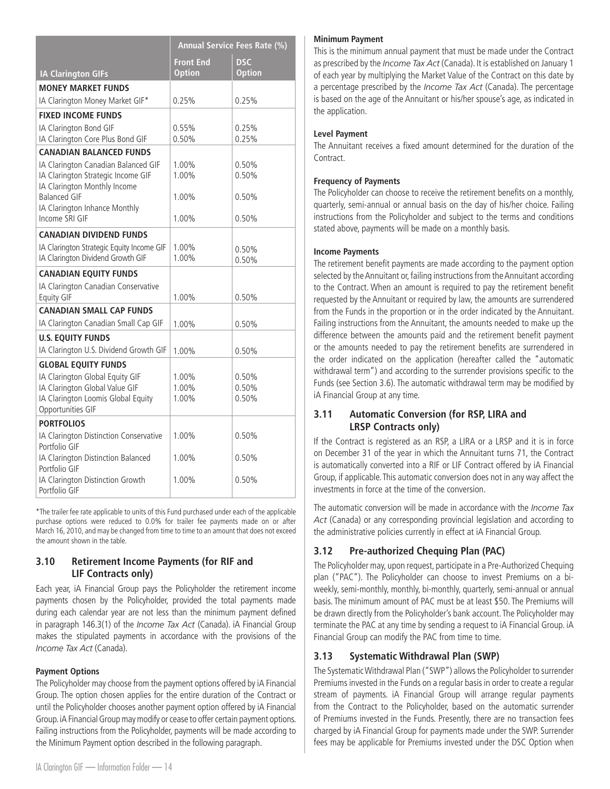<span id="page-14-0"></span>

|                                                                    |                  | Annual Service Fees Rate (%) |
|--------------------------------------------------------------------|------------------|------------------------------|
|                                                                    | <b>Front End</b> | <b>DSC</b>                   |
| <b>IA Clarington GIFs</b>                                          | <b>Option</b>    | <b>Option</b>                |
| <b>MONEY MARKET FUNDS</b>                                          |                  |                              |
| IA Clarington Money Market GIF*                                    | 0.25%            | 0.25%                        |
| <b>FIXED INCOME FUNDS</b>                                          |                  |                              |
| IA Clarington Bond GIF                                             | 0.55%            | 0.25%                        |
| IA Clarington Core Plus Bond GIF                                   | 0.50%            | 0.25%                        |
| <b>CANADIAN BALANCED FUNDS</b>                                     |                  |                              |
| IA Clarington Canadian Balanced GIF                                | 1.00%            | 0.50%                        |
| IA Clarington Strategic Income GIF<br>IA Clarington Monthly Income | $1.00\%$         | 0.50%                        |
| <b>Balanced GIF</b>                                                | 1.00%            | 0.50%                        |
| IA Clarington Inhance Monthly                                      |                  |                              |
| Income SRI GIF                                                     | 1.00%            | 0.50%                        |
| <b>CANADIAN DIVIDEND FUNDS</b>                                     |                  |                              |
| IA Clarington Strategic Equity Income GIF                          | 1.00%            | 0.50%                        |
| IA Clarington Dividend Growth GIF                                  | 1.00%            | 0.50%                        |
| <b>CANADIAN EQUITY FUNDS</b>                                       |                  |                              |
| IA Clarington Canadian Conservative                                |                  |                              |
| <b>Equity GIF</b>                                                  | 1.00%            | 0.50%                        |
| <b>CANADIAN SMALL CAP FUNDS</b>                                    |                  |                              |
| IA Clarington Canadian Small Cap GIF                               | 1.00%            | 0.50%                        |
| <b>U.S. EQUITY FUNDS</b>                                           |                  |                              |
| IA Clarington U.S. Dividend Growth GIF                             | 1.00%            | 0.50%                        |
| <b>GLOBAL EQUITY FUNDS</b>                                         |                  |                              |
| IA Clarington Global Equity GIF                                    | 1.00%            | 0.50%                        |
| IA Clarington Global Value GIF                                     | 1.00%            | 0.50%                        |
| IA Clarington Loomis Global Equity<br>Opportunities GIF            | 1.00%            | 0.50%                        |
|                                                                    |                  |                              |
| <b>PORTFOLIOS</b><br>IA Clarington Distinction Conservative        | 1.00%            | 0.50%                        |
| Portfolio GIF                                                      |                  |                              |
| IA Clarington Distinction Balanced                                 | 1.00%            | 0.50%                        |
| Portfolio GIF                                                      |                  |                              |
| IA Clarington Distinction Growth                                   | 1.00%            | 0.50%                        |
| Portfolio GIF                                                      |                  |                              |

\*The trailer fee rate applicable to units of this Fund purchased under each of the applicable purchase options were reduced to 0.0% for trailer fee payments made on or after March 16, 2010, and may be changed from time to time to an amount that does not exceed the amount shown in the table.

# **3.10 Retirement Income Payments (for RIF and LIF Contracts only)**

Each year, iA Financial Group pays the Policyholder the retirement income payments chosen by the Policyholder, provided the total payments made during each calendar year are not less than the minimum payment defined in paragraph 146.3(1) of the *Income Tax Act* (Canada). iA Financial Group makes the stipulated payments in accordance with the provisions of the *Income Tax Act* (Canada).

#### **Payment Options**

The Policyholder may choose from the payment options offered by iA Financial Group. The option chosen applies for the entire duration of the Contract or until the Policyholder chooses another payment option offered by iA Financial Group. iA Financial Group may modify or cease to offer certain payment options. Failing instructions from the Policyholder, payments will be made according to the Minimum Payment option described in the following paragraph.

#### **Minimum Payment**

This is the minimum annual payment that must be made under the Contract as prescribed by the *Income Tax Act* (Canada). It is established on January 1 of each year by multiplying the Market Value of the Contract on this date by a percentage prescribed by the *Income Tax Act* (Canada). The percentage is based on the age of the Annuitant or his/her spouse's age, as indicated in the application.

# **Level Payment**

The Annuitant receives a fixed amount determined for the duration of the Contract.

# **Frequency of Payments**

The Policyholder can choose to receive the retirement benefits on a monthly, quarterly, semi-annual or annual basis on the day of his/her choice. Failing instructions from the Policyholder and subject to the terms and conditions stated above, payments will be made on a monthly basis.

## **Income Payments**

The retirement benefit payments are made according to the payment option selected by the Annuitant or, failing instructions from the Annuitant according to the Contract. When an amount is required to pay the retirement benefit requested by the Annuitant or required by law, the amounts are surrendered from the Funds in the proportion or in the order indicated by the Annuitant. Failing instructions from the Annuitant, the amounts needed to make up the difference between the amounts paid and the retirement benefit payment or the amounts needed to pay the retirement benefits are surrendered in the order indicated on the application (hereafter called the "automatic withdrawal term") and according to the surrender provisions specific to the Funds (see Section 3.6). The automatic withdrawal term may be modified by iA Financial Group at any time.

# **3.11 Automatic Conversion (for RSP, LIRA and LRSP Contracts only)**

If the Contract is registered as an RSP, a LIRA or a LRSP and it is in force on December 31 of the year in which the Annuitant turns 71, the Contract is automatically converted into a RIF or LIF Contract offered by iA Financial Group, if applicable. This automatic conversion does not in any way affect the investments in force at the time of the conversion.

The automatic conversion will be made in accordance with the *Income Tax Act* (Canada) or any corresponding provincial legislation and according to the administrative policies currently in effect at iA Financial Group.

# **3.12 Pre-authorized Chequing Plan (PAC)**

The Policyholder may, upon request, participate in a Pre-Authorized Chequing plan ("PAC"). The Policyholder can choose to invest Premiums on a biweekly, semi-monthly, monthly, bi-monthly, quarterly, semi-annual or annual basis. The minimum amount of PAC must be at least \$50. The Premiums will be drawn directly from the Policyholder's bank account. The Policyholder may terminate the PAC at any time by sending a request to iA Financial Group. iA Financial Group can modify the PAC from time to time.

# **3.13 Systematic Withdrawal Plan (SWP)**

The Systematic Withdrawal Plan ("SWP") allows the Policyholder to surrender Premiums invested in the Funds on a regular basis in order to create a regular stream of payments. iA Financial Group will arrange regular payments from the Contract to the Policyholder, based on the automatic surrender of Premiums invested in the Funds. Presently, there are no transaction fees charged by iA Financial Group for payments made under the SWP. Surrender fees may be applicable for Premiums invested under the DSC Option when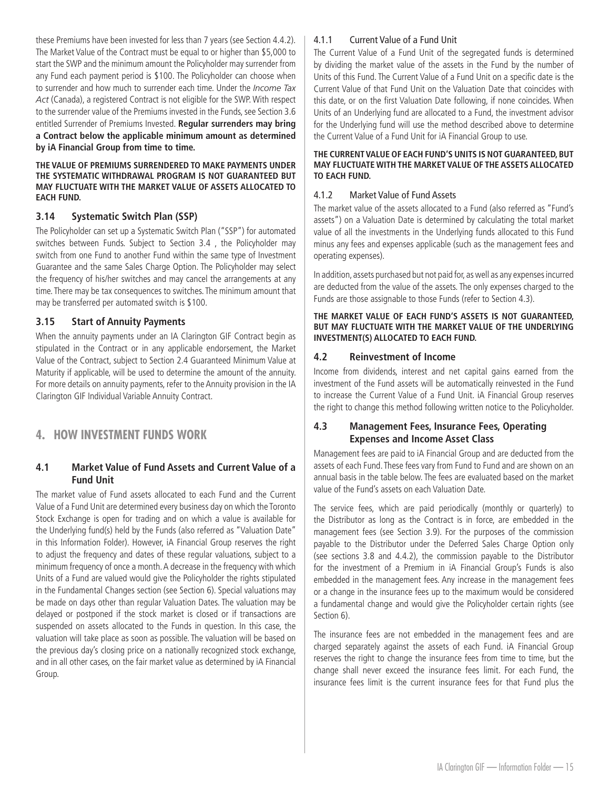<span id="page-15-0"></span>these Premiums have been invested for less than 7 years (see Section 4.4.2). The Market Value of the Contract must be equal to or higher than \$5,000 to start the SWP and the minimum amount the Policyholder may surrender from any Fund each payment period is \$100. The Policyholder can choose when to surrender and how much to surrender each time. Under the *Income Tax Act* (Canada), a registered Contract is not eligible for the SWP. With respect to the surrender value of the Premiums invested in the Funds, see Section 3.6 entitled Surrender of Premiums Invested. **Regular surrenders may bring a Contract below the applicable minimum amount as determined by iA Financial Group from time to time.**

#### **THE VALUE OF PREMIUMS SURRENDERED TO MAKE PAYMENTS UNDER THE SYSTEMATIC WITHDRAWAL PROGRAM IS NOT GUARANTEED BUT MAY FLUCTUATE WITH THE MARKET VALUE OF ASSETS ALLOCATED TO EACH FUND.**

# **3.14 Systematic Switch Plan (SSP)**

The Policyholder can set up a Systematic Switch Plan ("SSP") for automated switches between Funds. Subject to Section 3.4 , the Policyholder may switch from one Fund to another Fund within the same type of Investment Guarantee and the same Sales Charge Option. The Policyholder may select the frequency of his/her switches and may cancel the arrangements at any time. There may be tax consequences to switches. The minimum amount that may be transferred per automated switch is \$100.

## **3.15 Start of Annuity Payments**

When the annuity payments under an IA Clarington GIF Contract begin as stipulated in the Contract or in any applicable endorsement, the Market Value of the Contract, subject to Section 2.4 Guaranteed Minimum Value at Maturity if applicable, will be used to determine the amount of the annuity. For more details on annuity payments, refer to the Annuity provision in the IA Clarington GIF Individual Variable Annuity Contract.

# **4. HOW INVESTMENT FUNDS WORK**

# **4.1 Market Value of Fund Assets and Current Value of a Fund Unit**

The market value of Fund assets allocated to each Fund and the Current Value of a Fund Unit are determined every business day on which the Toronto Stock Exchange is open for trading and on which a value is available for the Underlying fund(s) held by the Funds (also referred as "Valuation Date" in this Information Folder). However, iA Financial Group reserves the right to adjust the frequency and dates of these regular valuations, subject to a minimum frequency of once a month. A decrease in the frequency with which Units of a Fund are valued would give the Policyholder the rights stipulated in the Fundamental Changes section (see Section 6). Special valuations may be made on days other than regular Valuation Dates. The valuation may be delayed or postponed if the stock market is closed or if transactions are suspended on assets allocated to the Funds in question. In this case, the valuation will take place as soon as possible. The valuation will be based on the previous day's closing price on a nationally recognized stock exchange, and in all other cases, on the fair market value as determined by iA Financial Group.

## 4.1.1 Current Value of a Fund Unit

The Current Value of a Fund Unit of the segregated funds is determined by dividing the market value of the assets in the Fund by the number of Units of this Fund. The Current Value of a Fund Unit on a specific date is the Current Value of that Fund Unit on the Valuation Date that coincides with this date, or on the first Valuation Date following, if none coincides. When Units of an Underlying fund are allocated to a Fund, the investment advisor for the Underlying fund will use the method described above to determine the Current Value of a Fund Unit for iA Financial Group to use.

#### **THE CURRENT VALUE OF EACH FUND'S UNITS IS NOT GUARANTEED, BUT MAY FLUCTUATE WITH THE MARKET VALUE OF THE ASSETS ALLOCATED TO EACH FUND.**

#### 4.1.2 Market Value of Fund Assets

The market value of the assets allocated to a Fund (also referred as "Fund's assets") on a Valuation Date is determined by calculating the total market value of all the investments in the Underlying funds allocated to this Fund minus any fees and expenses applicable (such as the management fees and operating expenses).

In addition, assets purchased but not paid for, as well as any expenses incurred are deducted from the value of the assets. The only expenses charged to the Funds are those assignable to those Funds (refer to Section 4.3).

#### **THE MARKET VALUE OF EACH FUND'S ASSETS IS NOT GUARANTEED, BUT MAY FLUCTUATE WITH THE MARKET VALUE OF THE UNDERLYING INVESTMENT(S) ALLOCATED TO EACH FUND.**

# **4.2 Reinvestment of Income**

Income from dividends, interest and net capital gains earned from the investment of the Fund assets will be automatically reinvested in the Fund to increase the Current Value of a Fund Unit. iA Financial Group reserves the right to change this method following written notice to the Policyholder.

# **4.3 Management Fees, Insurance Fees, Operating Expenses and Income Asset Class**

Management fees are paid to iA Financial Group and are deducted from the assets of each Fund. These fees vary from Fund to Fund and are shown on an annual basis in the table below. The fees are evaluated based on the market value of the Fund's assets on each Valuation Date.

The service fees, which are paid periodically (monthly or quarterly) to the Distributor as long as the Contract is in force, are embedded in the management fees (see Section 3.9). For the purposes of the commission payable to the Distributor under the Deferred Sales Charge Option only (see sections 3.8 and 4.4.2), the commission payable to the Distributor for the investment of a Premium in iA Financial Group's Funds is also embedded in the management fees. Any increase in the management fees or a change in the insurance fees up to the maximum would be considered a fundamental change and would give the Policyholder certain rights (see Section 6).

The insurance fees are not embedded in the management fees and are charged separately against the assets of each Fund. iA Financial Group reserves the right to change the insurance fees from time to time, but the change shall never exceed the insurance fees limit. For each Fund, the insurance fees limit is the current insurance fees for that Fund plus the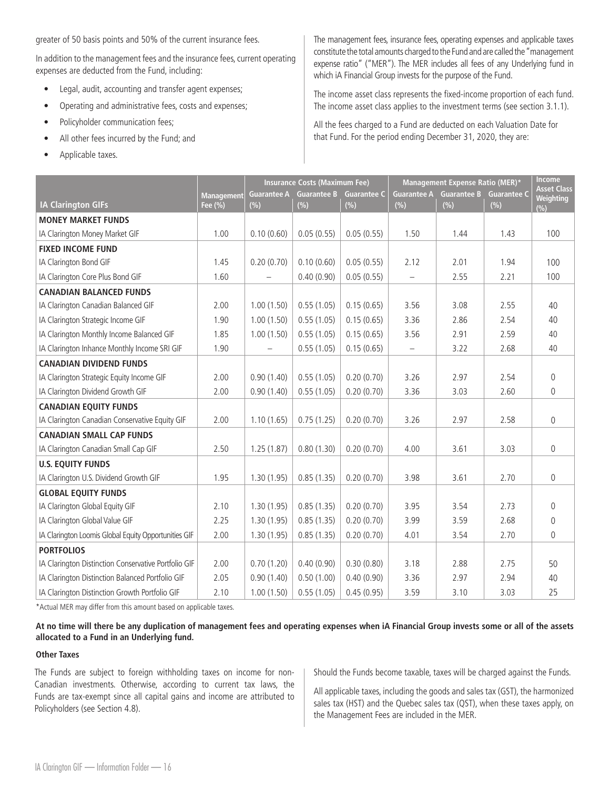greater of 50 basis points and 50% of the current insurance fees.

In addition to the management fees and the insurance fees, current operating expenses are deducted from the Fund, including:

- Legal, audit, accounting and transfer agent expenses;
- Operating and administrative fees, costs and expenses;
- Policyholder communication fees;
- All other fees incurred by the Fund; and
- Applicable taxes.

The management fees, insurance fees, operating expenses and applicable taxes constitute the total amounts charged to the Fund and are called the "management expense ratio" ("MER"). The MER includes all fees of any Underlying fund in which iA Financial Group invests for the purpose of the Fund.

The income asset class represents the fixed-income proportion of each fund. The income asset class applies to the investment terms (see section 3.1.1).

All the fees charged to a Fund are deducted on each Valuation Date for that Fund. For the period ending December 31, 2020, they are:

|                                                      |                              |                              | <b>Insurance Costs (Maximum Fee)</b> |                               |                           | Management Expense Ratio (MER)* |                               | <b>Income</b><br><b>Asset Class</b> |
|------------------------------------------------------|------------------------------|------------------------------|--------------------------------------|-------------------------------|---------------------------|---------------------------------|-------------------------------|-------------------------------------|
| <b>IA Clarington GIFs</b>                            | <b>Management</b><br>Fee (%) | <b>Guarantee A</b><br>$(\%)$ | <b>Guarantee B</b><br>$(\% )$        | <b>Guarantee C</b><br>$(\% )$ | <b>Guarantee A</b><br>(%) | <b>Guarantee B</b><br>$(\% )$   | <b>Guarantee C</b><br>$(\% )$ | <b>Weighting</b><br>(%)             |
| <b>MONEY MARKET FUNDS</b>                            |                              |                              |                                      |                               |                           |                                 |                               |                                     |
| IA Clarington Money Market GIF                       | 1.00                         | 0.10(0.60)                   | 0.05(0.55)                           | 0.05(0.55)                    | 1.50                      | 1.44                            | 1.43                          | 100                                 |
| <b>FIXED INCOME FUND</b>                             |                              |                              |                                      |                               |                           |                                 |                               |                                     |
| IA Clarington Bond GIF                               | 1.45                         | 0.20(0.70)                   | 0.10(0.60)                           | 0.05(0.55)                    | 2.12                      | 2.01                            | 1.94                          | 100                                 |
| IA Clarington Core Plus Bond GIF                     | 1.60                         |                              | 0.40(0.90)                           | 0.05(0.55)                    | $\qquad \qquad -$         | 2.55                            | 2.21                          | 100                                 |
| <b>CANADIAN BALANCED FUNDS</b>                       |                              |                              |                                      |                               |                           |                                 |                               |                                     |
| IA Clarington Canadian Balanced GIF                  | 2.00                         | 1.00(1.50)                   | 0.55(1.05)                           | 0.15(0.65)                    | 3.56                      | 3.08                            | 2.55                          | 40                                  |
| IA Clarington Strategic Income GIF                   | 1.90                         | 1.00(1.50)                   | 0.55(1.05)                           | 0.15(0.65)                    | 3.36                      | 2.86                            | 2.54                          | 40                                  |
| IA Clarington Monthly Income Balanced GIF            | 1.85                         | 1.00(1.50)                   | 0.55(1.05)                           | 0.15(0.65)                    | 3.56                      | 2.91                            | 2.59                          | 40                                  |
| IA Clarington Inhance Monthly Income SRI GIF         | 1.90                         |                              | 0.55(1.05)                           | 0.15(0.65)                    | $\qquad \qquad -$         | 3.22                            | 2.68                          | 40                                  |
| <b>CANADIAN DIVIDEND FUNDS</b>                       |                              |                              |                                      |                               |                           |                                 |                               |                                     |
| IA Clarington Strategic Equity Income GIF            | 2.00                         | 0.90(1.40)                   | 0.55(1.05)                           | 0.20(0.70)                    | 3.26                      | 2.97                            | 2.54                          | $\mathbf 0$                         |
| IA Clarington Dividend Growth GIF                    | 2.00                         | 0.90(1.40)                   | 0.55(1.05)                           | 0.20(0.70)                    | 3.36                      | 3.03                            | 2.60                          | $\mathbf{0}$                        |
| <b>CANADIAN EQUITY FUNDS</b>                         |                              |                              |                                      |                               |                           |                                 |                               |                                     |
| IA Clarington Canadian Conservative Equity GIF       | 2.00                         | 1.10(1.65)                   | 0.75(1.25)                           | 0.20(0.70)                    | 3.26                      | 2.97                            | 2.58                          | $\mathbf 0$                         |
| <b>CANADIAN SMALL CAP FUNDS</b>                      |                              |                              |                                      |                               |                           |                                 |                               |                                     |
| IA Clarington Canadian Small Cap GIF                 | 2.50                         | 1.25(1.87)                   | 0.80(1.30)                           | 0.20(0.70)                    | 4.00                      | 3.61                            | 3.03                          | $\Omega$                            |
| <b>U.S. EQUITY FUNDS</b>                             |                              |                              |                                      |                               |                           |                                 |                               |                                     |
| IA Clarington U.S. Dividend Growth GIF               | 1.95                         | 1.30(1.95)                   | 0.85(1.35)                           | 0.20(0.70)                    | 3.98                      | 3.61                            | 2.70                          | $\mathbf{0}$                        |
| <b>GLOBAL EQUITY FUNDS</b>                           |                              |                              |                                      |                               |                           |                                 |                               |                                     |
| IA Clarington Global Equity GIF                      | 2.10                         | 1.30(1.95)                   | 0.85(1.35)                           | 0.20(0.70)                    | 3.95                      | 3.54                            | 2.73                          | $\Omega$                            |
| IA Clarington Global Value GIF                       | 2.25                         | 1.30(1.95)                   | 0.85(1.35)                           | 0.20(0.70)                    | 3.99                      | 3.59                            | 2.68                          | $\mathbf{0}$                        |
| IA Clarington Loomis Global Equity Opportunities GIF | 2.00                         | 1.30(1.95)                   | 0.85(1.35)                           | 0.20(0.70)                    | 4.01                      | 3.54                            | 2.70                          | $\overline{0}$                      |
| <b>PORTFOLIOS</b>                                    |                              |                              |                                      |                               |                           |                                 |                               |                                     |
| IA Clarington Distinction Conservative Portfolio GIF | 2.00                         | 0.70(1.20)                   | 0.40(0.90)                           | 0.30(0.80)                    | 3.18                      | 2.88                            | 2.75                          | 50                                  |
| IA Clarington Distinction Balanced Portfolio GIF     | 2.05                         | 0.90(1.40)                   | 0.50(1.00)                           | 0.40(0.90)                    | 3.36                      | 2.97                            | 2.94                          | 40                                  |
| IA Clarington Distinction Growth Portfolio GIF       | 2.10                         | 1.00(1.50)                   | 0.55(1.05)                           | 0.45(0.95)                    | 3.59                      | 3.10                            | 3.03                          | 25                                  |

\*Actual MER may differ from this amount based on applicable taxes.

#### **At no time will there be any duplication of management fees and operating expenses when iA Financial Group invests some or all of the assets allocated to a Fund in an Underlying fund.**

#### **Other Taxes**

The Funds are subject to foreign withholding taxes on income for non-Canadian investments. Otherwise, according to current tax laws, the Funds are tax-exempt since all capital gains and income are attributed to Policyholders (see Section 4.8).

Should the Funds become taxable, taxes will be charged against the Funds.

All applicable taxes, including the goods and sales tax (GST), the harmonized sales tax (HST) and the Quebec sales tax (QST), when these taxes apply, on the Management Fees are included in the MER.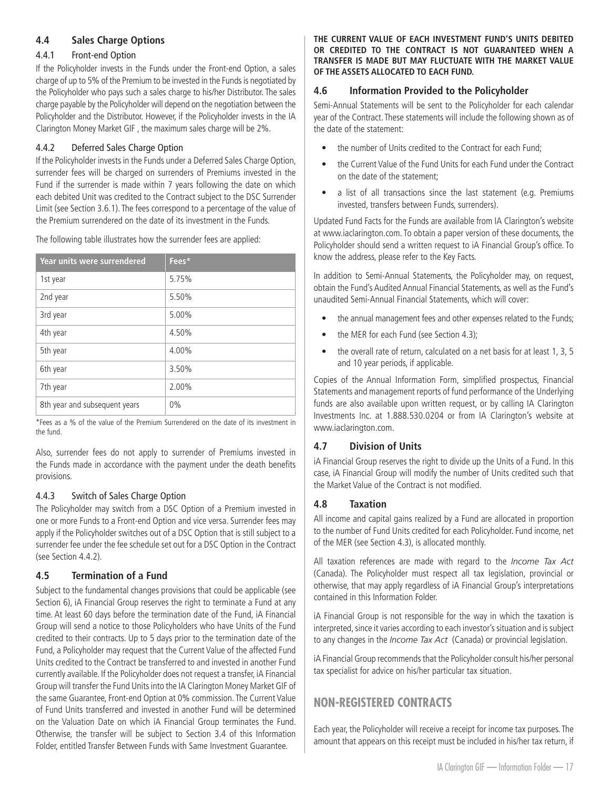# <span id="page-17-0"></span>**4.4 Sales Charge Options**

## 4.4.1 Front-end Option

If the Policyholder invests in the Funds under the Front-end Option, a sales charge of up to 5% of the Premium to be invested in the Funds is negotiated by the Policyholder who pays such a sales charge to his/her Distributor. The sales charge payable by the Policyholder will depend on the negotiation between the Policyholder and the Distributor. However, if the Policyholder invests in the IA Clarington Money Market GIF , the maximum sales charge will be 2%.

# 4.4.2 Deferred Sales Charge Option

If the Policyholder invests in the Funds under a Deferred Sales Charge Option, surrender fees will be charged on surrenders of Premiums invested in the Fund if the surrender is made within 7 years following the date on which each debited Unit was credited to the Contract subject to the DSC Surrender Limit (see Section 3.6.1). The fees correspond to a percentage of the value of the Premium surrendered on the date of its investment in the Funds.

The following table illustrates how the surrender fees are applied:

| Year units were surrendered   | Fees* |
|-------------------------------|-------|
| 1st year                      | 5.75% |
| 2nd year                      | 5.50% |
| 3rd year                      | 5.00% |
| 4th year                      | 4.50% |
| 5th year                      | 4.00% |
| 6th year                      | 3.50% |
| 7th year                      | 2.00% |
| 8th year and subsequent years | $0\%$ |

\*Fees as a % of the value of the Premium Surrendered on the date of its investment in the fund.

Also, surrender fees do not apply to surrender of Premiums invested in the Funds made in accordance with the payment under the death benefits provisions.

# 4.4.3 Switch of Sales Charge Option

The Policyholder may switch from a DSC Option of a Premium invested in one or more Funds to a Front-end Option and vice versa. Surrender fees may apply if the Policyholder switches out of a DSC Option that is still subject to a surrender fee under the fee schedule set out for a DSC Option in the Contract (see Section 4.4.2).

# **4.5 Termination of a Fund**

Subject to the fundamental changes provisions that could be applicable (see Section 6), iA Financial Group reserves the right to terminate a Fund at any time. At least 60 days before the termination date of the Fund, iA Financial Group will send a notice to those Policyholders who have Units of the Fund credited to their contracts. Up to 5 days prior to the termination date of the Fund, a Policyholder may request that the Current Value of the affected Fund Units credited to the Contract be transferred to and invested in another Fund currently available. If the Policyholder does not request a transfer, iA Financial Group will transfer the Fund Units into the IA Clarington Money Market GIF of the same Guarantee, Front-end Option at 0% commission. The Current Value of Fund Units transferred and invested in another Fund will be determined on the Valuation Date on which iA Financial Group terminates the Fund. Otherwise, the transfer will be subject to Section 3.4 of this Information Folder, entitled Transfer Between Funds with Same Investment Guarantee.

#### **THE CURRENT VALUE OF EACH INVESTMENT FUND'S UNITS DEBITED OR CREDITED TO THE CONTRACT IS NOT GUARANTEED WHEN A TRANSFER IS MADE BUT MAY FLUCTUATE WITH THE MARKET VALUE OF THE ASSETS ALLOCATED TO EACH FUND.**

# **4.6 Information Provided to the Policyholder**

Semi-Annual Statements will be sent to the Policyholder for each calendar year of the Contract. These statements will include the following shown as of the date of the statement:

- the number of Units credited to the Contract for each Fund:
- the Current Value of the Fund Units for each Fund under the Contract on the date of the statement;
- a list of all transactions since the last statement (e.g. Premiums invested, transfers between Funds, surrenders).

Updated Fund Facts for the Funds are available from IA Clarington's website at www.iaclarington.com. To obtain a paper version of these documents, the Policyholder should send a written request to iA Financial Group's office. To know the address, please refer to the Key Facts.

In addition to Semi-Annual Statements, the Policyholder may, on request, obtain the Fund's Audited Annual Financial Statements, as well as the Fund's unaudited Semi-Annual Financial Statements, which will cover:

- the annual management fees and other expenses related to the Funds;
- the MER for each Fund (see Section 4.3);
- the overall rate of return, calculated on a net basis for at least 1, 3, 5 and 10 year periods, if applicable.

Copies of the Annual Information Form, simplified prospectus, Financial Statements and management reports of fund performance of the Underlying funds are also available upon written request, or by calling IA Clarington Investments Inc. at 1.888.530.0204 or from IA Clarington's website at www.iaclarington.com.

# **4.7 Division of Units**

iA Financial Group reserves the right to divide up the Units of a Fund. In this case, iA Financial Group will modify the number of Units credited such that the Market Value of the Contract is not modified.

# **4.8 Taxation**

All income and capital gains realized by a Fund are allocated in proportion to the number of Fund Units credited for each Policyholder. Fund income, net of the MER (see Section 4.3), is allocated monthly.

All taxation references are made with regard to the *Income Tax Act*  (Canada). The Policyholder must respect all tax legislation, provincial or otherwise, that may apply regardless of iA Financial Group's interpretations contained in this Information Folder.

iA Financial Group is not responsible for the way in which the taxation is interpreted, since it varies according to each investor's situation and is subject to any changes in the *Income Tax Act* (Canada) or provincial legislation.

iA Financial Group recommends that the Policyholder consult his/her personal tax specialist for advice on his/her particular tax situation.

# **NON-REGISTERED CONTRACTS**

Each year, the Policyholder will receive a receipt for income tax purposes. The amount that appears on this receipt must be included in his/her tax return, if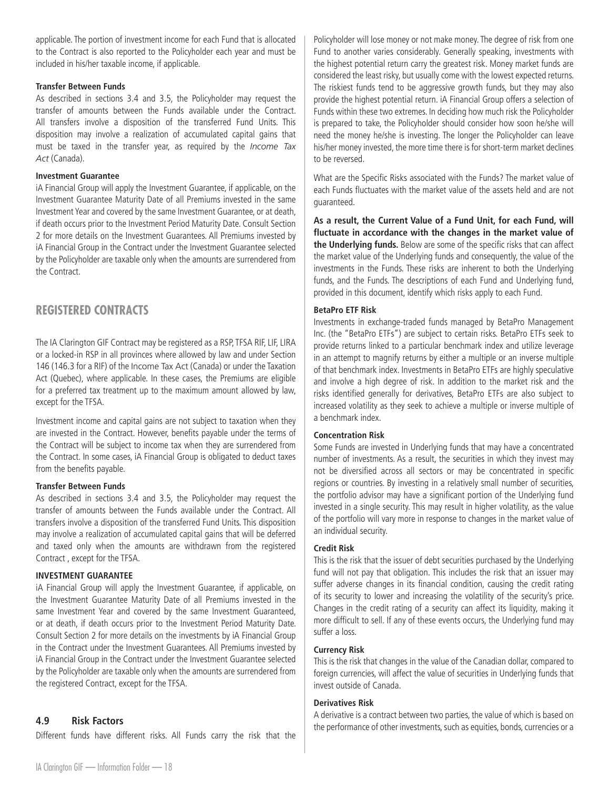<span id="page-18-0"></span>applicable. The portion of investment income for each Fund that is allocated to the Contract is also reported to the Policyholder each year and must be included in his/her taxable income, if applicable.

#### **Transfer Between Funds**

As described in sections 3.4 and 3.5, the Policyholder may request the transfer of amounts between the Funds available under the Contract. All transfers involve a disposition of the transferred Fund Units. This disposition may involve a realization of accumulated capital gains that must be taxed in the transfer year, as required by the *Income Tax Act* (Canada).

#### **Investment Guarantee**

iA Financial Group will apply the Investment Guarantee, if applicable, on the Investment Guarantee Maturity Date of all Premiums invested in the same Investment Year and covered by the same Investment Guarantee, or at death, if death occurs prior to the Investment Period Maturity Date. Consult Section 2 for more details on the Investment Guarantees. All Premiums invested by iA Financial Group in the Contract under the Investment Guarantee selected by the Policyholder are taxable only when the amounts are surrendered from the Contract.

# **REGISTERED CONTRACTS**

The IA Clarington GIF Contract may be registered as a RSP, TFSA RIF, LIF, LIRA or a locked-in RSP in all provinces where allowed by law and under Section 146 (146.3 for a RIF) of the Income Tax Act (Canada) or under the Taxation Act (Quebec), where applicable. In these cases, the Premiums are eligible for a preferred tax treatment up to the maximum amount allowed by law, except for the TFSA.

Investment income and capital gains are not subject to taxation when they are invested in the Contract. However, benefits payable under the terms of the Contract will be subject to income tax when they are surrendered from the Contract. In some cases, iA Financial Group is obligated to deduct taxes from the benefits payable.

#### **Transfer Between Funds**

As described in sections 3.4 and 3.5, the Policyholder may request the transfer of amounts between the Funds available under the Contract. All transfers involve a disposition of the transferred Fund Units. This disposition may involve a realization of accumulated capital gains that will be deferred and taxed only when the amounts are withdrawn from the registered Contract , except for the TFSA.

#### **INVESTMENT GUARANTEE**

iA Financial Group will apply the Investment Guarantee, if applicable, on the Investment Guarantee Maturity Date of all Premiums invested in the same Investment Year and covered by the same Investment Guaranteed, or at death, if death occurs prior to the Investment Period Maturity Date. Consult Section 2 for more details on the investments by iA Financial Group in the Contract under the Investment Guarantees. All Premiums invested by iA Financial Group in the Contract under the Investment Guarantee selected by the Policyholder are taxable only when the amounts are surrendered from the registered Contract, except for the TFSA.

# **4.9 Risk Factors**

Different funds have different risks. All Funds carry the risk that the

Policyholder will lose money or not make money. The degree of risk from one Fund to another varies considerably. Generally speaking, investments with the highest potential return carry the greatest risk. Money market funds are considered the least risky, but usually come with the lowest expected returns. The riskiest funds tend to be aggressive growth funds, but they may also provide the highest potential return. iA Financial Group offers a selection of Funds within these two extremes. In deciding how much risk the Policyholder is prepared to take, the Policyholder should consider how soon he/she will need the money he/she is investing. The longer the Policyholder can leave his/her money invested, the more time there is for short-term market declines to be reversed.

What are the Specific Risks associated with the Funds? The market value of each Funds fluctuates with the market value of the assets held and are not guaranteed.

**As a result, the Current Value of a Fund Unit, for each Fund, will fluctuate in accordance with the changes in the market value of the Underlying funds.** Below are some of the specific risks that can affect the market value of the Underlying funds and consequently, the value of the investments in the Funds. These risks are inherent to both the Underlying funds, and the Funds. The descriptions of each Fund and Underlying fund, provided in this document, identify which risks apply to each Fund.

## **BetaPro ETF Risk**

Investments in exchange-traded funds managed by BetaPro Management Inc. (the "BetaPro ETFs") are subject to certain risks. BetaPro ETFs seek to provide returns linked to a particular benchmark index and utilize leverage in an attempt to magnify returns by either a multiple or an inverse multiple of that benchmark index. Investments in BetaPro ETFs are highly speculative and involve a high degree of risk. In addition to the market risk and the risks identified generally for derivatives, BetaPro ETFs are also subject to increased volatility as they seek to achieve a multiple or inverse multiple of a benchmark index.

# **Concentration Risk**

Some Funds are invested in Underlying funds that may have a concentrated number of investments. As a result, the securities in which they invest may not be diversified across all sectors or may be concentrated in specific regions or countries. By investing in a relatively small number of securities, the portfolio advisor may have a significant portion of the Underlying fund invested in a single security. This may result in higher volatility, as the value of the portfolio will vary more in response to changes in the market value of an individual security.

# **Credit Risk**

This is the risk that the issuer of debt securities purchased by the Underlying fund will not pay that obligation. This includes the risk that an issuer may suffer adverse changes in its financial condition, causing the credit rating of its security to lower and increasing the volatility of the security's price. Changes in the credit rating of a security can affect its liquidity, making it more difficult to sell. If any of these events occurs, the Underlying fund may suffer a loss.

#### **Currency Risk**

This is the risk that changes in the value of the Canadian dollar, compared to foreign currencies, will affect the value of securities in Underlying funds that invest outside of Canada.

# **Derivatives Risk**

A derivative is a contract between two parties, the value of which is based on the performance of other investments, such as equities, bonds, currencies or a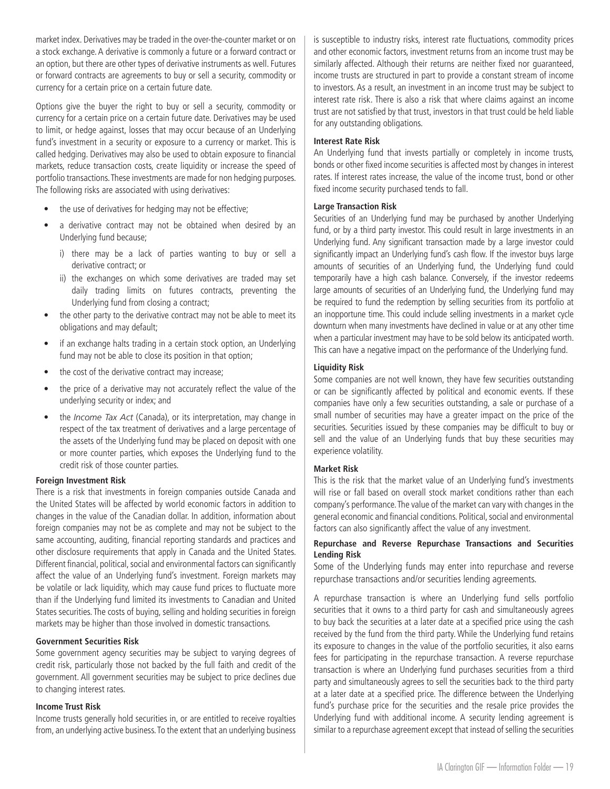market index. Derivatives may be traded in the over-the-counter market or on a stock exchange. A derivative is commonly a future or a forward contract or an option, but there are other types of derivative instruments as well. Futures or forward contracts are agreements to buy or sell a security, commodity or currency for a certain price on a certain future date.

Options give the buyer the right to buy or sell a security, commodity or currency for a certain price on a certain future date. Derivatives may be used to limit, or hedge against, losses that may occur because of an Underlying fund's investment in a security or exposure to a currency or market. This is called hedging. Derivatives may also be used to obtain exposure to financial markets, reduce transaction costs, create liquidity or increase the speed of portfolio transactions. These investments are made for non hedging purposes. The following risks are associated with using derivatives:

- the use of derivatives for hedging may not be effective;
- a derivative contract may not be obtained when desired by an Underlying fund because;
	- i) there may be a lack of parties wanting to buy or sell a derivative contract; or
	- ii) the exchanges on which some derivatives are traded may set daily trading limits on futures contracts, preventing the Underlying fund from closing a contract;
- the other party to the derivative contract may not be able to meet its obligations and may default;
- if an exchange halts trading in a certain stock option, an Underlying fund may not be able to close its position in that option;
- the cost of the derivative contract may increase;
- the price of a derivative may not accurately reflect the value of the underlying security or index; and
- the *Income Tax Act* (Canada), or its interpretation, may change in respect of the tax treatment of derivatives and a large percentage of the assets of the Underlying fund may be placed on deposit with one or more counter parties, which exposes the Underlying fund to the credit risk of those counter parties.

#### **Foreign Investment Risk**

There is a risk that investments in foreign companies outside Canada and the United States will be affected by world economic factors in addition to changes in the value of the Canadian dollar. In addition, information about foreign companies may not be as complete and may not be subject to the same accounting, auditing, financial reporting standards and practices and other disclosure requirements that apply in Canada and the United States. Different financial, political, social and environmental factors can significantly affect the value of an Underlying fund's investment. Foreign markets may be volatile or lack liquidity, which may cause fund prices to fluctuate more than if the Underlying fund limited its investments to Canadian and United States securities. The costs of buying, selling and holding securities in foreign markets may be higher than those involved in domestic transactions.

#### **Government Securities Risk**

Some government agency securities may be subject to varying degrees of credit risk, particularly those not backed by the full faith and credit of the government. All government securities may be subject to price declines due to changing interest rates.

#### **Income Trust Risk**

Income trusts generally hold securities in, or are entitled to receive royalties from, an underlying active business. To the extent that an underlying business

is susceptible to industry risks, interest rate fluctuations, commodity prices and other economic factors, investment returns from an income trust may be similarly affected. Although their returns are neither fixed nor guaranteed, income trusts are structured in part to provide a constant stream of income to investors. As a result, an investment in an income trust may be subject to interest rate risk. There is also a risk that where claims against an income trust are not satisfied by that trust, investors in that trust could be held liable for any outstanding obligations.

#### **Interest Rate Risk**

An Underlying fund that invests partially or completely in income trusts, bonds or other fixed income securities is affected most by changes in interest rates. If interest rates increase, the value of the income trust, bond or other fixed income security purchased tends to fall.

#### **Large Transaction Risk**

Securities of an Underlying fund may be purchased by another Underlying fund, or by a third party investor. This could result in large investments in an Underlying fund. Any significant transaction made by a large investor could significantly impact an Underlying fund's cash flow. If the investor buys large amounts of securities of an Underlying fund, the Underlying fund could temporarily have a high cash balance. Conversely, if the investor redeems large amounts of securities of an Underlying fund, the Underlying fund may be required to fund the redemption by selling securities from its portfolio at an inopportune time. This could include selling investments in a market cycle downturn when many investments have declined in value or at any other time when a particular investment may have to be sold below its anticipated worth. This can have a negative impact on the performance of the Underlying fund.

## **Liquidity Risk**

Some companies are not well known, they have few securities outstanding or can be significantly affected by political and economic events. If these companies have only a few securities outstanding, a sale or purchase of a small number of securities may have a greater impact on the price of the securities. Securities issued by these companies may be difficult to buy or sell and the value of an Underlying funds that buy these securities may experience volatility.

#### **Market Risk**

This is the risk that the market value of an Underlying fund's investments will rise or fall based on overall stock market conditions rather than each company's performance. The value of the market can vary with changes in the general economic and financial conditions. Political, social and environmental factors can also significantly affect the value of any investment.

#### **Repurchase and Reverse Repurchase Transactions and Securities Lending Risk**

Some of the Underlying funds may enter into repurchase and reverse repurchase transactions and/or securities lending agreements.

A repurchase transaction is where an Underlying fund sells portfolio securities that it owns to a third party for cash and simultaneously agrees to buy back the securities at a later date at a specified price using the cash received by the fund from the third party. While the Underlying fund retains its exposure to changes in the value of the portfolio securities, it also earns fees for participating in the repurchase transaction. A reverse repurchase transaction is where an Underlying fund purchases securities from a third party and simultaneously agrees to sell the securities back to the third party at a later date at a specified price. The difference between the Underlying fund's purchase price for the securities and the resale price provides the Underlying fund with additional income. A security lending agreement is similar to a repurchase agreement except that instead of selling the securities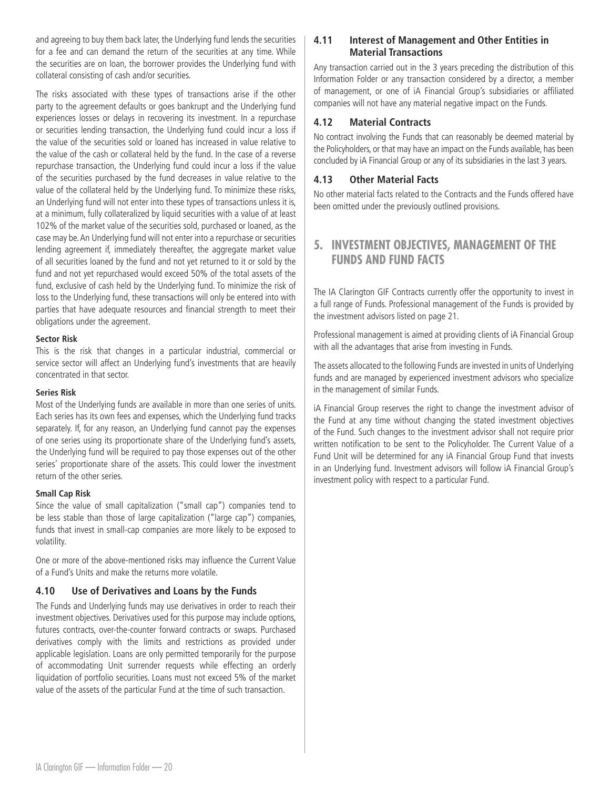<span id="page-20-0"></span>and agreeing to buy them back later, the Underlying fund lends the securities for a fee and can demand the return of the securities at any time. While the securities are on loan, the borrower provides the Underlying fund with collateral consisting of cash and/or securities.

The risks associated with these types of transactions arise if the other party to the agreement defaults or goes bankrupt and the Underlying fund experiences losses or delays in recovering its investment. In a repurchase or securities lending transaction, the Underlying fund could incur a loss if the value of the securities sold or loaned has increased in value relative to the value of the cash or collateral held by the fund. In the case of a reverse repurchase transaction, the Underlying fund could incur a loss if the value of the securities purchased by the fund decreases in value relative to the value of the collateral held by the Underlying fund. To minimize these risks, an Underlying fund will not enter into these types of transactions unless it is, at a minimum, fully collateralized by liquid securities with a value of at least 102% of the market value of the securities sold, purchased or loaned, as the case may be. An Underlying fund will not enter into a repurchase or securities lending agreement if, immediately thereafter, the aggregate market value of all securities loaned by the fund and not yet returned to it or sold by the fund and not yet repurchased would exceed 50% of the total assets of the fund, exclusive of cash held by the Underlying fund. To minimize the risk of loss to the Underlying fund, these transactions will only be entered into with parties that have adequate resources and financial strength to meet their obligations under the agreement.

#### **Sector Risk**

This is the risk that changes in a particular industrial, commercial or service sector will affect an Underlying fund's investments that are heavily concentrated in that sector.

#### **Series Risk**

Most of the Underlying funds are available in more than one series of units. Each series has its own fees and expenses, which the Underlying fund tracks separately. If, for any reason, an Underlying fund cannot pay the expenses of one series using its proportionate share of the Underlying fund's assets, the Underlying fund will be required to pay those expenses out of the other series' proportionate share of the assets. This could lower the investment return of the other series.

#### **Small Cap Risk**

Since the value of small capitalization ("small cap") companies tend to be less stable than those of large capitalization ("large cap") companies, funds that invest in small-cap companies are more likely to be exposed to volatility.

One or more of the above-mentioned risks may influence the Current Value of a Fund's Units and make the returns more volatile.

#### **4.10 Use of Derivatives and Loans by the Funds**

The Funds and Underlying funds may use derivatives in order to reach their investment objectives. Derivatives used for this purpose may include options, futures contracts, over-the-counter forward contracts or swaps. Purchased derivatives comply with the limits and restrictions as provided under applicable legislation. Loans are only permitted temporarily for the purpose of accommodating Unit surrender requests while effecting an orderly liquidation of portfolio securities. Loans must not exceed 5% of the market value of the assets of the particular Fund at the time of such transaction.

# **4.11 Interest of Management and Other Entities in Material Transactions**

Any transaction carried out in the 3 years preceding the distribution of this Information Folder or any transaction considered by a director, a member of management, or one of iA Financial Group's subsidiaries or affiliated companies will not have any material negative impact on the Funds.

# **4.12 Material Contracts**

No contract involving the Funds that can reasonably be deemed material by the Policyholders, or that may have an impact on the Funds available, has been concluded by iA Financial Group or any of its subsidiaries in the last 3 years.

# **4.13 Other Material Facts**

No other material facts related to the Contracts and the Funds offered have been omitted under the previously outlined provisions.

# **5. INVESTMENT OBJECTIVES, MANAGEMENT OF THE FUNDS AND FUND FACTS**

The IA Clarington GIF Contracts currently offer the opportunity to invest in a full range of Funds. Professional management of the Funds is provided by the investment advisors listed on page 21.

Professional management is aimed at providing clients of iA Financial Group with all the advantages that arise from investing in Funds.

The assets allocated to the following Funds are invested in units of Underlying funds and are managed by experienced investment advisors who specialize in the management of similar Funds.

iA Financial Group reserves the right to change the investment advisor of the Fund at any time without changing the stated investment objectives of the Fund. Such changes to the investment advisor shall not require prior written notification to be sent to the Policyholder. The Current Value of a Fund Unit will be determined for any iA Financial Group Fund that invests in an Underlying fund. Investment advisors will follow iA Financial Group's investment policy with respect to a particular Fund.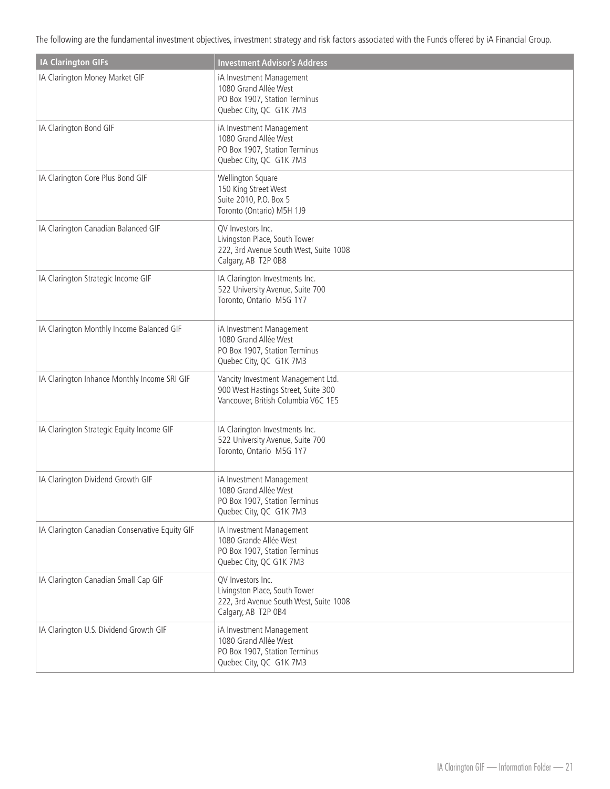The following are the fundamental investment objectives, investment strategy and risk factors associated with the Funds offered by iA Financial Group.

| <b>IA Clarington GIFs</b>                      | <b>Investment Advisor's Address</b>                                                                                 |
|------------------------------------------------|---------------------------------------------------------------------------------------------------------------------|
| IA Clarington Money Market GIF                 | iA Investment Management<br>1080 Grand Allée West<br>PO Box 1907, Station Terminus<br>Quebec City, QC G1K 7M3       |
| IA Clarington Bond GIF                         | iA Investment Management<br>1080 Grand Allée West<br>PO Box 1907, Station Terminus<br>Quebec City, QC G1K 7M3       |
| IA Clarington Core Plus Bond GIF               | Wellington Square<br>150 King Street West<br>Suite 2010, P.O. Box 5<br>Toronto (Ontario) M5H 1J9                    |
| IA Clarington Canadian Balanced GIF            | QV Investors Inc.<br>Livingston Place, South Tower<br>222, 3rd Avenue South West, Suite 1008<br>Calgary, AB T2P 0B8 |
| IA Clarington Strategic Income GIF             | IA Clarington Investments Inc.<br>522 University Avenue, Suite 700<br>Toronto, Ontario M5G 1Y7                      |
| IA Clarington Monthly Income Balanced GIF      | iA Investment Management<br>1080 Grand Allée West<br>PO Box 1907, Station Terminus<br>Quebec City, QC G1K 7M3       |
| IA Clarington Inhance Monthly Income SRI GIF   | Vancity Investment Management Ltd.<br>900 West Hastings Street, Suite 300<br>Vancouver, British Columbia V6C 1E5    |
| IA Clarington Strategic Equity Income GIF      | IA Clarington Investments Inc.<br>522 University Avenue, Suite 700<br>Toronto, Ontario M5G 1Y7                      |
| IA Clarington Dividend Growth GIF              | iA Investment Management<br>1080 Grand Allée West<br>PO Box 1907, Station Terminus<br>Quebec City, QC G1K 7M3       |
| IA Clarington Canadian Conservative Equity GIF | IA Investment Management<br>1080 Grande Allée West<br>PO Box 1907, Station Terminus<br>Quebec City, QC G1K 7M3      |
| IA Clarington Canadian Small Cap GIF           | QV Investors Inc.<br>Livingston Place, South Tower<br>222, 3rd Avenue South West, Suite 1008<br>Calgary, AB T2P 0B4 |
| IA Clarington U.S. Dividend Growth GIF         | iA Investment Management<br>1080 Grand Allée West<br>PO Box 1907, Station Terminus<br>Quebec City, QC G1K 7M3       |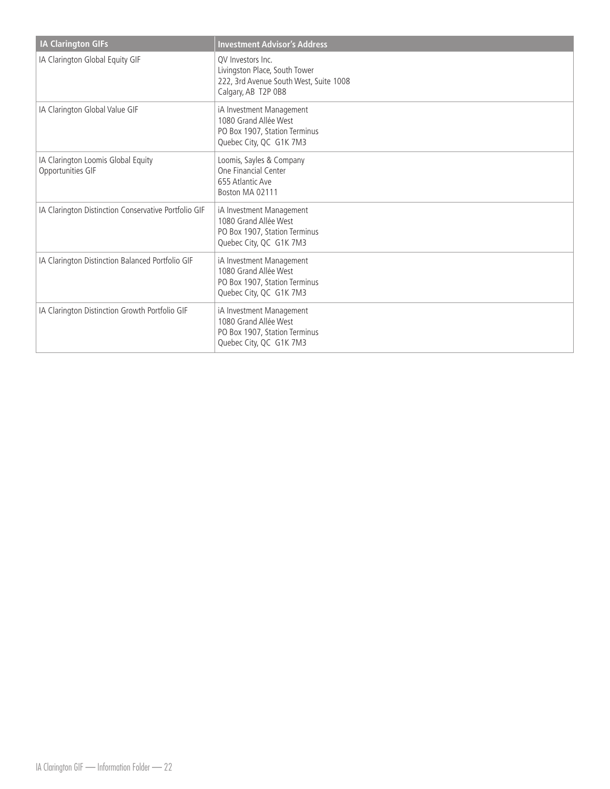| <b>IA Clarington GIFs</b>                               | <b>Investment Advisor's Address</b>                                                                                 |
|---------------------------------------------------------|---------------------------------------------------------------------------------------------------------------------|
| IA Clarington Global Equity GIF                         | OV Investors Inc.<br>Livingston Place, South Tower<br>222, 3rd Avenue South West, Suite 1008<br>Calgary, AB T2P 0B8 |
| IA Clarington Global Value GIF                          | iA Investment Management<br>1080 Grand Allée West<br>PO Box 1907, Station Terminus<br>Quebec City, QC G1K 7M3       |
| IA Clarington Loomis Global Equity<br>Opportunities GIF | Loomis, Sayles & Company<br>One Financial Center<br>655 Atlantic Ave<br>Boston MA 02111                             |
| IA Clarington Distinction Conservative Portfolio GIF    | iA Investment Management<br>1080 Grand Allée West<br>PO Box 1907, Station Terminus<br>Quebec City, QC G1K 7M3       |
| IA Clarington Distinction Balanced Portfolio GIF        | iA Investment Management<br>1080 Grand Allée West<br>PO Box 1907, Station Terminus<br>Quebec City, QC G1K 7M3       |
| IA Clarington Distinction Growth Portfolio GIF          | iA Investment Management<br>1080 Grand Allée West<br>PO Box 1907, Station Terminus<br>Quebec City, QC G1K 7M3       |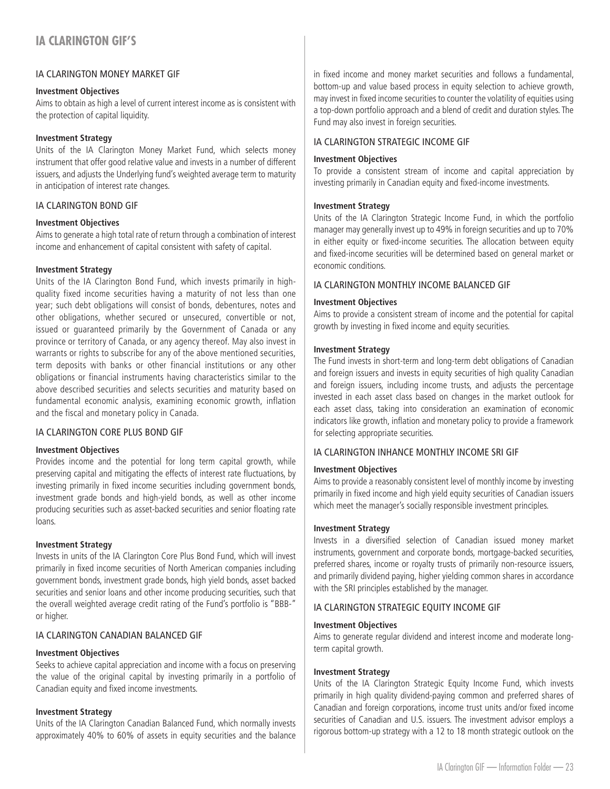# <span id="page-23-0"></span>IA CLARINGTON MONEY MARKET GIF

#### **Investment Objectives**

Aims to obtain as high a level of current interest income as is consistent with the protection of capital liquidity.

#### **Investment Strategy**

Units of the IA Clarington Money Market Fund, which selects money instrument that offer good relative value and invests in a number of different issuers, and adjusts the Underlying fund's weighted average term to maturity in anticipation of interest rate changes.

## IA CLARINGTON BOND GIF

#### **Investment Objectives**

Aims to generate a high total rate of return through a combination of interest income and enhancement of capital consistent with safety of capital.

#### **Investment Strategy**

Units of the IA Clarington Bond Fund, which invests primarily in highquality fixed income securities having a maturity of not less than one year; such debt obligations will consist of bonds, debentures, notes and other obligations, whether secured or unsecured, convertible or not, issued or guaranteed primarily by the Government of Canada or any province or territory of Canada, or any agency thereof. May also invest in warrants or rights to subscribe for any of the above mentioned securities, term deposits with banks or other financial institutions or any other obligations or financial instruments having characteristics similar to the above described securities and selects securities and maturity based on fundamental economic analysis, examining economic growth, inflation and the fiscal and monetary policy in Canada.

# IA CLARINGTON CORE PLUS BOND GIF

#### **Investment Objectives**

Provides income and the potential for long term capital growth, while preserving capital and mitigating the effects of interest rate fluctuations, by investing primarily in fixed income securities including government bonds, investment grade bonds and high-yield bonds, as well as other income producing securities such as asset-backed securities and senior floating rate loans.

#### **Investment Strategy**

Invests in units of the IA Clarington Core Plus Bond Fund, which will invest primarily in fixed income securities of North American companies including government bonds, investment grade bonds, high yield bonds, asset backed securities and senior loans and other income producing securities, such that the overall weighted average credit rating of the Fund's portfolio is "BBB-" or higher.

# IA CLARINGTON CANADIAN BALANCED GIF

# **Investment Objectives**

Seeks to achieve capital appreciation and income with a focus on preserving the value of the original capital by investing primarily in a portfolio of Canadian equity and fixed income investments.

#### **Investment Strategy**

Units of the IA Clarington Canadian Balanced Fund, which normally invests approximately 40% to 60% of assets in equity securities and the balance in fixed income and money market securities and follows a fundamental, bottom-up and value based process in equity selection to achieve growth, may invest in fixed income securities to counter the volatility of equities using a top-down portfolio approach and a blend of credit and duration styles. The Fund may also invest in foreign securities.

#### IA CLARINGTON STRATEGIC INCOME GIF

#### **Investment Objectives**

To provide a consistent stream of income and capital appreciation by investing primarily in Canadian equity and fixed-income investments.

#### **Investment Strategy**

Units of the IA Clarington Strategic Income Fund, in which the portfolio manager may generally invest up to 49% in foreign securities and up to 70% in either equity or fixed-income securities. The allocation between equity and fixed-income securities will be determined based on general market or economic conditions.

## IA CLARINGTON MONTHLY INCOME BALANCED GIF

#### **Investment Objectives**

Aims to provide a consistent stream of income and the potential for capital growth by investing in fixed income and equity securities.

#### **Investment Strategy**

The Fund invests in short-term and long-term debt obligations of Canadian and foreign issuers and invests in equity securities of high quality Canadian and foreign issuers, including income trusts, and adjusts the percentage invested in each asset class based on changes in the market outlook for each asset class, taking into consideration an examination of economic indicators like growth, inflation and monetary policy to provide a framework for selecting appropriate securities.

#### IA CLARINGTON INHANCE MONTHLY INCOME SRI GIF

#### **Investment Objectives**

Aims to provide a reasonably consistent level of monthly income by investing primarily in fixed income and high yield equity securities of Canadian issuers which meet the manager's socially responsible investment principles.

#### **Investment Strategy**

Invests in a diversified selection of Canadian issued money market instruments, government and corporate bonds, mortgage-backed securities, preferred shares, income or royalty trusts of primarily non-resource issuers, and primarily dividend paying, higher yielding common shares in accordance with the SRI principles established by the manager.

#### IA CLARINGTON STRATEGIC EQUITY INCOME GIF

#### **Investment Objectives**

Aims to generate regular dividend and interest income and moderate longterm capital growth.

#### **Investment Strategy**

Units of the IA Clarington Strategic Equity Income Fund, which invests primarily in high quality dividend-paying common and preferred shares of Canadian and foreign corporations, income trust units and/or fixed income securities of Canadian and U.S. issuers. The investment advisor employs a rigorous bottom-up strategy with a 12 to 18 month strategic outlook on the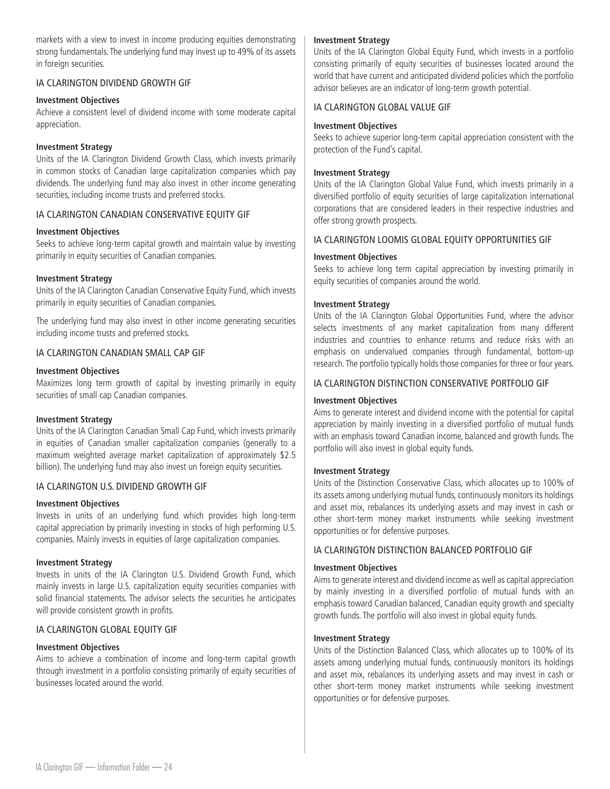markets with a view to invest in income producing equities demonstrating strong fundamentals. The underlying fund may invest up to 49% of its assets in foreign securities.

# IA CLARINGTON DIVIDEND GROWTH GIF

#### **Investment Objectives**

Achieve a consistent level of dividend income with some moderate capital appreciation.

#### **Investment Strategy**

Units of the IA Clarington Dividend Growth Class, which invests primarily in common stocks of Canadian large capitalization companies which pay dividends. The underlying fund may also invest in other income generating securities, including income trusts and preferred stocks.

## IA CLARINGTON CANADIAN CONSERVATIVE EQUITY GIF

#### **Investment Objectives**

Seeks to achieve long-term capital growth and maintain value by investing primarily in equity securities of Canadian companies.

#### **Investment Strategy**

Units of the IA Clarington Canadian Conservative Equity Fund, which invests primarily in equity securities of Canadian companies.

The underlying fund may also invest in other income generating securities including income trusts and preferred stocks.

#### IA CLARINGTON CANADIAN SMALL CAP GIF

#### **Investment Objectives**

Maximizes long term growth of capital by investing primarily in equity securities of small cap Canadian companies.

#### **Investment Strategy**

Units of the IA Clarington Canadian Small Cap Fund, which invests primarily in equities of Canadian smaller capitalization companies (generally to a maximum weighted average market capitalization of approximately \$2.5 billion). The underlying fund may also invest un foreign equity securities.

#### IA CLARINGTON U.S. DIVIDEND GROWTH GIF

#### **Investment Objectives**

Invests in units of an underlying fund which provides high long-term capital appreciation by primarily investing in stocks of high performing U.S. companies. Mainly invests in equities of large capitalization companies.

#### **Investment Strategy**

Invests in units of the IA Clarington U.S. Dividend Growth Fund, which mainly invests in large U.S. capitalization equity securities companies with solid financial statements. The advisor selects the securities he anticipates will provide consistent growth in profits.

#### IA CLARINGTON GLOBAL EQUITY GIF

#### **Investment Objectives**

Aims to achieve a combination of income and long-term capital growth through investment in a portfolio consisting primarily of equity securities of businesses located around the world.

#### **Investment Strategy**

Units of the IA Clarington Global Equity Fund, which invests in a portfolio consisting primarily of equity securities of businesses located around the world that have current and anticipated dividend policies which the portfolio advisor believes are an indicator of long-term growth potential.

#### IA CLARINGTON GLOBAL VALUE GIF

#### **Investment Objectives**

Seeks to achieve superior long-term capital appreciation consistent with the protection of the Fund's capital.

#### **Investment Strategy**

Units of the IA Clarington Global Value Fund, which invests primarily in a diversified portfolio of equity securities of large capitalization international corporations that are considered leaders in their respective industries and offer strong growth prospects.

#### IA CLARINGTON LOOMIS GLOBAL EQUITY OPPORTUNITIES GIF

#### **Investment Objectives**

Seeks to achieve long term capital appreciation by investing primarily in equity securities of companies around the world.

#### **Investment Strategy**

Units of the IA Clarington Global Opportunities Fund, where the advisor selects investments of any market capitalization from many different industries and countries to enhance returns and reduce risks with an emphasis on undervalued companies through fundamental, bottom-up research. The portfolio typically holds those companies for three or four years.

#### IA CLARINGTON DISTINCTION CONSERVATIVE PORTFOLIO GIF

#### **Investment Objectives**

Aims to generate interest and dividend income with the potential for capital appreciation by mainly investing in a diversified portfolio of mutual funds with an emphasis toward Canadian income, balanced and growth funds. The portfolio will also invest in global equity funds.

# **Investment Strategy**

Units of the Distinction Conservative Class, which allocates up to 100% of its assets among underlying mutual funds, continuously monitors its holdings and asset mix, rebalances its underlying assets and may invest in cash or other short-term money market instruments while seeking investment opportunities or for defensive purposes.

#### IA CLARINGTON DISTINCTION BALANCED PORTFOLIO GIF

#### **Investment Objectives**

Aims to generate interest and dividend income as well as capital appreciation by mainly investing in a diversified portfolio of mutual funds with an emphasis toward Canadian balanced, Canadian equity growth and specialty growth funds. The portfolio will also invest in global equity funds.

#### **Investment Strategy**

Units of the Distinction Balanced Class, which allocates up to 100% of its assets among underlying mutual funds, continuously monitors its holdings and asset mix, rebalances its underlying assets and may invest in cash or other short-term money market instruments while seeking investment opportunities or for defensive purposes.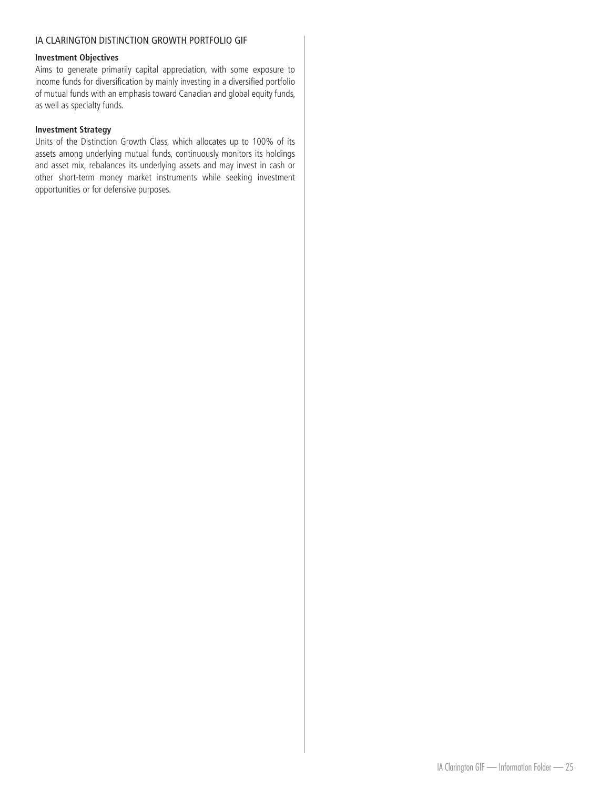# IA CLARINGTON DISTINCTION GROWTH PORTFOLIO GIF

#### **Investment Objectives**

Aims to generate primarily capital appreciation, with some exposure to income funds for diversification by mainly investing in a diversified portfolio of mutual funds with an emphasis toward Canadian and global equity funds, as well as specialty funds.

#### **Investment Strategy**

Units of the Distinction Growth Class, which allocates up to 100% of its assets among underlying mutual funds, continuously monitors its holdings and asset mix, rebalances its underlying assets and may invest in cash or other short-term money market instruments while seeking investment opportunities or for defensive purposes.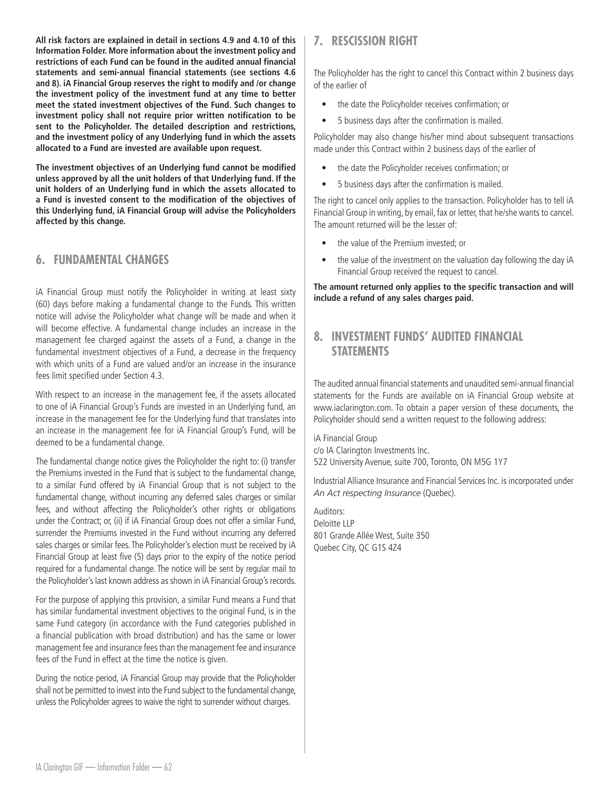<span id="page-26-0"></span>**All risk factors are explained in detail in sections 4.9 and 4.10 of this Information Folder. More information about the investment policy and restrictions of each Fund can be found in the audited annual financial statements and semi-annual financial statements (see sections 4.6 and 8). iA Financial Group reserves the right to modify and /or change the investment policy of the investment fund at any time to better meet the stated investment objectives of the Fund. Such changes to investment policy shall not require prior written notification to be sent to the Policyholder. The detailed description and restrictions, and the investment policy of any Underlying fund in which the assets allocated to a Fund are invested are available upon request.**

**The investment objectives of an Underlying fund cannot be modified unless approved by all the unit holders of that Underlying fund. If the unit holders of an Underlying fund in which the assets allocated to a Fund is invested consent to the modification of the objectives of this Underlying fund, iA Financial Group will advise the Policyholders affected by this change.**

# **6. FUNDAMENTAL CHANGES**

iA Financial Group must notify the Policyholder in writing at least sixty (60) days before making a fundamental change to the Funds. This written notice will advise the Policyholder what change will be made and when it will become effective. A fundamental change includes an increase in the management fee charged against the assets of a Fund, a change in the fundamental investment objectives of a Fund, a decrease in the frequency with which units of a Fund are valued and/or an increase in the insurance fees limit specified under Section 4.3.

With respect to an increase in the management fee, if the assets allocated to one of iA Financial Group's Funds are invested in an Underlying fund, an increase in the management fee for the Underlying fund that translates into an increase in the management fee for iA Financial Group's Fund, will be deemed to be a fundamental change.

The fundamental change notice gives the Policyholder the right to: (i) transfer the Premiums invested in the Fund that is subject to the fundamental change, to a similar Fund offered by iA Financial Group that is not subject to the fundamental change, without incurring any deferred sales charges or similar fees, and without affecting the Policyholder's other rights or obligations under the Contract; or, (ii) if iA Financial Group does not offer a similar Fund, surrender the Premiums invested in the Fund without incurring any deferred sales charges or similar fees. The Policyholder's election must be received by iA Financial Group at least five (5) days prior to the expiry of the notice period required for a fundamental change. The notice will be sent by regular mail to the Policyholder's last known address as shown in iA Financial Group's records.

For the purpose of applying this provision, a similar Fund means a Fund that has similar fundamental investment objectives to the original Fund, is in the same Fund category (in accordance with the Fund categories published in a financial publication with broad distribution) and has the same or lower management fee and insurance fees than the management fee and insurance fees of the Fund in effect at the time the notice is given.

During the notice period, iA Financial Group may provide that the Policyholder shall not be permitted to invest into the Fund subject to the fundamental change, unless the Policyholder agrees to waive the right to surrender without charges.

# **7. RESCISSION RIGHT**

The Policyholder has the right to cancel this Contract within 2 business days of the earlier of

- the date the Policyholder receives confirmation; or
- 5 business days after the confirmation is mailed.

Policyholder may also change his/her mind about subsequent transactions made under this Contract within 2 business days of the earlier of

- the date the Policyholder receives confirmation; or
- 5 business days after the confirmation is mailed.

The right to cancel only applies to the transaction. Policyholder has to tell iA Financial Group in writing, by email, fax or letter, that he/she wants to cancel. The amount returned will be the lesser of:

- the value of the Premium invested; or
- the value of the investment on the valuation day following the day iA Financial Group received the request to cancel.

**The amount returned only applies to the specific transaction and will include a refund of any sales charges paid.** 

# **8. INVESTMENT FUNDS' AUDITED FINANCIAL STATEMENTS**

The audited annual financial statements and unaudited semi-annual financial statements for the Funds are available on iA Financial Group website at www.iaclarington.com. To obtain a paper version of these documents, the Policyholder should send a written request to the following address:

iA Financial Group

c/o IA Clarington Investments Inc. 522 University Avenue, suite 700, Toronto, ON M5G 1Y7

Industrial Alliance Insurance and Financial Services Inc. is incorporated under *An Act respecting Insurance* (Quebec).

Auditors: Deloitte LLP 801 Grande Allée West, Suite 350 Quebec City, QC G1S 4Z4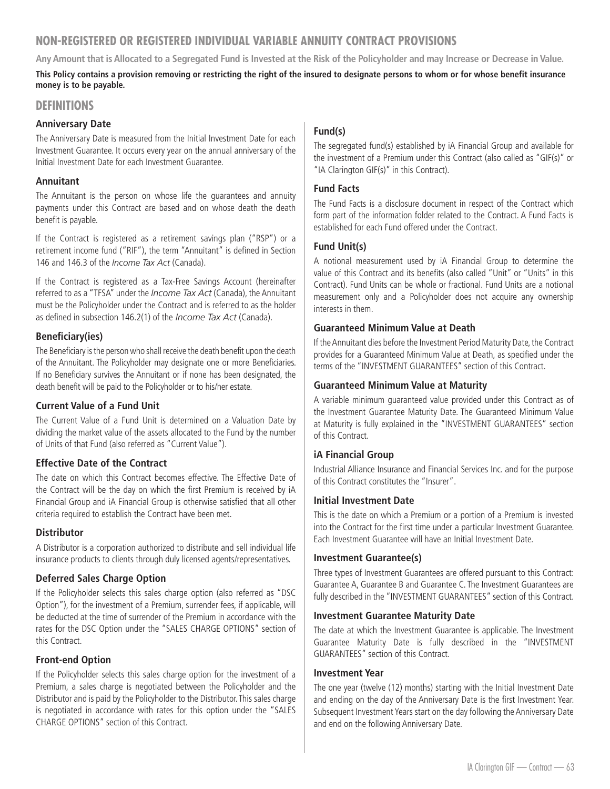# <span id="page-27-0"></span>**NON-REGISTERED OR REGISTERED INDIVIDUAL VARIABLE ANNUITY CONTRACT PROVISIONS**

**Any Amount that is Allocated to a Segregated Fund is Invested at the Risk of the Policyholder and may Increase or Decrease in Value.**

**This Policy contains a provision removing or restricting the right of the insured to designate persons to whom or for whose benefit insurance money is to be payable.**

# **DEFINITIONS**

# **Anniversary Date**

The Anniversary Date is measured from the Initial Investment Date for each Investment Guarantee. It occurs every year on the annual anniversary of the Initial Investment Date for each Investment Guarantee.

## **Annuitant**

The Annuitant is the person on whose life the guarantees and annuity payments under this Contract are based and on whose death the death benefit is payable.

If the Contract is registered as a retirement savings plan ("RSP") or a retirement income fund ("RIF"), the term "Annuitant" is defined in Section 146 and 146.3 of the *Income Tax Act* (Canada).

If the Contract is registered as a Tax-Free Savings Account (hereinafter referred to as a "TFSA" under the *Income Tax Act* (Canada), the Annuitant must be the Policyholder under the Contract and is referred to as the holder as defined in subsection 146.2(1) of the *Income Tax Act* (Canada).

# **Beneficiary(ies)**

The Beneficiary is the person who shall receive the death benefit upon the death of the Annuitant. The Policyholder may designate one or more Beneficiaries. If no Beneficiary survives the Annuitant or if none has been designated, the death benefit will be paid to the Policyholder or to his/her estate.

# **Current Value of a Fund Unit**

The Current Value of a Fund Unit is determined on a Valuation Date by dividing the market value of the assets allocated to the Fund by the number of Units of that Fund (also referred as "Current Value").

# **Effective Date of the Contract**

The date on which this Contract becomes effective. The Effective Date of the Contract will be the day on which the first Premium is received by iA Financial Group and iA Financial Group is otherwise satisfied that all other criteria required to establish the Contract have been met.

# **Distributor**

A Distributor is a corporation authorized to distribute and sell individual life insurance products to clients through duly licensed agents/representatives.

# **Deferred Sales Charge Option**

If the Policyholder selects this sales charge option (also referred as "DSC Option"), for the investment of a Premium, surrender fees, if applicable, will be deducted at the time of surrender of the Premium in accordance with the rates for the DSC Option under the "SALES CHARGE OPTIONS" section of this Contract.

# **Front-end Option**

If the Policyholder selects this sales charge option for the investment of a Premium, a sales charge is negotiated between the Policyholder and the Distributor and is paid by the Policyholder to the Distributor. This sales charge is negotiated in accordance with rates for this option under the "SALES CHARGE OPTIONS" section of this Contract.

# **Fund(s)**

The segregated fund(s) established by iA Financial Group and available for the investment of a Premium under this Contract (also called as "GIF(s)" or "IA Clarington GIF(s)" in this Contract).

## **Fund Facts**

The Fund Facts is a disclosure document in respect of the Contract which form part of the information folder related to the Contract. A Fund Facts is established for each Fund offered under the Contract.

## **Fund Unit(s)**

A notional measurement used by iA Financial Group to determine the value of this Contract and its benefits (also called "Unit" or "Units" in this Contract). Fund Units can be whole or fractional. Fund Units are a notional measurement only and a Policyholder does not acquire any ownership interests in them.

# **Guaranteed Minimum Value at Death**

If the Annuitant dies before the Investment Period Maturity Date, the Contract provides for a Guaranteed Minimum Value at Death, as specified under the terms of the "INVESTMENT GUARANTEES" section of this Contract.

# **Guaranteed Minimum Value at Maturity**

A variable minimum guaranteed value provided under this Contract as of the Investment Guarantee Maturity Date. The Guaranteed Minimum Value at Maturity is fully explained in the "INVESTMENT GUARANTEES" section of this Contract.

# **iA Financial Group**

Industrial Alliance Insurance and Financial Services Inc. and for the purpose of this Contract constitutes the "Insurer".

#### **Initial Investment Date**

This is the date on which a Premium or a portion of a Premium is invested into the Contract for the first time under a particular Investment Guarantee. Each Investment Guarantee will have an Initial Investment Date.

#### **Investment Guarantee(s)**

Three types of Investment Guarantees are offered pursuant to this Contract: Guarantee A, Guarantee B and Guarantee C. The Investment Guarantees are fully described in the "INVESTMENT GUARANTEES" section of this Contract.

#### **Investment Guarantee Maturity Date**

The date at which the Investment Guarantee is applicable. The Investment Guarantee Maturity Date is fully described in the "INVESTMENT GUARANTEES" section of this Contract.

#### **Investment Year**

The one year (twelve (12) months) starting with the Initial Investment Date and ending on the day of the Anniversary Date is the first Investment Year. Subsequent Investment Years start on the day following the Anniversary Date and end on the following Anniversary Date.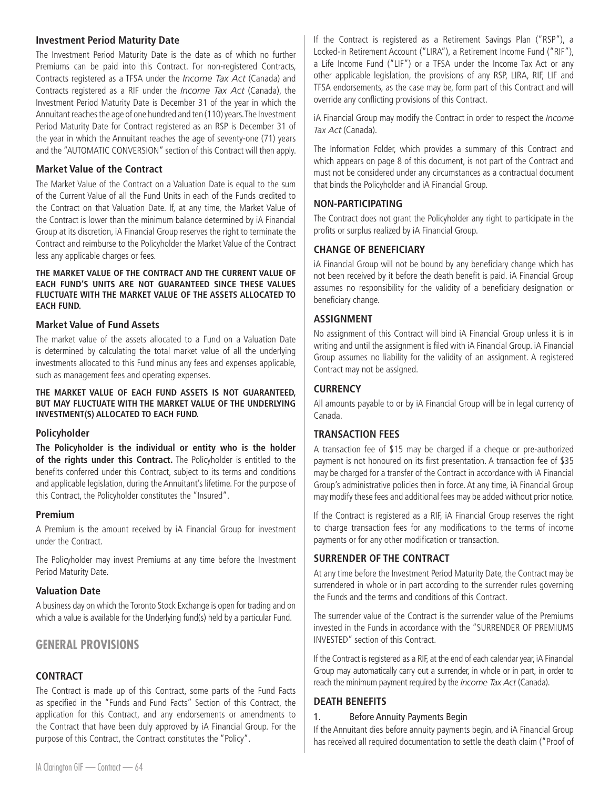# **Investment Period Maturity Date**

The Investment Period Maturity Date is the date as of which no further Premiums can be paid into this Contract. For non-registered Contracts, Contracts registered as a TFSA under the *Income Tax Act* (Canada) and Contracts registered as a RIF under the *Income Tax Act* (Canada), the Investment Period Maturity Date is December 31 of the year in which the Annuitant reaches the age of one hundred and ten (110) years. The Investment Period Maturity Date for Contract registered as an RSP is December 31 of the year in which the Annuitant reaches the age of seventy-one (71) years and the "AUTOMATIC CONVERSION" section of this Contract will then apply.

# **Market Value of the Contract**

The Market Value of the Contract on a Valuation Date is equal to the sum of the Current Value of all the Fund Units in each of the Funds credited to the Contract on that Valuation Date. If, at any time, the Market Value of the Contract is lower than the minimum balance determined by iA Financial Group at its discretion, iA Financial Group reserves the right to terminate the Contract and reimburse to the Policyholder the Market Value of the Contract less any applicable charges or fees.

#### **THE MARKET VALUE OF THE CONTRACT AND THE CURRENT VALUE OF EACH FUND'S UNITS ARE NOT GUARANTEED SINCE THESE VALUES FLUCTUATE WITH THE MARKET VALUE OF THE ASSETS ALLOCATED TO EACH FUND.**

# **Market Value of Fund Assets**

The market value of the assets allocated to a Fund on a Valuation Date is determined by calculating the total market value of all the underlying investments allocated to this Fund minus any fees and expenses applicable, such as management fees and operating expenses.

**THE MARKET VALUE OF EACH FUND ASSETS IS NOT GUARANTEED, BUT MAY FLUCTUATE WITH THE MARKET VALUE OF THE UNDERLYING INVESTMENT(S) ALLOCATED TO EACH FUND.**

# **Policyholder**

**The Policyholder is the individual or entity who is the holder of the rights under this Contract.** The Policyholder is entitled to the benefits conferred under this Contract, subject to its terms and conditions and applicable legislation, during the Annuitant's lifetime. For the purpose of this Contract, the Policyholder constitutes the "Insured".

# **Premium**

A Premium is the amount received by iA Financial Group for investment under the Contract.

The Policyholder may invest Premiums at any time before the Investment Period Maturity Date.

# **Valuation Date**

A business day on which the Toronto Stock Exchange is open for trading and on which a value is available for the Underlying fund(s) held by a particular Fund.

# **GENERAL PROVISIONS**

# **CONTRACT**

The Contract is made up of this Contract, some parts of the Fund Facts as specified in the "Funds and Fund Facts" Section of this Contract, the application for this Contract, and any endorsements or amendments to the Contract that have been duly approved by iA Financial Group. For the purpose of this Contract, the Contract constitutes the "Policy".

If the Contract is registered as a Retirement Savings Plan ("RSP"), a Locked-in Retirement Account ("LIRA"), a Retirement Income Fund ("RIF"), a Life Income Fund ("LIF") or a TFSA under the Income Tax Act or any other applicable legislation, the provisions of any RSP, LIRA, RIF, LIF and TFSA endorsements, as the case may be, form part of this Contract and will override any conflicting provisions of this Contract.

iA Financial Group may modify the Contract in order to respect the *Income Tax Act* (Canada).

The Information Folder, which provides a summary of this Contract and which appears on page 8 of this document, is not part of the Contract and must not be considered under any circumstances as a contractual document that binds the Policyholder and iA Financial Group.

# **NON-PARTICIPATING**

The Contract does not grant the Policyholder any right to participate in the profits or surplus realized by iA Financial Group.

# **CHANGE OF BENEFICIARY**

iA Financial Group will not be bound by any beneficiary change which has not been received by it before the death benefit is paid. iA Financial Group assumes no responsibility for the validity of a beneficiary designation or beneficiary change.

# **ASSIGNMENT**

No assignment of this Contract will bind iA Financial Group unless it is in writing and until the assignment is filed with iA Financial Group. iA Financial Group assumes no liability for the validity of an assignment. A registered Contract may not be assigned.

# **CURRENCY**

All amounts payable to or by iA Financial Group will be in legal currency of Canada.

# **TRANSACTION FEES**

A transaction fee of \$15 may be charged if a cheque or pre-authorized payment is not honoured on its first presentation. A transaction fee of \$35 may be charged for a transfer of the Contract in accordance with iA Financial Group's administrative policies then in force. At any time, iA Financial Group may modify these fees and additional fees may be added without prior notice.

If the Contract is registered as a RIF, iA Financial Group reserves the right to charge transaction fees for any modifications to the terms of income payments or for any other modification or transaction.

# **SURRENDER OF THE CONTRACT**

At any time before the Investment Period Maturity Date, the Contract may be surrendered in whole or in part according to the surrender rules governing the Funds and the terms and conditions of this Contract.

The surrender value of the Contract is the surrender value of the Premiums invested in the Funds in accordance with the "SURRENDER OF PREMIUMS INVESTED" section of this Contract.

If the Contract is registered as a RIF, at the end of each calendar year, iA Financial Group may automatically carry out a surrender, in whole or in part, in order to reach the minimum payment required by the *Income Tax Act* (Canada).

# **DEATH BENEFITS**

#### 1. Before Annuity Payments Begin

If the Annuitant dies before annuity payments begin, and iA Financial Group has received all required documentation to settle the death claim ("Proof of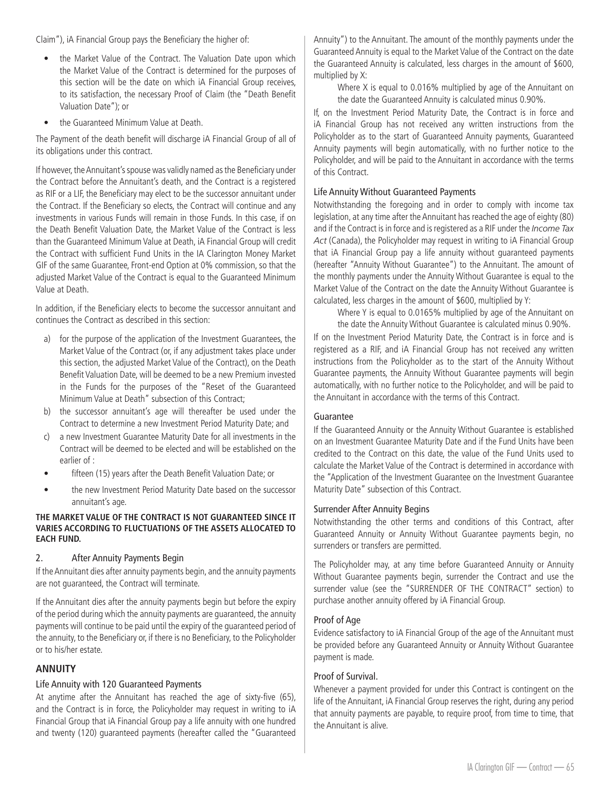Claim"), iA Financial Group pays the Beneficiary the higher of:

- the Market Value of the Contract. The Valuation Date upon which the Market Value of the Contract is determined for the purposes of this section will be the date on which iA Financial Group receives, to its satisfaction, the necessary Proof of Claim (the "Death Benefit Valuation Date"); or
- the Guaranteed Minimum Value at Death.

The Payment of the death benefit will discharge iA Financial Group of all of its obligations under this contract.

If however, the Annuitant's spouse was validly named as the Beneficiary under the Contract before the Annuitant's death, and the Contract is a registered as RIF or a LIF, the Beneficiary may elect to be the successor annuitant under the Contract. If the Beneficiary so elects, the Contract will continue and any investments in various Funds will remain in those Funds. In this case, if on the Death Benefit Valuation Date, the Market Value of the Contract is less than the Guaranteed Minimum Value at Death, iA Financial Group will credit the Contract with sufficient Fund Units in the IA Clarington Money Market GIF of the same Guarantee, Front-end Option at 0% commission, so that the adjusted Market Value of the Contract is equal to the Guaranteed Minimum Value at Death.

In addition, if the Beneficiary elects to become the successor annuitant and continues the Contract as described in this section:

- a) for the purpose of the application of the Investment Guarantees, the Market Value of the Contract (or, if any adjustment takes place under this section, the adjusted Market Value of the Contract), on the Death Benefit Valuation Date, will be deemed to be a new Premium invested in the Funds for the purposes of the "Reset of the Guaranteed Minimum Value at Death" subsection of this Contract;
- b) the successor annuitant's age will thereafter be used under the Contract to determine a new Investment Period Maturity Date; and
- c) a new Investment Guarantee Maturity Date for all investments in the Contract will be deemed to be elected and will be established on the earlier of :
- fifteen (15) years after the Death Benefit Valuation Date; or
- the new Investment Period Maturity Date based on the successor annuitant's age.

#### **THE MARKET VALUE OF THE CONTRACT IS NOT GUARANTEED SINCE IT VARIES ACCORDING TO FLUCTUATIONS OF THE ASSETS ALLOCATED TO EACH FUND.**

# 2. After Annuity Payments Begin

If the Annuitant dies after annuity payments begin, and the annuity payments are not guaranteed, the Contract will terminate.

If the Annuitant dies after the annuity payments begin but before the expiry of the period during which the annuity payments are guaranteed, the annuity payments will continue to be paid until the expiry of the guaranteed period of the annuity, to the Beneficiary or, if there is no Beneficiary, to the Policyholder or to his/her estate.

# **ANNUITY**

#### Life Annuity with 120 Guaranteed Payments

At anytime after the Annuitant has reached the age of sixty-five (65), and the Contract is in force, the Policyholder may request in writing to iA Financial Group that iA Financial Group pay a life annuity with one hundred and twenty (120) guaranteed payments (hereafter called the "Guaranteed

Annuity") to the Annuitant. The amount of the monthly payments under the Guaranteed Annuity is equal to the Market Value of the Contract on the date the Guaranteed Annuity is calculated, less charges in the amount of \$600, multiplied by X:

Where X is equal to 0.016% multiplied by age of the Annuitant on the date the Guaranteed Annuity is calculated minus 0.90%.

If, on the Investment Period Maturity Date, the Contract is in force and iA Financial Group has not received any written instructions from the Policyholder as to the start of Guaranteed Annuity payments, Guaranteed Annuity payments will begin automatically, with no further notice to the Policyholder, and will be paid to the Annuitant in accordance with the terms of this Contract.

# Life Annuity Without Guaranteed Payments

Notwithstanding the foregoing and in order to comply with income tax legislation, at any time after the Annuitant has reached the age of eighty (80) and if the Contract is in force and is registered as a RIF under the *Income Tax Act* (Canada), the Policyholder may request in writing to iA Financial Group that iA Financial Group pay a life annuity without guaranteed payments (hereafter "Annuity Without Guarantee") to the Annuitant. The amount of the monthly payments under the Annuity Without Guarantee is equal to the Market Value of the Contract on the date the Annuity Without Guarantee is calculated, less charges in the amount of \$600, multiplied by Y:

Where Y is equal to 0.0165% multiplied by age of the Annuitant on the date the Annuity Without Guarantee is calculated minus 0.90%.

If on the Investment Period Maturity Date, the Contract is in force and is registered as a RIF, and iA Financial Group has not received any written instructions from the Policyholder as to the start of the Annuity Without Guarantee payments, the Annuity Without Guarantee payments will begin automatically, with no further notice to the Policyholder, and will be paid to the Annuitant in accordance with the terms of this Contract.

# Guarantee

If the Guaranteed Annuity or the Annuity Without Guarantee is established on an Investment Guarantee Maturity Date and if the Fund Units have been credited to the Contract on this date, the value of the Fund Units used to calculate the Market Value of the Contract is determined in accordance with the "Application of the Investment Guarantee on the Investment Guarantee Maturity Date" subsection of this Contract.

## Surrender After Annuity Begins

Notwithstanding the other terms and conditions of this Contract, after Guaranteed Annuity or Annuity Without Guarantee payments begin, no surrenders or transfers are permitted.

The Policyholder may, at any time before Guaranteed Annuity or Annuity Without Guarantee payments begin, surrender the Contract and use the surrender value (see the "SURRENDER OF THE CONTRACT" section) to purchase another annuity offered by iA Financial Group.

# Proof of Age

Evidence satisfactory to iA Financial Group of the age of the Annuitant must be provided before any Guaranteed Annuity or Annuity Without Guarantee payment is made.

#### Proof of Survival.

Whenever a payment provided for under this Contract is contingent on the life of the Annuitant, iA Financial Group reserves the right, during any period that annuity payments are payable, to require proof, from time to time, that the Annuitant is alive.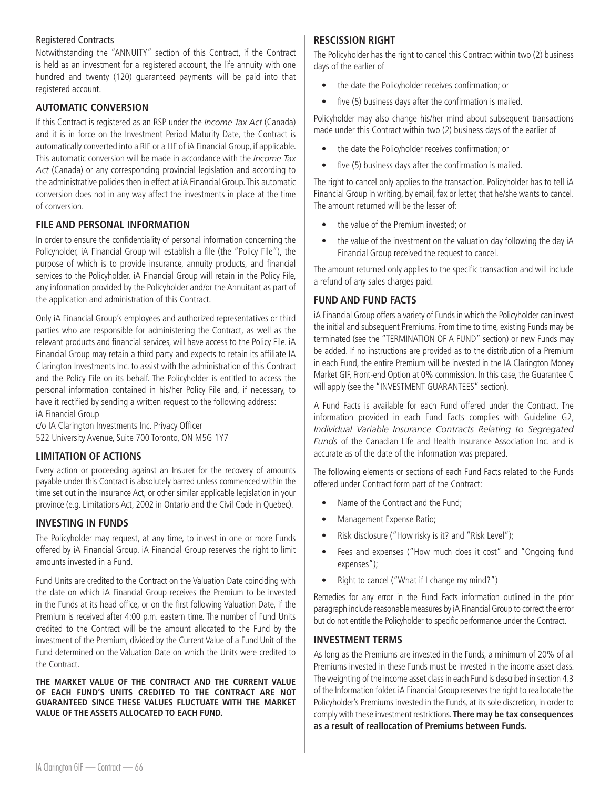#### Registered Contracts

Notwithstanding the "ANNUITY" section of this Contract, if the Contract is held as an investment for a registered account, the life annuity with one hundred and twenty (120) guaranteed payments will be paid into that registered account.

# **AUTOMATIC CONVERSION**

If this Contract is registered as an RSP under the *Income Tax Act* (Canada) and it is in force on the Investment Period Maturity Date, the Contract is automatically converted into a RIF or a LIF of iA Financial Group, if applicable. This automatic conversion will be made in accordance with the *Income Tax Act* (Canada) or any corresponding provincial legislation and according to the administrative policies then in effect at iA Financial Group. This automatic conversion does not in any way affect the investments in place at the time of conversion.

# **FILE AND PERSONAL INFORMATION**

In order to ensure the confidentiality of personal information concerning the Policyholder, iA Financial Group will establish a file (the "Policy File"), the purpose of which is to provide insurance, annuity products, and financial services to the Policyholder. iA Financial Group will retain in the Policy File, any information provided by the Policyholder and/or the Annuitant as part of the application and administration of this Contract.

Only iA Financial Group's employees and authorized representatives or third parties who are responsible for administering the Contract, as well as the relevant products and financial services, will have access to the Policy File. iA Financial Group may retain a third party and expects to retain its affiliate IA Clarington Investments Inc. to assist with the administration of this Contract and the Policy File on its behalf. The Policyholder is entitled to access the personal information contained in his/her Policy File and, if necessary, to have it rectified by sending a written request to the following address: iA Financial Group

c/o IA Clarington Investments Inc. Privacy Officer 522 University Avenue, Suite 700 Toronto, ON M5G 1Y7

# **LIMITATION OF ACTIONS**

Every action or proceeding against an Insurer for the recovery of amounts payable under this Contract is absolutely barred unless commenced within the time set out in the Insurance Act, or other similar applicable legislation in your province (e.g. Limitations Act, 2002 in Ontario and the Civil Code in Quebec).

# **INVESTING IN FUNDS**

The Policyholder may request, at any time, to invest in one or more Funds offered by iA Financial Group. iA Financial Group reserves the right to limit amounts invested in a Fund.

Fund Units are credited to the Contract on the Valuation Date coinciding with the date on which iA Financial Group receives the Premium to be invested in the Funds at its head office, or on the first following Valuation Date, if the Premium is received after 4:00 p.m. eastern time. The number of Fund Units credited to the Contract will be the amount allocated to the Fund by the investment of the Premium, divided by the Current Value of a Fund Unit of the Fund determined on the Valuation Date on which the Units were credited to the Contract.

**THE MARKET VALUE OF THE CONTRACT AND THE CURRENT VALUE OF EACH FUND'S UNITS CREDITED TO THE CONTRACT ARE NOT GUARANTEED SINCE THESE VALUES FLUCTUATE WITH THE MARKET VALUE OF THE ASSETS ALLOCATED TO EACH FUND.**

# **RESCISSION RIGHT**

The Policyholder has the right to cancel this Contract within two (2) business days of the earlier of

- the date the Policyholder receives confirmation; or
- five (5) business days after the confirmation is mailed.

Policyholder may also change his/her mind about subsequent transactions made under this Contract within two (2) business days of the earlier of

- the date the Policyholder receives confirmation; or
- five (5) business days after the confirmation is mailed.

The right to cancel only applies to the transaction. Policyholder has to tell iA Financial Group in writing, by email, fax or letter, that he/she wants to cancel. The amount returned will be the lesser of:

- the value of the Premium invested; or
- the value of the investment on the valuation day following the day iA Financial Group received the request to cancel.

The amount returned only applies to the specific transaction and will include a refund of any sales charges paid.

# **FUND AND FUND FACTS**

iA Financial Group offers a variety of Funds in which the Policyholder can invest the initial and subsequent Premiums. From time to time, existing Funds may be terminated (see the "TERMINATION OF A FUND" section) or new Funds may be added. If no instructions are provided as to the distribution of a Premium in each Fund, the entire Premium will be invested in the IA Clarington Money Market GIF, Front-end Option at 0% commission. In this case, the Guarantee C will apply (see the "INVESTMENT GUARANTEES" section).

A Fund Facts is available for each Fund offered under the Contract. The information provided in each Fund Facts complies with Guideline G2, *Individual Variable Insurance Contracts Relating to Segregated Funds* of the Canadian Life and Health Insurance Association Inc. and is accurate as of the date of the information was prepared.

The following elements or sections of each Fund Facts related to the Funds offered under Contract form part of the Contract:

- Name of the Contract and the Fund;
- Management Expense Ratio;
- Risk disclosure ("How risky is it? and "Risk Level");
- Fees and expenses ("How much does it cost" and "Ongoing fund expenses");
- Right to cancel ("What if I change my mind?")

Remedies for any error in the Fund Facts information outlined in the prior paragraph include reasonable measures by iA Financial Group to correct the error but do not entitle the Policyholder to specific performance under the Contract.

# **INVESTMENT TERMS**

As long as the Premiums are invested in the Funds, a minimum of 20% of all Premiums invested in these Funds must be invested in the income asset class. The weighting of the income asset class in each Fund is described in section 4.3 of the Information folder. iA Financial Group reserves the right to reallocate the Policyholder's Premiums invested in the Funds, at its sole discretion, in order to comply with these investment restrictions. **There may be tax consequences as a result of reallocation of Premiums between Funds.**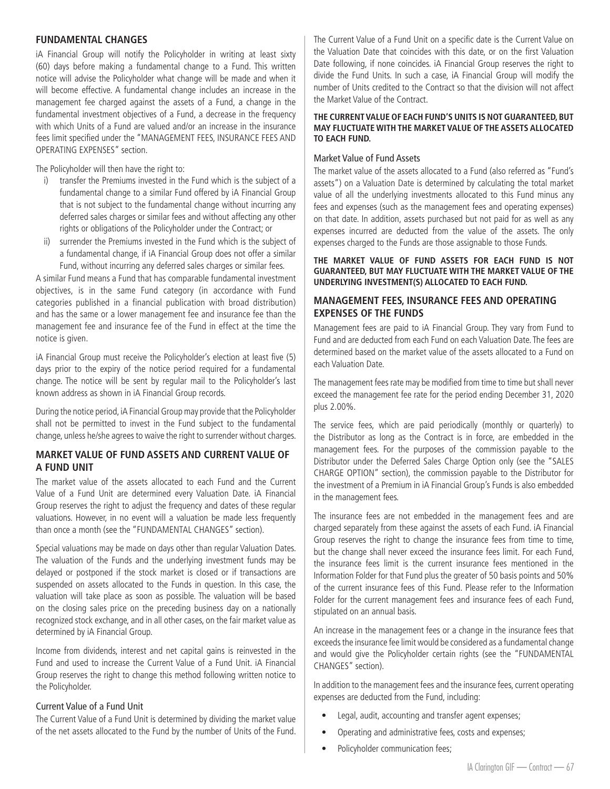#### **FUNDAMENTAL CHANGES**

iA Financial Group will notify the Policyholder in writing at least sixty (60) days before making a fundamental change to a Fund. This written notice will advise the Policyholder what change will be made and when it will become effective. A fundamental change includes an increase in the management fee charged against the assets of a Fund, a change in the fundamental investment objectives of a Fund, a decrease in the frequency with which Units of a Fund are valued and/or an increase in the insurance fees limit specified under the "MANAGEMENT FEES, INSURANCE FEES AND OPERATING EXPENSES" section.

The Policyholder will then have the right to:

- i) transfer the Premiums invested in the Fund which is the subject of a fundamental change to a similar Fund offered by iA Financial Group that is not subject to the fundamental change without incurring any deferred sales charges or similar fees and without affecting any other rights or obligations of the Policyholder under the Contract; or
- ii) surrender the Premiums invested in the Fund which is the subject of a fundamental change, if iA Financial Group does not offer a similar Fund, without incurring any deferred sales charges or similar fees.

A similar Fund means a Fund that has comparable fundamental investment objectives, is in the same Fund category (in accordance with Fund categories published in a financial publication with broad distribution) and has the same or a lower management fee and insurance fee than the management fee and insurance fee of the Fund in effect at the time the notice is given.

iA Financial Group must receive the Policyholder's election at least five (5) days prior to the expiry of the notice period required for a fundamental change. The notice will be sent by regular mail to the Policyholder's last known address as shown in iA Financial Group records.

During the notice period, iA Financial Group may provide that the Policyholder shall not be permitted to invest in the Fund subject to the fundamental change, unless he/she agrees to waive the right to surrender without charges.

# **MARKET VALUE OF FUND ASSETS AND CURRENT VALUE OF A FUND UNIT**

The market value of the assets allocated to each Fund and the Current Value of a Fund Unit are determined every Valuation Date. iA Financial Group reserves the right to adjust the frequency and dates of these regular valuations. However, in no event will a valuation be made less frequently than once a month (see the "FUNDAMENTAL CHANGES" section).

Special valuations may be made on days other than regular Valuation Dates. The valuation of the Funds and the underlying investment funds may be delayed or postponed if the stock market is closed or if transactions are suspended on assets allocated to the Funds in question. In this case, the valuation will take place as soon as possible. The valuation will be based on the closing sales price on the preceding business day on a nationally recognized stock exchange, and in all other cases, on the fair market value as determined by iA Financial Group.

Income from dividends, interest and net capital gains is reinvested in the Fund and used to increase the Current Value of a Fund Unit. iA Financial Group reserves the right to change this method following written notice to the Policyholder.

# Current Value of a Fund Unit

The Current Value of a Fund Unit is determined by dividing the market value of the net assets allocated to the Fund by the number of Units of the Fund. The Current Value of a Fund Unit on a specific date is the Current Value on the Valuation Date that coincides with this date, or on the first Valuation Date following, if none coincides. iA Financial Group reserves the right to divide the Fund Units. In such a case, iA Financial Group will modify the number of Units credited to the Contract so that the division will not affect the Market Value of the Contract.

#### **THE CURRENT VALUE OF EACH FUND'S UNITS IS NOT GUARANTEED, BUT MAY FLUCTUATE WITH THE MARKET VALUE OF THE ASSETS ALLOCATED TO EACH FUND.**

#### Market Value of Fund Assets

The market value of the assets allocated to a Fund (also referred as "Fund's assets") on a Valuation Date is determined by calculating the total market value of all the underlying investments allocated to this Fund minus any fees and expenses (such as the management fees and operating expenses) on that date. In addition, assets purchased but not paid for as well as any expenses incurred are deducted from the value of the assets. The only expenses charged to the Funds are those assignable to those Funds.

#### **THE MARKET VALUE OF FUND ASSETS FOR EACH FUND IS NOT GUARANTEED, BUT MAY FLUCTUATE WITH THE MARKET VALUE OF THE UNDERLYING INVESTMENT(S) ALLOCATED TO EACH FUND.**

# **MANAGEMENT FEES, INSURANCE FEES AND OPERATING EXPENSES OF THE FUNDS**

Management fees are paid to iA Financial Group. They vary from Fund to Fund and are deducted from each Fund on each Valuation Date. The fees are determined based on the market value of the assets allocated to a Fund on each Valuation Date.

The management fees rate may be modified from time to time but shall never exceed the management fee rate for the period ending December 31, 2020 plus 2.00%.

The service fees, which are paid periodically (monthly or quarterly) to the Distributor as long as the Contract is in force, are embedded in the management fees. For the purposes of the commission payable to the Distributor under the Deferred Sales Charge Option only (see the "SALES CHARGE OPTION" section), the commission payable to the Distributor for the investment of a Premium in iA Financial Group's Funds is also embedded in the management fees.

The insurance fees are not embedded in the management fees and are charged separately from these against the assets of each Fund. iA Financial Group reserves the right to change the insurance fees from time to time, but the change shall never exceed the insurance fees limit. For each Fund, the insurance fees limit is the current insurance fees mentioned in the Information Folder for that Fund plus the greater of 50 basis points and 50% of the current insurance fees of this Fund. Please refer to the Information Folder for the current management fees and insurance fees of each Fund, stipulated on an annual basis.

An increase in the management fees or a change in the insurance fees that exceeds the insurance fee limit would be considered as a fundamental change and would give the Policyholder certain rights (see the "FUNDAMENTAL CHANGES" section).

In addition to the management fees and the insurance fees, current operating expenses are deducted from the Fund, including:

- Legal, audit, accounting and transfer agent expenses;
- Operating and administrative fees, costs and expenses;
- Policyholder communication fees;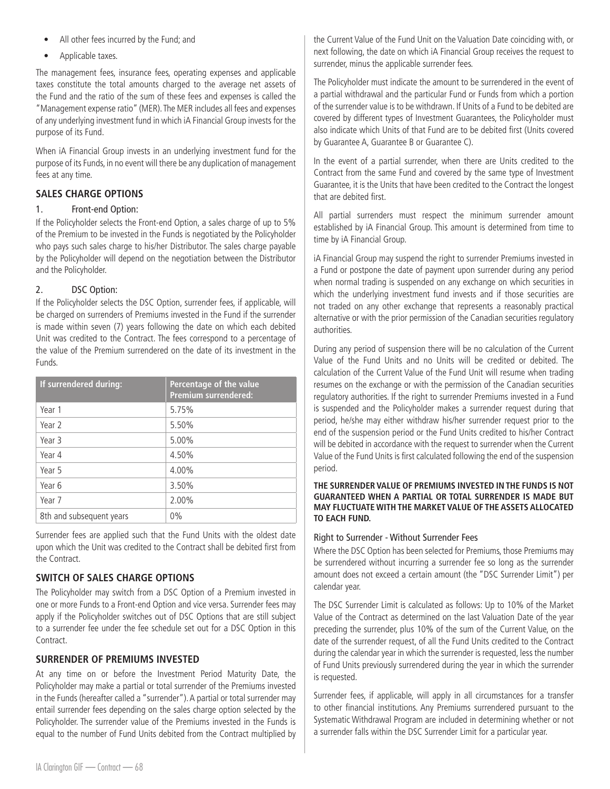- All other fees incurred by the Fund; and
- Applicable taxes.

The management fees, insurance fees, operating expenses and applicable taxes constitute the total amounts charged to the average net assets of the Fund and the ratio of the sum of these fees and expenses is called the "Management expense ratio" (MER). The MER includes all fees and expenses of any underlying investment fund in which iA Financial Group invests for the purpose of its Fund.

When iA Financial Group invests in an underlying investment fund for the purpose of its Funds, in no event will there be any duplication of management fees at any time.

# **SALES CHARGE OPTIONS**

## 1. Front-end Option:

If the Policyholder selects the Front-end Option, a sales charge of up to 5% of the Premium to be invested in the Funds is negotiated by the Policyholder who pays such sales charge to his/her Distributor. The sales charge payable by the Policyholder will depend on the negotiation between the Distributor and the Policyholder.

# 2. DSC Option:

If the Policyholder selects the DSC Option, surrender fees, if applicable, will be charged on surrenders of Premiums invested in the Fund if the surrender is made within seven (7) years following the date on which each debited Unit was credited to the Contract. The fees correspond to a percentage of the value of the Premium surrendered on the date of its investment in the Funds.

| If surrendered during:   | Percentage of the value<br><b>Premium surrendered:</b> |
|--------------------------|--------------------------------------------------------|
| Year 1                   | 5.75%                                                  |
| Year 2                   | 5.50%                                                  |
| Year 3                   | 5.00%                                                  |
| Year 4                   | 4.50%                                                  |
| Year 5                   | 4.00%                                                  |
| Year 6                   | 3.50%                                                  |
| Year 7                   | 2.00%                                                  |
| 8th and subsequent years | 0%                                                     |

Surrender fees are applied such that the Fund Units with the oldest date upon which the Unit was credited to the Contract shall be debited first from the Contract.

# **SWITCH OF SALES CHARGE OPTIONS**

The Policyholder may switch from a DSC Option of a Premium invested in one or more Funds to a Front-end Option and vice versa. Surrender fees may apply if the Policyholder switches out of DSC Options that are still subject to a surrender fee under the fee schedule set out for a DSC Option in this **Contract** 

# **SURRENDER OF PREMIUMS INVESTED**

At any time on or before the Investment Period Maturity Date, the Policyholder may make a partial or total surrender of the Premiums invested in the Funds (hereafter called a "surrender"). A partial or total surrender may entail surrender fees depending on the sales charge option selected by the Policyholder. The surrender value of the Premiums invested in the Funds is equal to the number of Fund Units debited from the Contract multiplied by

the Current Value of the Fund Unit on the Valuation Date coinciding with, or next following, the date on which iA Financial Group receives the request to surrender, minus the applicable surrender fees.

The Policyholder must indicate the amount to be surrendered in the event of a partial withdrawal and the particular Fund or Funds from which a portion of the surrender value is to be withdrawn. If Units of a Fund to be debited are covered by different types of Investment Guarantees, the Policyholder must also indicate which Units of that Fund are to be debited first (Units covered by Guarantee A, Guarantee B or Guarantee C).

In the event of a partial surrender, when there are Units credited to the Contract from the same Fund and covered by the same type of Investment Guarantee, it is the Units that have been credited to the Contract the longest that are debited first.

All partial surrenders must respect the minimum surrender amount established by iA Financial Group. This amount is determined from time to time by iA Financial Group.

iA Financial Group may suspend the right to surrender Premiums invested in a Fund or postpone the date of payment upon surrender during any period when normal trading is suspended on any exchange on which securities in which the underlying investment fund invests and if those securities are not traded on any other exchange that represents a reasonably practical alternative or with the prior permission of the Canadian securities regulatory authorities.

During any period of suspension there will be no calculation of the Current Value of the Fund Units and no Units will be credited or debited. The calculation of the Current Value of the Fund Unit will resume when trading resumes on the exchange or with the permission of the Canadian securities regulatory authorities. If the right to surrender Premiums invested in a Fund is suspended and the Policyholder makes a surrender request during that period, he/she may either withdraw his/her surrender request prior to the end of the suspension period or the Fund Units credited to his/her Contract will be debited in accordance with the request to surrender when the Current Value of the Fund Units is first calculated following the end of the suspension period.

#### **THE SURRENDER VALUE OF PREMIUMS INVESTED IN THE FUNDS IS NOT GUARANTEED WHEN A PARTIAL OR TOTAL SURRENDER IS MADE BUT MAY FLUCTUATE WITH THE MARKET VALUE OF THE ASSETS ALLOCATED TO EACH FUND.**

# Right to Surrender - Without Surrender Fees

Where the DSC Option has been selected for Premiums, those Premiums may be surrendered without incurring a surrender fee so long as the surrender amount does not exceed a certain amount (the "DSC Surrender Limit") per calendar year.

The DSC Surrender Limit is calculated as follows: Up to 10% of the Market Value of the Contract as determined on the last Valuation Date of the year preceding the surrender, plus 10% of the sum of the Current Value, on the date of the surrender request, of all the Fund Units credited to the Contract during the calendar year in which the surrender is requested, less the number of Fund Units previously surrendered during the year in which the surrender is requested.

Surrender fees, if applicable, will apply in all circumstances for a transfer to other financial institutions. Any Premiums surrendered pursuant to the Systematic Withdrawal Program are included in determining whether or not a surrender falls within the DSC Surrender Limit for a particular year.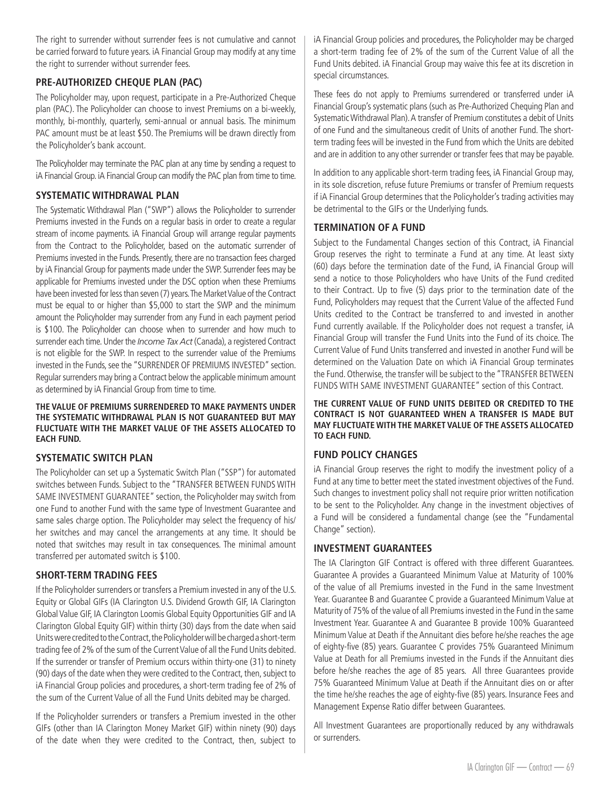The right to surrender without surrender fees is not cumulative and cannot be carried forward to future years. iA Financial Group may modify at any time the right to surrender without surrender fees.

# **PRE-AUTHORIZED CHEQUE PLAN (PAC)**

The Policyholder may, upon request, participate in a Pre-Authorized Cheque plan (PAC). The Policyholder can choose to invest Premiums on a bi-weekly, monthly, bi-monthly, quarterly, semi-annual or annual basis. The minimum PAC amount must be at least \$50. The Premiums will be drawn directly from the Policyholder's bank account.

The Policyholder may terminate the PAC plan at any time by sending a request to iA Financial Group. iA Financial Group can modify the PAC plan from time to time.

# **SYSTEMATIC WITHDRAWAL PLAN**

The Systematic Withdrawal Plan ("SWP") allows the Policyholder to surrender Premiums invested in the Funds on a regular basis in order to create a regular stream of income payments. iA Financial Group will arrange regular payments from the Contract to the Policyholder, based on the automatic surrender of Premiums invested in the Funds. Presently, there are no transaction fees charged by iA Financial Group for payments made under the SWP. Surrender fees may be applicable for Premiums invested under the DSC option when these Premiums have been invested for less than seven (7) years. The Market Value of the Contract must be equal to or higher than \$5,000 to start the SWP and the minimum amount the Policyholder may surrender from any Fund in each payment period is \$100. The Policyholder can choose when to surrender and how much to surrender each time. Under the *Income Tax Act* (Canada), a registered Contract is not eligible for the SWP. In respect to the surrender value of the Premiums invested in the Funds, see the "SURRENDER OF PREMIUMS INVESTED" section. Regular surrenders may bring a Contract below the applicable minimum amount as determined by iA Financial Group from time to time.

**THE VALUE OF PREMIUMS SURRENDERED TO MAKE PAYMENTS UNDER THE SYSTEMATIC WITHDRAWAL PLAN IS NOT GUARANTEED BUT MAY FLUCTUATE WITH THE MARKET VALUE OF THE ASSETS ALLOCATED TO EACH FUND.**

# **SYSTEMATIC SWITCH PLAN**

The Policyholder can set up a Systematic Switch Plan ("SSP") for automated switches between Funds. Subject to the "TRANSFER BETWEEN FUNDS WITH SAME INVESTMENT GUARANTEE" section, the Policyholder may switch from one Fund to another Fund with the same type of Investment Guarantee and same sales charge option. The Policyholder may select the frequency of his/ her switches and may cancel the arrangements at any time. It should be noted that switches may result in tax consequences. The minimal amount transferred per automated switch is \$100.

# **SHORT-TERM TRADING FEES**

If the Policyholder surrenders or transfers a Premium invested in any of the U.S. Equity or Global GIFs (IA Clarington U.S. Dividend Growth GIF, IA Clarington Global Value GIF, IA Clarington Loomis Global Equity Opportunities GIF and IA Clarington Global Equity GIF) within thirty (30) days from the date when said Units were credited to the Contract, the Policyholder will be charged a short-term trading fee of 2% of the sum of the Current Value of all the Fund Units debited. If the surrender or transfer of Premium occurs within thirty-one (31) to ninety (90) days of the date when they were credited to the Contract, then, subject to iA Financial Group policies and procedures, a short-term trading fee of 2% of the sum of the Current Value of all the Fund Units debited may be charged.

If the Policyholder surrenders or transfers a Premium invested in the other GIFs (other than IA Clarington Money Market GIF) within ninety (90) days of the date when they were credited to the Contract, then, subject to

iA Financial Group policies and procedures, the Policyholder may be charged a short-term trading fee of 2% of the sum of the Current Value of all the Fund Units debited. iA Financial Group may waive this fee at its discretion in special circumstances.

These fees do not apply to Premiums surrendered or transferred under iA Financial Group's systematic plans (such as Pre-Authorized Chequing Plan and Systematic Withdrawal Plan). A transfer of Premium constitutes a debit of Units of one Fund and the simultaneous credit of Units of another Fund. The shortterm trading fees will be invested in the Fund from which the Units are debited and are in addition to any other surrender or transfer fees that may be payable.

In addition to any applicable short-term trading fees, iA Financial Group may, in its sole discretion, refuse future Premiums or transfer of Premium requests if iA Financial Group determines that the Policyholder's trading activities may be detrimental to the GIFs or the Underlying funds.

# **TERMINATION OF A FUND**

Subject to the Fundamental Changes section of this Contract, iA Financial Group reserves the right to terminate a Fund at any time. At least sixty (60) days before the termination date of the Fund, iA Financial Group will send a notice to those Policyholders who have Units of the Fund credited to their Contract. Up to five (5) days prior to the termination date of the Fund, Policyholders may request that the Current Value of the affected Fund Units credited to the Contract be transferred to and invested in another Fund currently available. If the Policyholder does not request a transfer, iA Financial Group will transfer the Fund Units into the Fund of its choice. The Current Value of Fund Units transferred and invested in another Fund will be determined on the Valuation Date on which iA Financial Group terminates the Fund. Otherwise, the transfer will be subject to the "TRANSFER BETWEEN FUNDS WITH SAME INVESTMENT GUARANTEE" section of this Contract.

**THE CURRENT VALUE OF FUND UNITS DEBITED OR CREDITED TO THE CONTRACT IS NOT GUARANTEED WHEN A TRANSFER IS MADE BUT MAY FLUCTUATE WITH THE MARKET VALUE OF THE ASSETS ALLOCATED TO EACH FUND.**

# **FUND POLICY CHANGES**

iA Financial Group reserves the right to modify the investment policy of a Fund at any time to better meet the stated investment objectives of the Fund. Such changes to investment policy shall not require prior written notification to be sent to the Policyholder. Any change in the investment objectives of a Fund will be considered a fundamental change (see the "Fundamental Change" section).

# **INVESTMENT GUARANTEES**

The IA Clarington GIF Contract is offered with three different Guarantees. Guarantee A provides a Guaranteed Minimum Value at Maturity of 100% of the value of all Premiums invested in the Fund in the same Investment Year. Guarantee B and Guarantee C provide a Guaranteed Minimum Value at Maturity of 75% of the value of all Premiums invested in the Fund in the same Investment Year. Guarantee A and Guarantee B provide 100% Guaranteed Minimum Value at Death if the Annuitant dies before he/she reaches the age of eighty-five (85) years. Guarantee C provides 75% Guaranteed Minimum Value at Death for all Premiums invested in the Funds if the Annuitant dies before he/she reaches the age of 85 years. All three Guarantees provide 75% Guaranteed Minimum Value at Death if the Annuitant dies on or after the time he/she reaches the age of eighty-five (85) years. Insurance Fees and Management Expense Ratio differ between Guarantees.

All Investment Guarantees are proportionally reduced by any withdrawals or surrenders.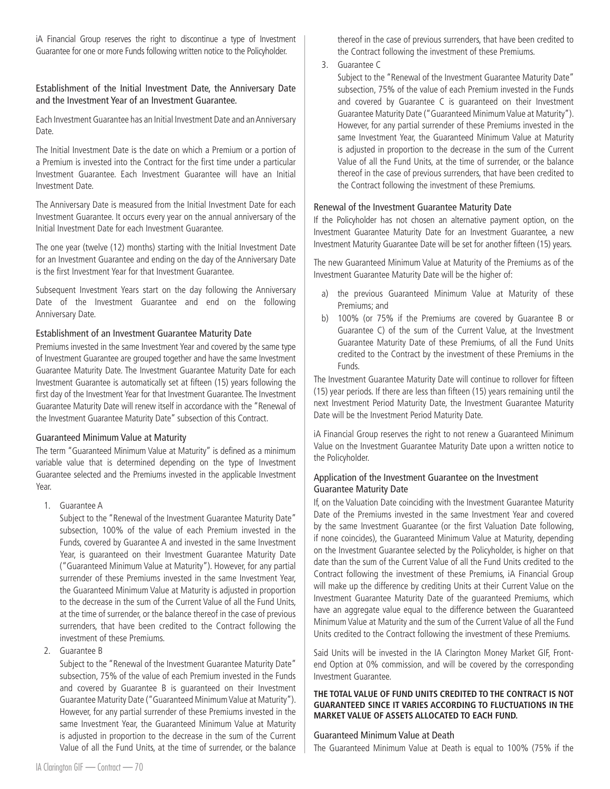iA Financial Group reserves the right to discontinue a type of Investment Guarantee for one or more Funds following written notice to the Policyholder.

#### Establishment of the Initial Investment Date, the Anniversary Date and the Investment Year of an Investment Guarantee.

Each Investment Guarantee has an Initial Investment Date and an Anniversary Date.

The Initial Investment Date is the date on which a Premium or a portion of a Premium is invested into the Contract for the first time under a particular Investment Guarantee. Each Investment Guarantee will have an Initial Investment Date.

The Anniversary Date is measured from the Initial Investment Date for each Investment Guarantee. It occurs every year on the annual anniversary of the Initial Investment Date for each Investment Guarantee.

The one year (twelve (12) months) starting with the Initial Investment Date for an Investment Guarantee and ending on the day of the Anniversary Date is the first Investment Year for that Investment Guarantee.

Subsequent Investment Years start on the day following the Anniversary Date of the Investment Guarantee and end on the following Anniversary Date.

## Establishment of an Investment Guarantee Maturity Date

Premiums invested in the same Investment Year and covered by the same type of Investment Guarantee are grouped together and have the same Investment Guarantee Maturity Date. The Investment Guarantee Maturity Date for each Investment Guarantee is automatically set at fifteen (15) years following the first day of the Investment Year for that Investment Guarantee. The Investment Guarantee Maturity Date will renew itself in accordance with the "Renewal of the Investment Guarantee Maturity Date" subsection of this Contract.

#### Guaranteed Minimum Value at Maturity

The term "Guaranteed Minimum Value at Maturity" is defined as a minimum variable value that is determined depending on the type of Investment Guarantee selected and the Premiums invested in the applicable Investment Year.

1. Guarantee A

Subject to the "Renewal of the Investment Guarantee Maturity Date" subsection, 100% of the value of each Premium invested in the Funds, covered by Guarantee A and invested in the same Investment Year, is guaranteed on their Investment Guarantee Maturity Date ("Guaranteed Minimum Value at Maturity"). However, for any partial surrender of these Premiums invested in the same Investment Year, the Guaranteed Minimum Value at Maturity is adjusted in proportion to the decrease in the sum of the Current Value of all the Fund Units, at the time of surrender, or the balance thereof in the case of previous surrenders, that have been credited to the Contract following the investment of these Premiums.

2. Guarantee B

Subject to the "Renewal of the Investment Guarantee Maturity Date" subsection, 75% of the value of each Premium invested in the Funds and covered by Guarantee B is guaranteed on their Investment Guarantee Maturity Date ("Guaranteed Minimum Value at Maturity"). However, for any partial surrender of these Premiums invested in the same Investment Year, the Guaranteed Minimum Value at Maturity is adjusted in proportion to the decrease in the sum of the Current Value of all the Fund Units, at the time of surrender, or the balance

thereof in the case of previous surrenders, that have been credited to the Contract following the investment of these Premiums.

3. Guarantee C

Subject to the "Renewal of the Investment Guarantee Maturity Date" subsection, 75% of the value of each Premium invested in the Funds and covered by Guarantee C is guaranteed on their Investment Guarantee Maturity Date ("Guaranteed Minimum Value at Maturity"). However, for any partial surrender of these Premiums invested in the same Investment Year, the Guaranteed Minimum Value at Maturity is adjusted in proportion to the decrease in the sum of the Current Value of all the Fund Units, at the time of surrender, or the balance thereof in the case of previous surrenders, that have been credited to the Contract following the investment of these Premiums.

## Renewal of the Investment Guarantee Maturity Date

If the Policyholder has not chosen an alternative payment option, on the Investment Guarantee Maturity Date for an Investment Guarantee, a new Investment Maturity Guarantee Date will be set for another fifteen (15) years.

The new Guaranteed Minimum Value at Maturity of the Premiums as of the Investment Guarantee Maturity Date will be the higher of:

- a) the previous Guaranteed Minimum Value at Maturity of these Premiums; and
- b) 100% (or 75% if the Premiums are covered by Guarantee B or Guarantee C) of the sum of the Current Value, at the Investment Guarantee Maturity Date of these Premiums, of all the Fund Units credited to the Contract by the investment of these Premiums in the Funds.

The Investment Guarantee Maturity Date will continue to rollover for fifteen (15) year periods. If there are less than fifteen (15) years remaining until the next Investment Period Maturity Date, the Investment Guarantee Maturity Date will be the Investment Period Maturity Date.

iA Financial Group reserves the right to not renew a Guaranteed Minimum Value on the Investment Guarantee Maturity Date upon a written notice to the Policyholder.

## Application of the Investment Guarantee on the Investment Guarantee Maturity Date

If, on the Valuation Date coinciding with the Investment Guarantee Maturity Date of the Premiums invested in the same Investment Year and covered by the same Investment Guarantee (or the first Valuation Date following, if none coincides), the Guaranteed Minimum Value at Maturity, depending on the Investment Guarantee selected by the Policyholder, is higher on that date than the sum of the Current Value of all the Fund Units credited to the Contract following the investment of these Premiums, iA Financial Group will make up the difference by crediting Units at their Current Value on the Investment Guarantee Maturity Date of the guaranteed Premiums, which have an aggregate value equal to the difference between the Guaranteed Minimum Value at Maturity and the sum of the Current Value of all the Fund Units credited to the Contract following the investment of these Premiums.

Said Units will be invested in the IA Clarington Money Market GIF, Frontend Option at 0% commission, and will be covered by the corresponding Investment Guarantee.

#### **THE TOTAL VALUE OF FUND UNITS CREDITED TO THE CONTRACT IS NOT GUARANTEED SINCE IT VARIES ACCORDING TO FLUCTUATIONS IN THE MARKET VALUE OF ASSETS ALLOCATED TO EACH FUND.**

#### Guaranteed Minimum Value at Death

The Guaranteed Minimum Value at Death is equal to 100% (75% if the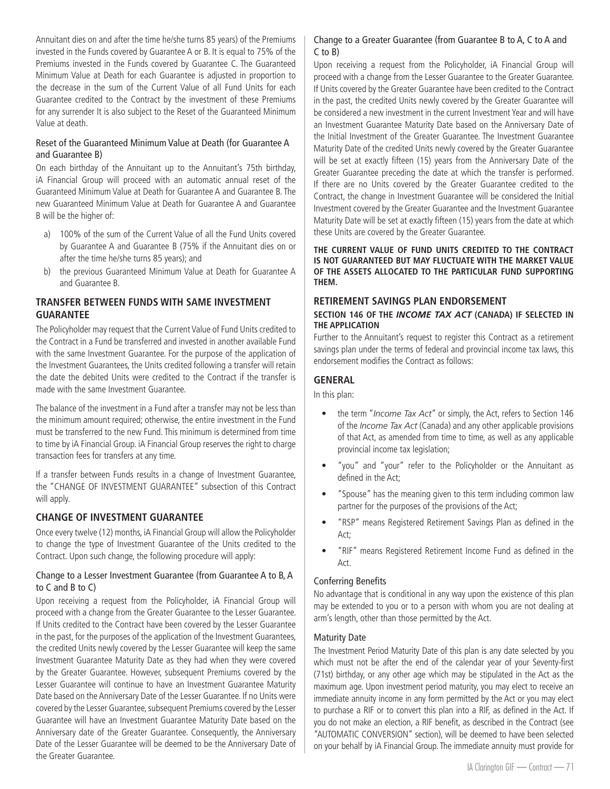Annuitant dies on and after the time he/she turns 85 years) of the Premiums invested in the Funds covered by Guarantee A or B. It is equal to 75% of the Premiums invested in the Funds covered by Guarantee C. The Guaranteed Minimum Value at Death for each Guarantee is adjusted in proportion to the decrease in the sum of the Current Value of all Fund Units for each Guarantee credited to the Contract by the investment of these Premiums for any surrender It is also subject to the Reset of the Guaranteed Minimum Value at death.

# Reset of the Guaranteed Minimum Value at Death (for Guarantee A and Guarantee B)

On each birthday of the Annuitant up to the Annuitant's 75th birthday, iA Financial Group will proceed with an automatic annual reset of the Guaranteed Minimum Value at Death for Guarantee A and Guarantee B. The new Guaranteed Minimum Value at Death for Guarantee A and Guarantee B will be the higher of:

- a) 100% of the sum of the Current Value of all the Fund Units covered by Guarantee A and Guarantee B (75% if the Annuitant dies on or after the time he/she turns 85 years); and
- b) the previous Guaranteed Minimum Value at Death for Guarantee A and Guarantee B.

# **TRANSFER BETWEEN FUNDS WITH SAME INVESTMENT GUARANTEE**

The Policyholder may request that the Current Value of Fund Units credited to the Contract in a Fund be transferred and invested in another available Fund with the same Investment Guarantee. For the purpose of the application of the Investment Guarantees, the Units credited following a transfer will retain the date the debited Units were credited to the Contract if the transfer is made with the same Investment Guarantee.

The balance of the investment in a Fund after a transfer may not be less than the minimum amount required; otherwise, the entire investment in the Fund must be transferred to the new Fund. This minimum is determined from time to time by iA Financial Group. iA Financial Group reserves the right to charge transaction fees for transfers at any time.

If a transfer between Funds results in a change of Investment Guarantee, the "CHANGE OF INVESTMENT GUARANTEE" subsection of this Contract will apply.

# **CHANGE OF INVESTMENT GUARANTEE**

Once every twelve (12) months, iA Financial Group will allow the Policyholder to change the type of Investment Guarantee of the Units credited to the Contract. Upon such change, the following procedure will apply:

## Change to a Lesser Investment Guarantee (from Guarantee A to B, A to C and B to C)

Upon receiving a request from the Policyholder, iA Financial Group will proceed with a change from the Greater Guarantee to the Lesser Guarantee. If Units credited to the Contract have been covered by the Lesser Guarantee in the past, for the purposes of the application of the Investment Guarantees, the credited Units newly covered by the Lesser Guarantee will keep the same Investment Guarantee Maturity Date as they had when they were covered by the Greater Guarantee. However, subsequent Premiums covered by the Lesser Guarantee will continue to have an Investment Guarantee Maturity Date based on the Anniversary Date of the Lesser Guarantee. If no Units were covered by the Lesser Guarantee, subsequent Premiums covered by the Lesser Guarantee will have an Investment Guarantee Maturity Date based on the Anniversary date of the Greater Guarantee. Consequently, the Anniversary Date of the Lesser Guarantee will be deemed to be the Anniversary Date of the Greater Guarantee.

# Change to a Greater Guarantee (from Guarantee B to A, C to A and C to B)

Upon receiving a request from the Policyholder, iA Financial Group will proceed with a change from the Lesser Guarantee to the Greater Guarantee. If Units covered by the Greater Guarantee have been credited to the Contract in the past, the credited Units newly covered by the Greater Guarantee will be considered a new investment in the current Investment Year and will have an Investment Guarantee Maturity Date based on the Anniversary Date of the Initial Investment of the Greater Guarantee. The Investment Guarantee Maturity Date of the credited Units newly covered by the Greater Guarantee will be set at exactly fifteen (15) years from the Anniversary Date of the Greater Guarantee preceding the date at which the transfer is performed. If there are no Units covered by the Greater Guarantee credited to the Contract, the change in Investment Guarantee will be considered the Initial Investment covered by the Greater Guarantee and the Investment Guarantee Maturity Date will be set at exactly fifteen (15) years from the date at which these Units are covered by the Greater Guarantee.

#### **THE CURRENT VALUE OF FUND UNITS CREDITED TO THE CONTRACT IS NOT GUARANTEED BUT MAY FLUCTUATE WITH THE MARKET VALUE OF THE ASSETS ALLOCATED TO THE PARTICULAR FUND SUPPORTING THEM.**

## **RETIREMENT SAVINGS PLAN ENDORSEMENT**

#### **SECTION 146 OF THE** *INCOME TAX ACT* **(CANADA) IF SELECTED IN THE APPLICATION**

Further to the Annuitant's request to register this Contract as a retirement savings plan under the terms of federal and provincial income tax laws, this endorsement modifies the Contract as follows:

# **GENERAL**

In this plan:

- the term "*Income Tax Act*" or simply, the Act, refers to Section 146 of the *Income Tax Act* (Canada) and any other applicable provisions of that Act, as amended from time to time, as well as any applicable provincial income tax legislation;
- "you" and "your" refer to the Policyholder or the Annuitant as defined in the Act;
- "Spouse" has the meaning given to this term including common law partner for the purposes of the provisions of the Act;
- "RSP" means Registered Retirement Savings Plan as defined in the Act;
- "RIF" means Registered Retirement Income Fund as defined in the Act.

# Conferring Benefits

No advantage that is conditional in any way upon the existence of this plan may be extended to you or to a person with whom you are not dealing at arm's length, other than those permitted by the Act.

# Maturity Date

The Investment Period Maturity Date of this plan is any date selected by you which must not be after the end of the calendar year of your Seventy-first (71st) birthday, or any other age which may be stipulated in the Act as the maximum age. Upon investment period maturity, you may elect to receive an immediate annuity income in any form permitted by the Act or you may elect to purchase a RIF or to convert this plan into a RIF, as defined in the Act. If you do not make an election, a RIF benefit, as described in the Contract (see "AUTOMATIC CONVERSION" section), will be deemed to have been selected on your behalf by iA Financial Group. The immediate annuity must provide for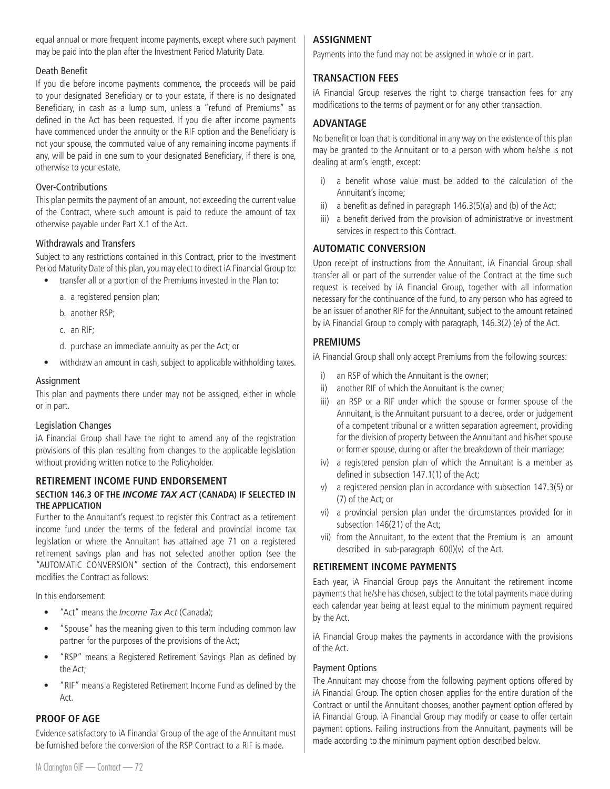equal annual or more frequent income payments, except where such payment may be paid into the plan after the Investment Period Maturity Date.

# Death Benefit

If you die before income payments commence, the proceeds will be paid to your designated Beneficiary or to your estate, if there is no designated Beneficiary, in cash as a lump sum, unless a "refund of Premiums" as defined in the Act has been requested. If you die after income payments have commenced under the annuity or the RIF option and the Beneficiary is not your spouse, the commuted value of any remaining income payments if any, will be paid in one sum to your designated Beneficiary, if there is one, otherwise to your estate.

# Over-Contributions

This plan permits the payment of an amount, not exceeding the current value of the Contract, where such amount is paid to reduce the amount of tax otherwise payable under Part X.1 of the Act.

## Withdrawals and Transfers

Subject to any restrictions contained in this Contract, prior to the Investment Period Maturity Date of this plan, you may elect to direct iA Financial Group to:

- transfer all or a portion of the Premiums invested in the Plan to:
	- a. a registered pension plan;
	- b. another RSP;
	- c. an RIF;
	- d. purchase an immediate annuity as per the Act; or
- withdraw an amount in cash, subject to applicable withholding taxes.

## Assignment

This plan and payments there under may not be assigned, either in whole or in part.

# Legislation Changes

iA Financial Group shall have the right to amend any of the registration provisions of this plan resulting from changes to the applicable legislation without providing written notice to the Policyholder.

#### **RETIREMENT INCOME FUND ENDORSEMENT**

## **SECTION 146.3 OF THE** *INCOME TAX ACT* **(CANADA) IF SELECTED IN THE APPLICATION**

Further to the Annuitant's request to register this Contract as a retirement income fund under the terms of the federal and provincial income tax legislation or where the Annuitant has attained age 71 on a registered retirement savings plan and has not selected another option (see the "AUTOMATIC CONVERSION" section of the Contract), this endorsement modifies the Contract as follows:

In this endorsement:

- "Act" means the *Income Tax Act* (Canada);
- "Spouse" has the meaning given to this term including common law partner for the purposes of the provisions of the Act;
- "RSP" means a Registered Retirement Savings Plan as defined by the Act;
- "RIF" means a Registered Retirement Income Fund as defined by the Act.

## **PROOF OF AGE**

Evidence satisfactory to iA Financial Group of the age of the Annuitant must be furnished before the conversion of the RSP Contract to a RIF is made.

# **ASSIGNMENT**

Payments into the fund may not be assigned in whole or in part.

# **TRANSACTION FEES**

iA Financial Group reserves the right to charge transaction fees for any modifications to the terms of payment or for any other transaction.

# **ADVANTAGE**

No benefit or loan that is conditional in any way on the existence of this plan may be granted to the Annuitant or to a person with whom he/she is not dealing at arm's length, except:

- i) a benefit whose value must be added to the calculation of the Annuitant's income;
- ii) a benefit as defined in paragraph 146.3(5)(a) and (b) of the Act;
- iii) a benefit derived from the provision of administrative or investment services in respect to this Contract.

# **AUTOMATIC CONVERSION**

Upon receipt of instructions from the Annuitant, iA Financial Group shall transfer all or part of the surrender value of the Contract at the time such request is received by iA Financial Group, together with all information necessary for the continuance of the fund, to any person who has agreed to be an issuer of another RIF for the Annuitant, subject to the amount retained by iA Financial Group to comply with paragraph, 146.3(2) (e) of the Act.

# **PREMIUMS**

iA Financial Group shall only accept Premiums from the following sources:

- i) an RSP of which the Annuitant is the owner;
- ii) another RIF of which the Annuitant is the owner;
- iii) an RSP or a RIF under which the spouse or former spouse of the Annuitant, is the Annuitant pursuant to a decree, order or judgement of a competent tribunal or a written separation agreement, providing for the division of property between the Annuitant and his/her spouse or former spouse, during or after the breakdown of their marriage;
- iv) a registered pension plan of which the Annuitant is a member as defined in subsection 147.1(1) of the Act;
- v) a registered pension plan in accordance with subsection 147.3(5) or (7) of the Act; or
- vi) a provincial pension plan under the circumstances provided for in subsection 146(21) of the Act;
- vii) from the Annuitant, to the extent that the Premium is an amount described in sub-paragraph 60(l)(v) of the Act.

# **RETIREMENT INCOME PAYMENTS**

Each year, iA Financial Group pays the Annuitant the retirement income payments that he/she has chosen, subject to the total payments made during each calendar year being at least equal to the minimum payment required by the Act.

iA Financial Group makes the payments in accordance with the provisions of the Act.

# Payment Options

The Annuitant may choose from the following payment options offered by iA Financial Group. The option chosen applies for the entire duration of the Contract or until the Annuitant chooses, another payment option offered by iA Financial Group. iA Financial Group may modify or cease to offer certain payment options. Failing instructions from the Annuitant, payments will be made according to the minimum payment option described below.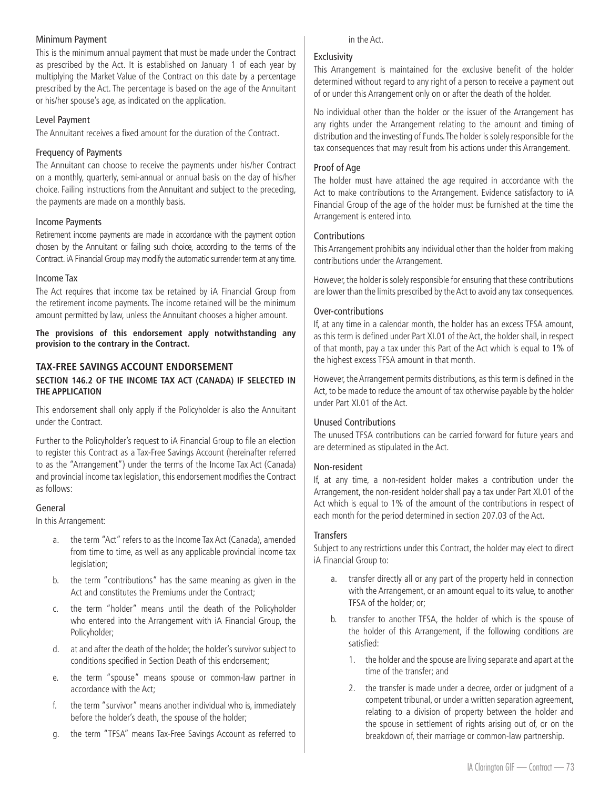#### Minimum Payment

This is the minimum annual payment that must be made under the Contract as prescribed by the Act. It is established on January 1 of each year by multiplying the Market Value of the Contract on this date by a percentage prescribed by the Act. The percentage is based on the age of the Annuitant or his/her spouse's age, as indicated on the application.

#### Level Payment

The Annuitant receives a fixed amount for the duration of the Contract.

## Frequency of Payments

The Annuitant can choose to receive the payments under his/her Contract on a monthly, quarterly, semi-annual or annual basis on the day of his/her choice. Failing instructions from the Annuitant and subject to the preceding, the payments are made on a monthly basis.

## Income Payments

Retirement income payments are made in accordance with the payment option chosen by the Annuitant or failing such choice, according to the terms of the Contract. iA Financial Group may modify the automatic surrender term at any time.

#### Income Tax

The Act requires that income tax be retained by iA Financial Group from the retirement income payments. The income retained will be the minimum amount permitted by law, unless the Annuitant chooses a higher amount.

**The provisions of this endorsement apply notwithstanding any provision to the contrary in the Contract.**

# **TAX-FREE SAVINGS ACCOUNT ENDORSEMENT**

#### **SECTION 146.2 OF THE INCOME TAX ACT (CANADA) IF SELECTED IN THE APPLICATION**

This endorsement shall only apply if the Policyholder is also the Annuitant under the Contract.

Further to the Policyholder's request to iA Financial Group to file an election to register this Contract as a Tax-Free Savings Account (hereinafter referred to as the "Arrangement") under the terms of the Income Tax Act (Canada) and provincial income tax legislation, this endorsement modifies the Contract as follows:

## General

In this Arrangement:

- a. the term "Act" refers to as the Income Tax Act (Canada), amended from time to time, as well as any applicable provincial income tax legislation;
- b. the term "contributions" has the same meaning as given in the Act and constitutes the Premiums under the Contract;
- c. the term "holder" means until the death of the Policyholder who entered into the Arrangement with iA Financial Group, the Policyholder;
- d. at and after the death of the holder, the holder's survivor subject to conditions specified in Section Death of this endorsement;
- e. the term "spouse" means spouse or common-law partner in accordance with the Act;
- f. the term "survivor" means another individual who is, immediately before the holder's death, the spouse of the holder;
- g. the term "TFSA" means Tax-Free Savings Account as referred to

#### in the Act.

#### Exclusivity

This Arrangement is maintained for the exclusive benefit of the holder determined without regard to any right of a person to receive a payment out of or under this Arrangement only on or after the death of the holder.

No individual other than the holder or the issuer of the Arrangement has any rights under the Arrangement relating to the amount and timing of distribution and the investing of Funds. The holder is solely responsible for the tax consequences that may result from his actions under this Arrangement.

#### Proof of Age

The holder must have attained the age required in accordance with the Act to make contributions to the Arrangement. Evidence satisfactory to iA Financial Group of the age of the holder must be furnished at the time the Arrangement is entered into.

#### Contributions

This Arrangement prohibits any individual other than the holder from making contributions under the Arrangement.

However, the holder is solely responsible for ensuring that these contributions are lower than the limits prescribed by the Act to avoid any tax consequences.

## Over-contributions

If, at any time in a calendar month, the holder has an excess TFSA amount, as this term is defined under Part XI.01 of the Act, the holder shall, in respect of that month, pay a tax under this Part of the Act which is equal to 1% of the highest excess TFSA amount in that month.

However, the Arrangement permits distributions, as this term is defined in the Act, to be made to reduce the amount of tax otherwise payable by the holder under Part XI.01 of the Act.

# Unused Contributions

The unused TFSA contributions can be carried forward for future years and are determined as stipulated in the Act.

#### Non-resident

If, at any time, a non-resident holder makes a contribution under the Arrangement, the non-resident holder shall pay a tax under Part XI.01 of the Act which is equal to 1% of the amount of the contributions in respect of each month for the period determined in section 207.03 of the Act.

#### **Transfers**

Subject to any restrictions under this Contract, the holder may elect to direct iA Financial Group to:

- a. transfer directly all or any part of the property held in connection with the Arrangement, or an amount equal to its value, to another TFSA of the holder; or;
- b. transfer to another TFSA, the holder of which is the spouse of the holder of this Arrangement, if the following conditions are satisfied:
	- 1. the holder and the spouse are living separate and apart at the time of the transfer; and
	- 2. the transfer is made under a decree, order or judgment of a competent tribunal, or under a written separation agreement, relating to a division of property between the holder and the spouse in settlement of rights arising out of, or on the breakdown of, their marriage or common-law partnership.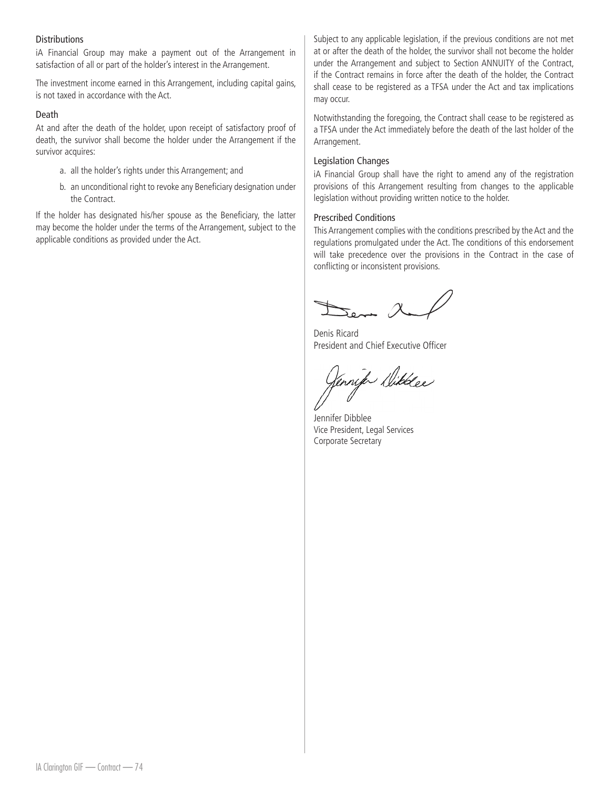#### **Distributions**

iA Financial Group may make a payment out of the Arrangement in satisfaction of all or part of the holder's interest in the Arrangement.

The investment income earned in this Arrangement, including capital gains, is not taxed in accordance with the Act.

#### Death

At and after the death of the holder, upon receipt of satisfactory proof of death, the survivor shall become the holder under the Arrangement if the survivor acquires:

- a. all the holder's rights under this Arrangement; and
- b. an unconditional right to revoke any Beneficiary designation under the Contract.

If the holder has designated his/her spouse as the Beneficiary, the latter may become the holder under the terms of the Arrangement, subject to the applicable conditions as provided under the Act.

Subject to any applicable legislation, if the previous conditions are not met at or after the death of the holder, the survivor shall not become the holder under the Arrangement and subject to Section ANNUITY of the Contract, if the Contract remains in force after the death of the holder, the Contract shall cease to be registered as a TFSA under the Act and tax implications may occur.

Notwithstanding the foregoing, the Contract shall cease to be registered as a TFSA under the Act immediately before the death of the last holder of the Arrangement.

#### Legislation Changes

iA Financial Group shall have the right to amend any of the registration provisions of this Arrangement resulting from changes to the applicable legislation without providing written notice to the holder.

#### Prescribed Conditions

This Arrangement complies with the conditions prescribed by the Act and the regulations promulgated under the Act. The conditions of this endorsement will take precedence over the provisions in the Contract in the case of conflicting or inconsistent provisions.

Denis Ricard President and Chief Executive Officer

Jennife Dibblee

Jennifer Dibblee Vice President, Legal Services Corporate Secretary